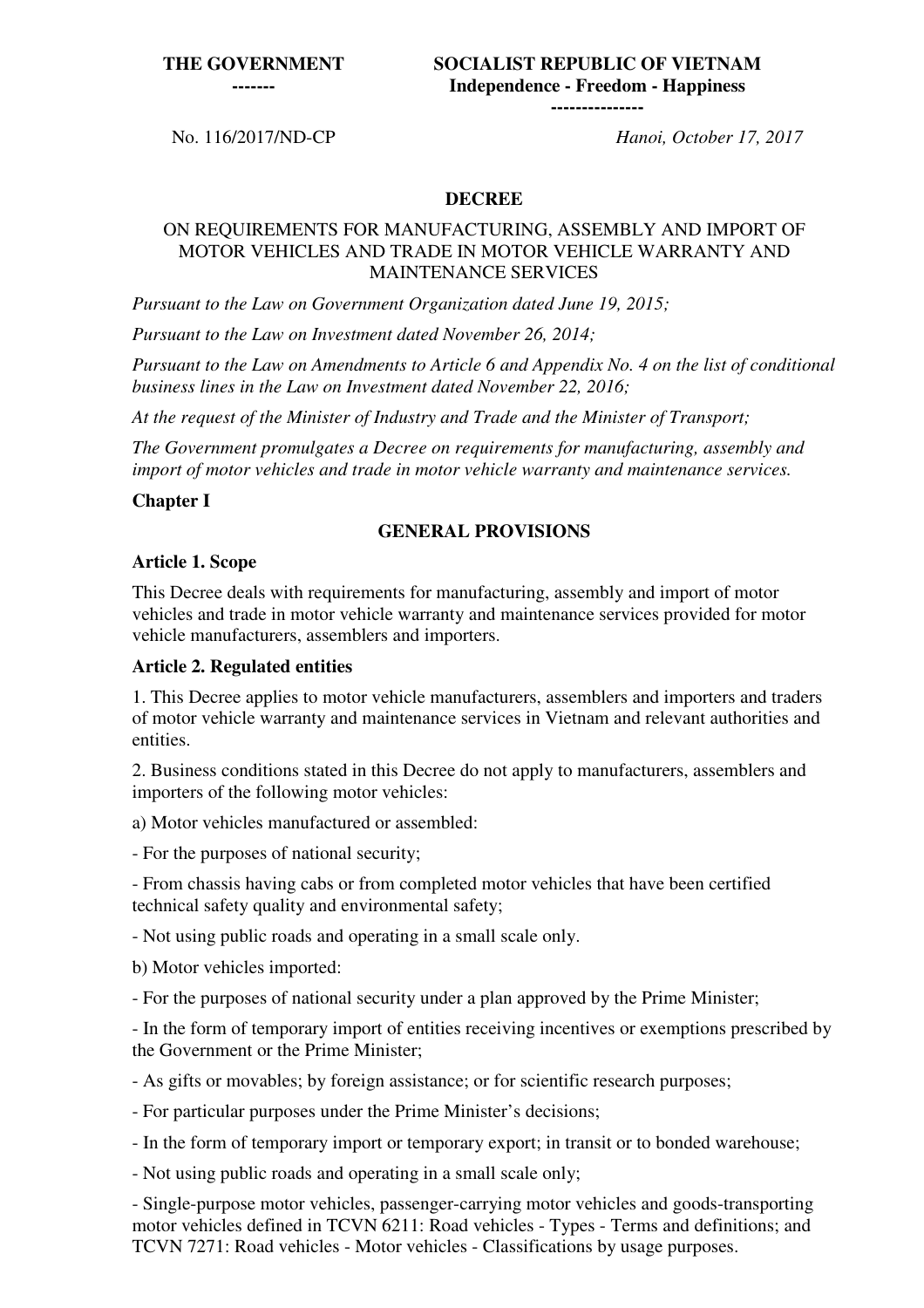**SOCIALIST REPUBLIC OF VIETNAM Independence - Freedom - Happiness ---------------**

No. 116/2017/ND-CP *Hanoi, October 17, 2017*

#### **DECREE**

#### ON REQUIREMENTS FOR MANUFACTURING, ASSEMBLY AND IMPORT OF MOTOR VEHICLES AND TRADE IN MOTOR VEHICLE WARRANTY AND MAINTENANCE SERVICES

*Pursuant to the Law on Government Organization dated June 19, 2015;* 

*Pursuant to the Law on Investment dated November 26, 2014;* 

*Pursuant to the Law on Amendments to Article 6 and Appendix No. 4 on the list of conditional business lines in the Law on Investment dated November 22, 2016;* 

*At the request of the Minister of Industry and Trade and the Minister of Transport;* 

*The Government promulgates a Decree on requirements for manufacturing, assembly and import of motor vehicles and trade in motor vehicle warranty and maintenance services.* 

#### **Chapter I**

#### **GENERAL PROVISIONS**

#### **Article 1. Scope**

This Decree deals with requirements for manufacturing, assembly and import of motor vehicles and trade in motor vehicle warranty and maintenance services provided for motor vehicle manufacturers, assemblers and importers.

#### **Article 2. Regulated entities**

1. This Decree applies to motor vehicle manufacturers, assemblers and importers and traders of motor vehicle warranty and maintenance services in Vietnam and relevant authorities and entities.

2. Business conditions stated in this Decree do not apply to manufacturers, assemblers and importers of the following motor vehicles:

a) Motor vehicles manufactured or assembled:

- For the purposes of national security;

- From chassis having cabs or from completed motor vehicles that have been certified technical safety quality and environmental safety;

- Not using public roads and operating in a small scale only.

b) Motor vehicles imported:

- For the purposes of national security under a plan approved by the Prime Minister;

- In the form of temporary import of entities receiving incentives or exemptions prescribed by the Government or the Prime Minister;

- As gifts or movables; by foreign assistance; or for scientific research purposes;

- For particular purposes under the Prime Minister's decisions;

- In the form of temporary import or temporary export; in transit or to bonded warehouse;

- Not using public roads and operating in a small scale only;

- Single-purpose motor vehicles, passenger-carrying motor vehicles and goods-transporting motor vehicles defined in TCVN 6211: Road vehicles - Types - Terms and definitions; and TCVN 7271: Road vehicles - Motor vehicles - Classifications by usage purposes.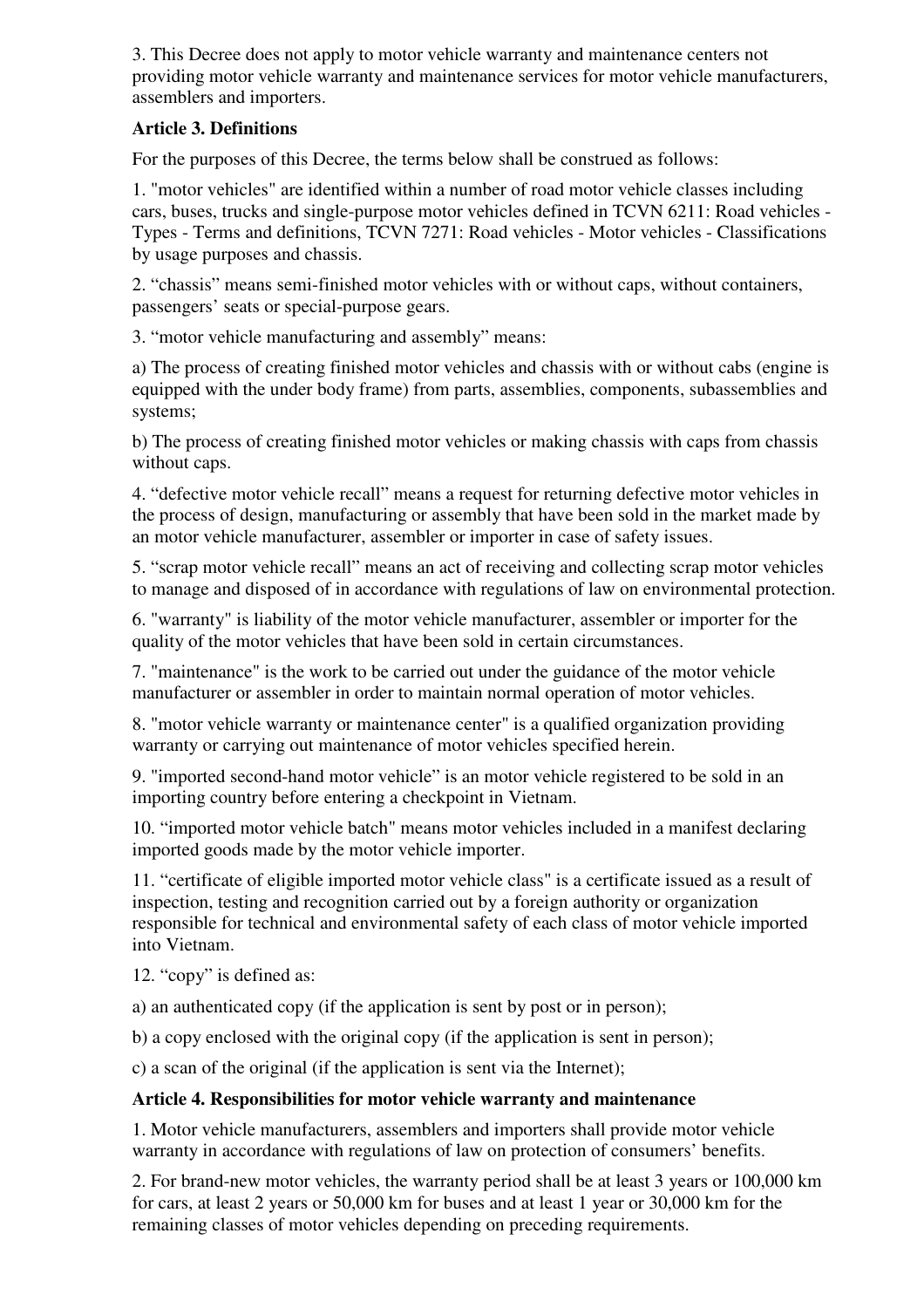3. This Decree does not apply to motor vehicle warranty and maintenance centers not providing motor vehicle warranty and maintenance services for motor vehicle manufacturers, assemblers and importers.

# **Article 3. Definitions**

For the purposes of this Decree, the terms below shall be construed as follows:

1. "motor vehicles" are identified within a number of road motor vehicle classes including cars, buses, trucks and single-purpose motor vehicles defined in TCVN 6211: Road vehicles - Types - Terms and definitions, TCVN 7271: Road vehicles - Motor vehicles - Classifications by usage purposes and chassis.

2. "chassis" means semi-finished motor vehicles with or without caps, without containers, passengers' seats or special-purpose gears.

3. "motor vehicle manufacturing and assembly" means:

a) The process of creating finished motor vehicles and chassis with or without cabs (engine is equipped with the under body frame) from parts, assemblies, components, subassemblies and systems;

b) The process of creating finished motor vehicles or making chassis with caps from chassis without caps.

4. "defective motor vehicle recall" means a request for returning defective motor vehicles in the process of design, manufacturing or assembly that have been sold in the market made by an motor vehicle manufacturer, assembler or importer in case of safety issues.

5. "scrap motor vehicle recall" means an act of receiving and collecting scrap motor vehicles to manage and disposed of in accordance with regulations of law on environmental protection.

6. "warranty" is liability of the motor vehicle manufacturer, assembler or importer for the quality of the motor vehicles that have been sold in certain circumstances.

7. "maintenance" is the work to be carried out under the guidance of the motor vehicle manufacturer or assembler in order to maintain normal operation of motor vehicles.

8. "motor vehicle warranty or maintenance center" is a qualified organization providing warranty or carrying out maintenance of motor vehicles specified herein.

9. "imported second-hand motor vehicle" is an motor vehicle registered to be sold in an importing country before entering a checkpoint in Vietnam.

10. "imported motor vehicle batch" means motor vehicles included in a manifest declaring imported goods made by the motor vehicle importer.

11. "certificate of eligible imported motor vehicle class" is a certificate issued as a result of inspection, testing and recognition carried out by a foreign authority or organization responsible for technical and environmental safety of each class of motor vehicle imported into Vietnam.

12. "copy" is defined as:

a) an authenticated copy (if the application is sent by post or in person);

b) a copy enclosed with the original copy (if the application is sent in person);

c) a scan of the original (if the application is sent via the Internet);

# **Article 4. Responsibilities for motor vehicle warranty and maintenance**

1. Motor vehicle manufacturers, assemblers and importers shall provide motor vehicle warranty in accordance with regulations of law on protection of consumers' benefits.

2. For brand-new motor vehicles, the warranty period shall be at least 3 years or 100,000 km for cars, at least 2 years or 50,000 km for buses and at least 1 year or 30,000 km for the remaining classes of motor vehicles depending on preceding requirements.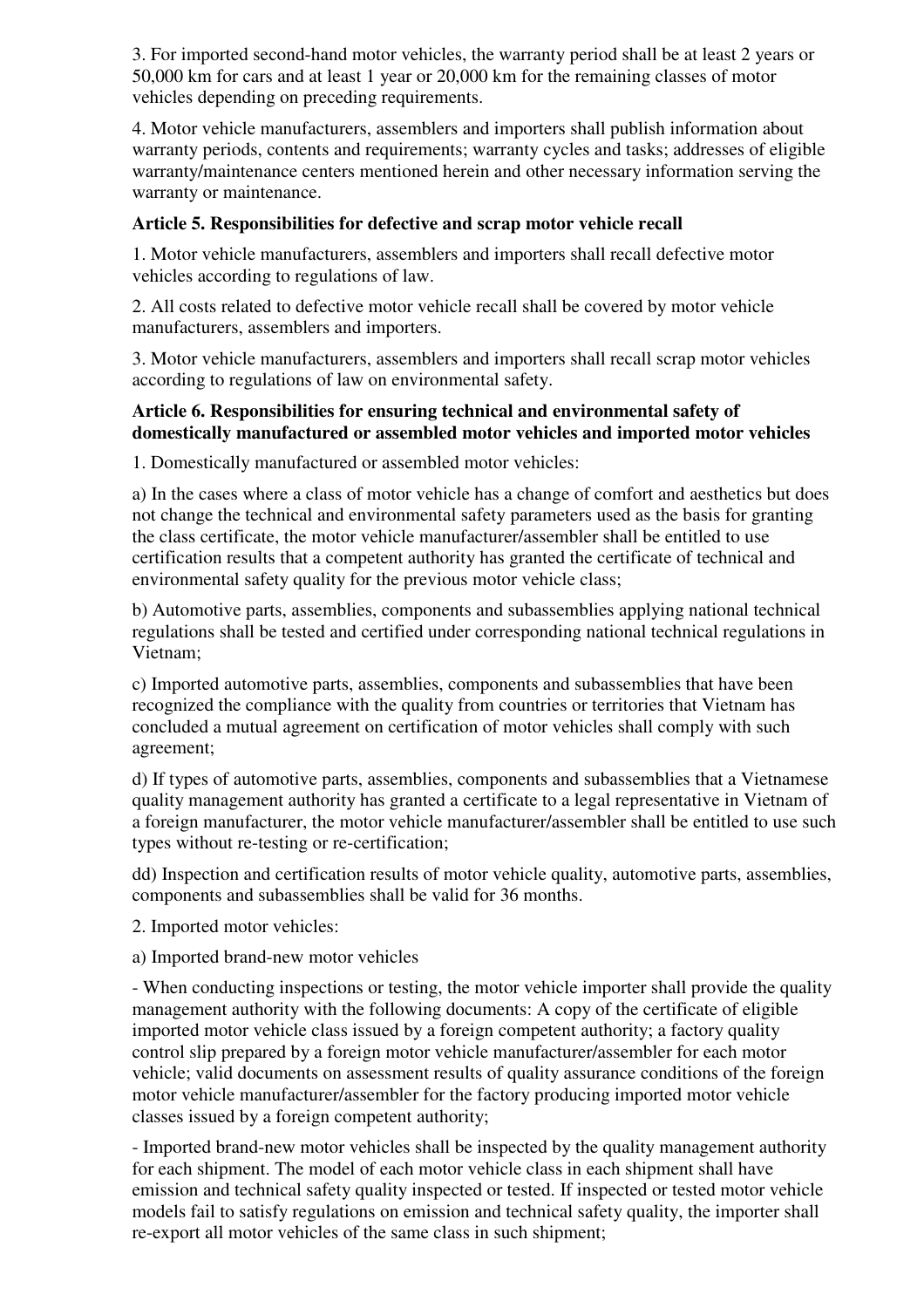3. For imported second-hand motor vehicles, the warranty period shall be at least 2 years or 50,000 km for cars and at least 1 year or 20,000 km for the remaining classes of motor vehicles depending on preceding requirements.

4. Motor vehicle manufacturers, assemblers and importers shall publish information about warranty periods, contents and requirements; warranty cycles and tasks; addresses of eligible warranty/maintenance centers mentioned herein and other necessary information serving the warranty or maintenance.

# **Article 5. Responsibilities for defective and scrap motor vehicle recall**

1. Motor vehicle manufacturers, assemblers and importers shall recall defective motor vehicles according to regulations of law.

2. All costs related to defective motor vehicle recall shall be covered by motor vehicle manufacturers, assemblers and importers.

3. Motor vehicle manufacturers, assemblers and importers shall recall scrap motor vehicles according to regulations of law on environmental safety.

# **Article 6. Responsibilities for ensuring technical and environmental safety of domestically manufactured or assembled motor vehicles and imported motor vehicles**

1. Domestically manufactured or assembled motor vehicles:

a) In the cases where a class of motor vehicle has a change of comfort and aesthetics but does not change the technical and environmental safety parameters used as the basis for granting the class certificate, the motor vehicle manufacturer/assembler shall be entitled to use certification results that a competent authority has granted the certificate of technical and environmental safety quality for the previous motor vehicle class;

b) Automotive parts, assemblies, components and subassemblies applying national technical regulations shall be tested and certified under corresponding national technical regulations in Vietnam;

c) Imported automotive parts, assemblies, components and subassemblies that have been recognized the compliance with the quality from countries or territories that Vietnam has concluded a mutual agreement on certification of motor vehicles shall comply with such agreement;

d) If types of automotive parts, assemblies, components and subassemblies that a Vietnamese quality management authority has granted a certificate to a legal representative in Vietnam of a foreign manufacturer, the motor vehicle manufacturer/assembler shall be entitled to use such types without re-testing or re-certification;

dd) Inspection and certification results of motor vehicle quality, automotive parts, assemblies, components and subassemblies shall be valid for 36 months.

2. Imported motor vehicles:

a) Imported brand-new motor vehicles

- When conducting inspections or testing, the motor vehicle importer shall provide the quality management authority with the following documents: A copy of the certificate of eligible imported motor vehicle class issued by a foreign competent authority; a factory quality control slip prepared by a foreign motor vehicle manufacturer/assembler for each motor vehicle; valid documents on assessment results of quality assurance conditions of the foreign motor vehicle manufacturer/assembler for the factory producing imported motor vehicle classes issued by a foreign competent authority;

- Imported brand-new motor vehicles shall be inspected by the quality management authority for each shipment. The model of each motor vehicle class in each shipment shall have emission and technical safety quality inspected or tested. If inspected or tested motor vehicle models fail to satisfy regulations on emission and technical safety quality, the importer shall re-export all motor vehicles of the same class in such shipment;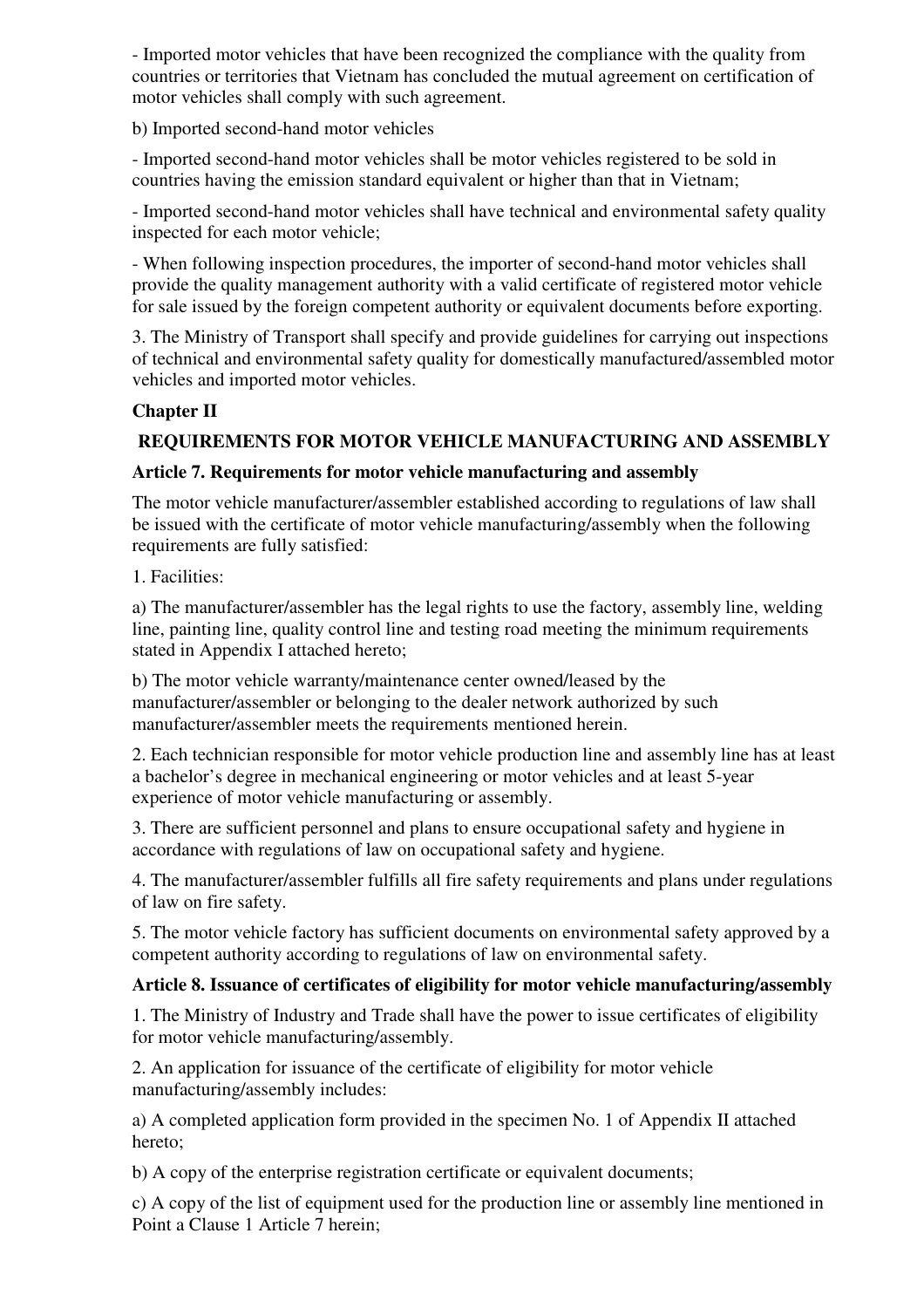- Imported motor vehicles that have been recognized the compliance with the quality from countries or territories that Vietnam has concluded the mutual agreement on certification of motor vehicles shall comply with such agreement.

b) Imported second-hand motor vehicles

- Imported second-hand motor vehicles shall be motor vehicles registered to be sold in countries having the emission standard equivalent or higher than that in Vietnam;

- Imported second-hand motor vehicles shall have technical and environmental safety quality inspected for each motor vehicle;

- When following inspection procedures, the importer of second-hand motor vehicles shall provide the quality management authority with a valid certificate of registered motor vehicle for sale issued by the foreign competent authority or equivalent documents before exporting.

3. The Ministry of Transport shall specify and provide guidelines for carrying out inspections of technical and environmental safety quality for domestically manufactured/assembled motor vehicles and imported motor vehicles.

# **Chapter II**

# **REQUIREMENTS FOR MOTOR VEHICLE MANUFACTURING AND ASSEMBLY**

# **Article 7. Requirements for motor vehicle manufacturing and assembly**

The motor vehicle manufacturer/assembler established according to regulations of law shall be issued with the certificate of motor vehicle manufacturing/assembly when the following requirements are fully satisfied:

1. Facilities:

a) The manufacturer/assembler has the legal rights to use the factory, assembly line, welding line, painting line, quality control line and testing road meeting the minimum requirements stated in Appendix I attached hereto;

b) The motor vehicle warranty/maintenance center owned/leased by the manufacturer/assembler or belonging to the dealer network authorized by such manufacturer/assembler meets the requirements mentioned herein.

2. Each technician responsible for motor vehicle production line and assembly line has at least a bachelor's degree in mechanical engineering or motor vehicles and at least 5-year experience of motor vehicle manufacturing or assembly.

3. There are sufficient personnel and plans to ensure occupational safety and hygiene in accordance with regulations of law on occupational safety and hygiene.

4. The manufacturer/assembler fulfills all fire safety requirements and plans under regulations of law on fire safety.

5. The motor vehicle factory has sufficient documents on environmental safety approved by a competent authority according to regulations of law on environmental safety.

# **Article 8. Issuance of certificates of eligibility for motor vehicle manufacturing/assembly**

1. The Ministry of Industry and Trade shall have the power to issue certificates of eligibility for motor vehicle manufacturing/assembly.

2. An application for issuance of the certificate of eligibility for motor vehicle manufacturing/assembly includes:

a) A completed application form provided in the specimen No. 1 of Appendix II attached hereto;

b) A copy of the enterprise registration certificate or equivalent documents;

c) A copy of the list of equipment used for the production line or assembly line mentioned in Point a Clause 1 Article 7 herein;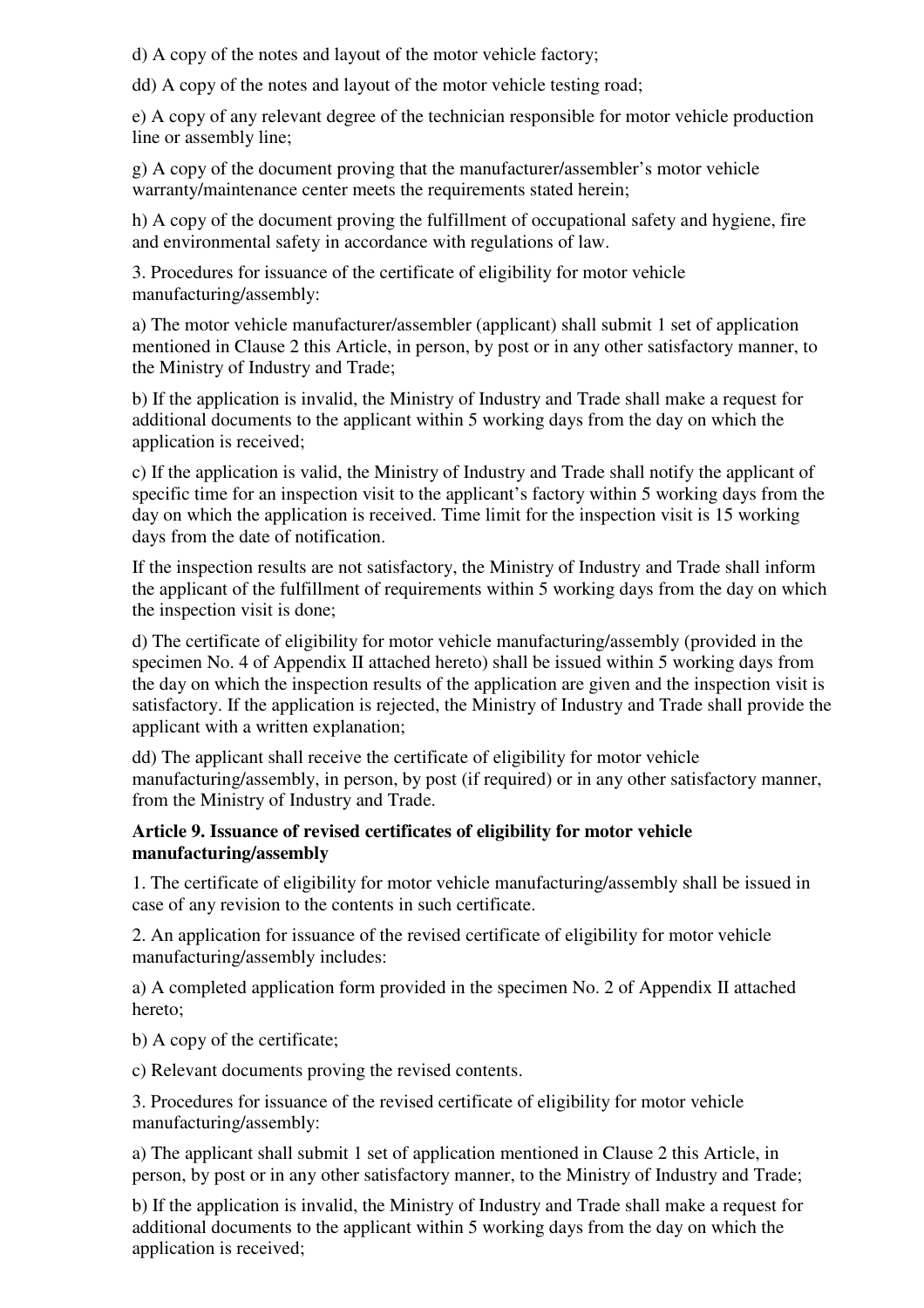d) A copy of the notes and layout of the motor vehicle factory;

dd) A copy of the notes and layout of the motor vehicle testing road;

e) A copy of any relevant degree of the technician responsible for motor vehicle production line or assembly line;

g) A copy of the document proving that the manufacturer/assembler's motor vehicle warranty/maintenance center meets the requirements stated herein;

h) A copy of the document proving the fulfillment of occupational safety and hygiene, fire and environmental safety in accordance with regulations of law.

3. Procedures for issuance of the certificate of eligibility for motor vehicle manufacturing/assembly:

a) The motor vehicle manufacturer/assembler (applicant) shall submit 1 set of application mentioned in Clause 2 this Article, in person, by post or in any other satisfactory manner, to the Ministry of Industry and Trade;

b) If the application is invalid, the Ministry of Industry and Trade shall make a request for additional documents to the applicant within 5 working days from the day on which the application is received;

c) If the application is valid, the Ministry of Industry and Trade shall notify the applicant of specific time for an inspection visit to the applicant's factory within 5 working days from the day on which the application is received. Time limit for the inspection visit is 15 working days from the date of notification.

If the inspection results are not satisfactory, the Ministry of Industry and Trade shall inform the applicant of the fulfillment of requirements within 5 working days from the day on which the inspection visit is done;

d) The certificate of eligibility for motor vehicle manufacturing/assembly (provided in the specimen No. 4 of Appendix II attached hereto) shall be issued within 5 working days from the day on which the inspection results of the application are given and the inspection visit is satisfactory. If the application is rejected, the Ministry of Industry and Trade shall provide the applicant with a written explanation;

dd) The applicant shall receive the certificate of eligibility for motor vehicle manufacturing/assembly, in person, by post (if required) or in any other satisfactory manner, from the Ministry of Industry and Trade.

### **Article 9. Issuance of revised certificates of eligibility for motor vehicle manufacturing/assembly**

1. The certificate of eligibility for motor vehicle manufacturing/assembly shall be issued in case of any revision to the contents in such certificate.

2. An application for issuance of the revised certificate of eligibility for motor vehicle manufacturing/assembly includes:

a) A completed application form provided in the specimen No. 2 of Appendix II attached hereto;

b) A copy of the certificate;

c) Relevant documents proving the revised contents.

3. Procedures for issuance of the revised certificate of eligibility for motor vehicle manufacturing/assembly:

a) The applicant shall submit 1 set of application mentioned in Clause 2 this Article, in person, by post or in any other satisfactory manner, to the Ministry of Industry and Trade;

b) If the application is invalid, the Ministry of Industry and Trade shall make a request for additional documents to the applicant within 5 working days from the day on which the application is received;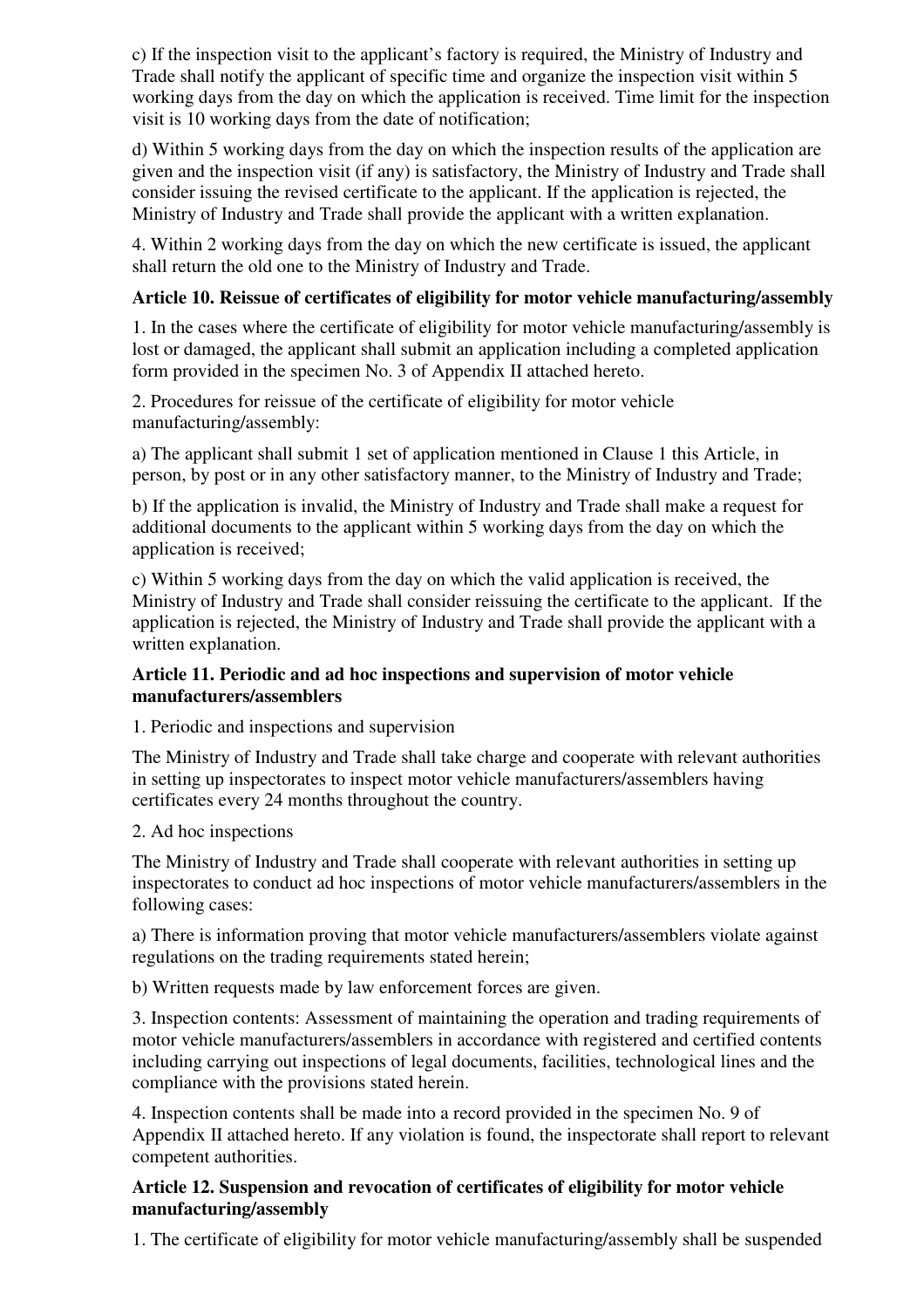c) If the inspection visit to the applicant's factory is required, the Ministry of Industry and Trade shall notify the applicant of specific time and organize the inspection visit within 5 working days from the day on which the application is received. Time limit for the inspection visit is 10 working days from the date of notification;

d) Within 5 working days from the day on which the inspection results of the application are given and the inspection visit (if any) is satisfactory, the Ministry of Industry and Trade shall consider issuing the revised certificate to the applicant. If the application is rejected, the Ministry of Industry and Trade shall provide the applicant with a written explanation.

4. Within 2 working days from the day on which the new certificate is issued, the applicant shall return the old one to the Ministry of Industry and Trade.

# **Article 10. Reissue of certificates of eligibility for motor vehicle manufacturing/assembly**

1. In the cases where the certificate of eligibility for motor vehicle manufacturing/assembly is lost or damaged, the applicant shall submit an application including a completed application form provided in the specimen No. 3 of Appendix II attached hereto.

2. Procedures for reissue of the certificate of eligibility for motor vehicle manufacturing/assembly:

a) The applicant shall submit 1 set of application mentioned in Clause 1 this Article, in person, by post or in any other satisfactory manner, to the Ministry of Industry and Trade;

b) If the application is invalid, the Ministry of Industry and Trade shall make a request for additional documents to the applicant within 5 working days from the day on which the application is received;

c) Within 5 working days from the day on which the valid application is received, the Ministry of Industry and Trade shall consider reissuing the certificate to the applicant. If the application is rejected, the Ministry of Industry and Trade shall provide the applicant with a written explanation.

### **Article 11. Periodic and ad hoc inspections and supervision of motor vehicle manufacturers/assemblers**

1. Periodic and inspections and supervision

The Ministry of Industry and Trade shall take charge and cooperate with relevant authorities in setting up inspectorates to inspect motor vehicle manufacturers/assemblers having certificates every 24 months throughout the country.

# 2. Ad hoc inspections

The Ministry of Industry and Trade shall cooperate with relevant authorities in setting up inspectorates to conduct ad hoc inspections of motor vehicle manufacturers/assemblers in the following cases:

a) There is information proving that motor vehicle manufacturers/assemblers violate against regulations on the trading requirements stated herein;

b) Written requests made by law enforcement forces are given.

3. Inspection contents: Assessment of maintaining the operation and trading requirements of motor vehicle manufacturers/assemblers in accordance with registered and certified contents including carrying out inspections of legal documents, facilities, technological lines and the compliance with the provisions stated herein.

4. Inspection contents shall be made into a record provided in the specimen No. 9 of Appendix II attached hereto. If any violation is found, the inspectorate shall report to relevant competent authorities.

### **Article 12. Suspension and revocation of certificates of eligibility for motor vehicle manufacturing/assembly**

1. The certificate of eligibility for motor vehicle manufacturing/assembly shall be suspended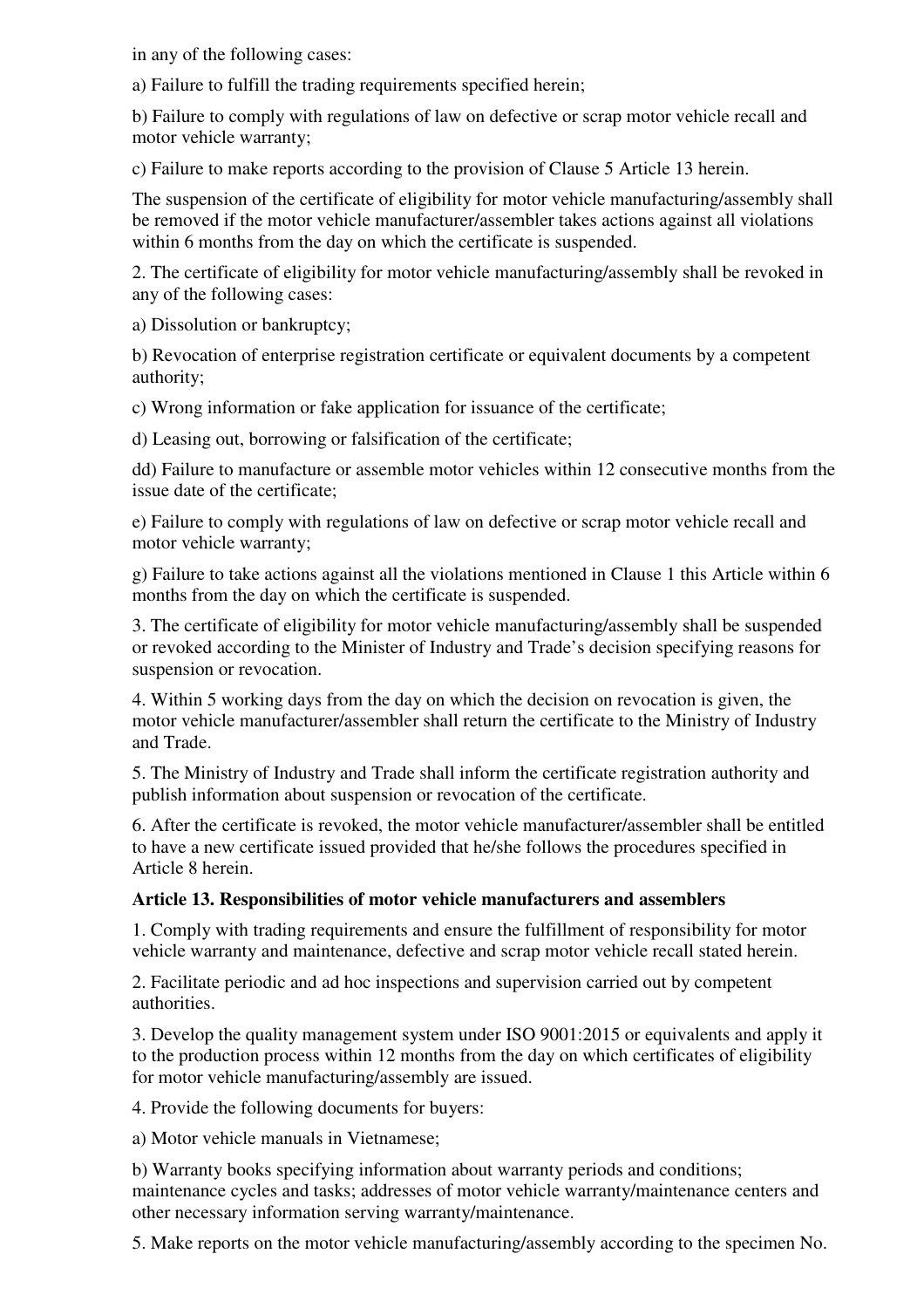in any of the following cases:

a) Failure to fulfill the trading requirements specified herein;

b) Failure to comply with regulations of law on defective or scrap motor vehicle recall and motor vehicle warranty;

c) Failure to make reports according to the provision of Clause 5 Article 13 herein.

The suspension of the certificate of eligibility for motor vehicle manufacturing/assembly shall be removed if the motor vehicle manufacturer/assembler takes actions against all violations within 6 months from the day on which the certificate is suspended.

2. The certificate of eligibility for motor vehicle manufacturing/assembly shall be revoked in any of the following cases:

a) Dissolution or bankruptcy;

b) Revocation of enterprise registration certificate or equivalent documents by a competent authority;

c) Wrong information or fake application for issuance of the certificate;

d) Leasing out, borrowing or falsification of the certificate;

dd) Failure to manufacture or assemble motor vehicles within 12 consecutive months from the issue date of the certificate;

e) Failure to comply with regulations of law on defective or scrap motor vehicle recall and motor vehicle warranty;

g) Failure to take actions against all the violations mentioned in Clause 1 this Article within 6 months from the day on which the certificate is suspended.

3. The certificate of eligibility for motor vehicle manufacturing/assembly shall be suspended or revoked according to the Minister of Industry and Trade's decision specifying reasons for suspension or revocation.

4. Within 5 working days from the day on which the decision on revocation is given, the motor vehicle manufacturer/assembler shall return the certificate to the Ministry of Industry and Trade.

5. The Ministry of Industry and Trade shall inform the certificate registration authority and publish information about suspension or revocation of the certificate.

6. After the certificate is revoked, the motor vehicle manufacturer/assembler shall be entitled to have a new certificate issued provided that he/she follows the procedures specified in Article 8 herein.

# **Article 13. Responsibilities of motor vehicle manufacturers and assemblers**

1. Comply with trading requirements and ensure the fulfillment of responsibility for motor vehicle warranty and maintenance, defective and scrap motor vehicle recall stated herein.

2. Facilitate periodic and ad hoc inspections and supervision carried out by competent authorities.

3. Develop the quality management system under ISO 9001:2015 or equivalents and apply it to the production process within 12 months from the day on which certificates of eligibility for motor vehicle manufacturing/assembly are issued.

4. Provide the following documents for buyers:

a) Motor vehicle manuals in Vietnamese;

b) Warranty books specifying information about warranty periods and conditions; maintenance cycles and tasks; addresses of motor vehicle warranty/maintenance centers and other necessary information serving warranty/maintenance.

5. Make reports on the motor vehicle manufacturing/assembly according to the specimen No.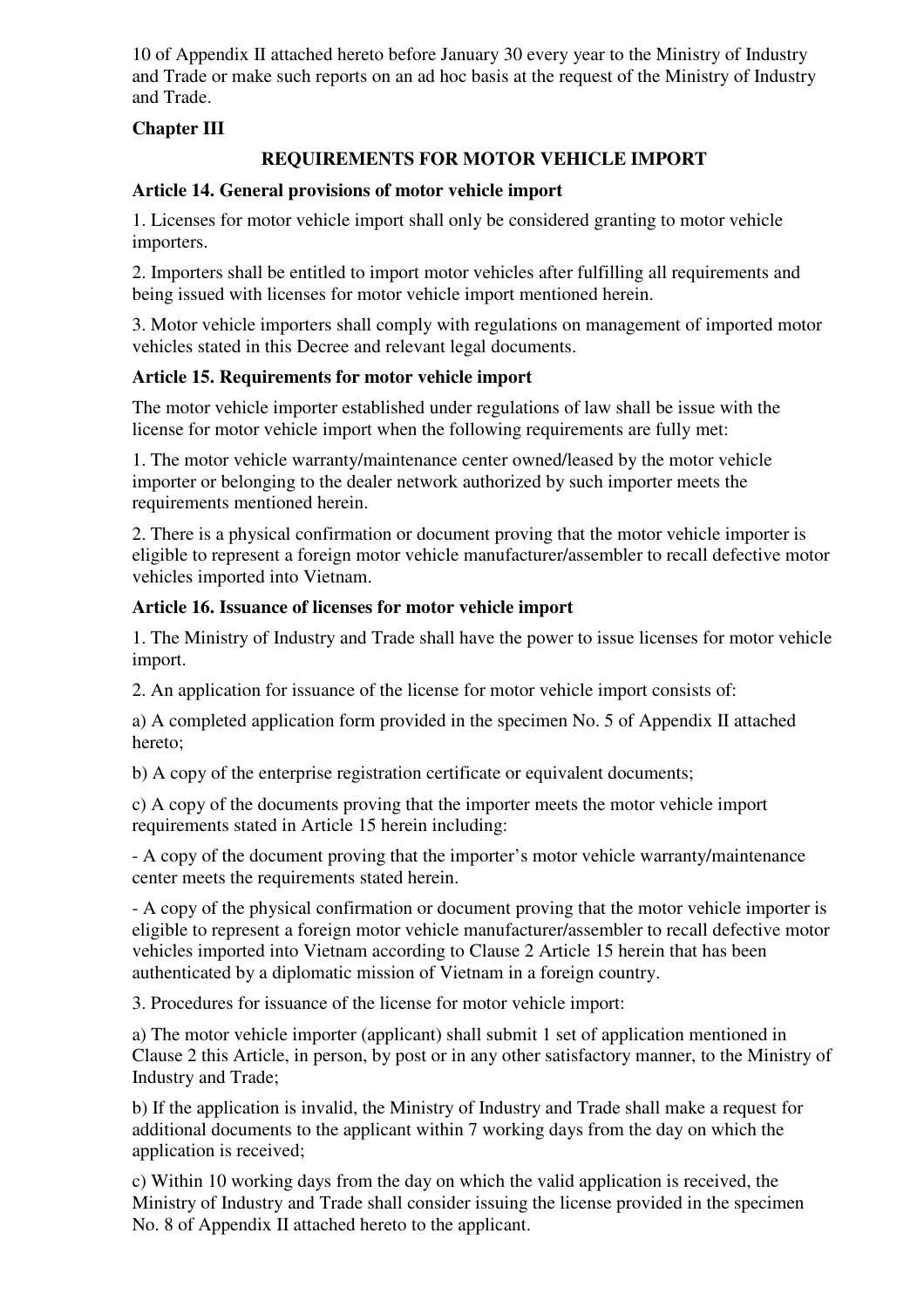10 of Appendix II attached hereto before January 30 every year to the Ministry of Industry and Trade or make such reports on an ad hoc basis at the request of the Ministry of Industry and Trade.

# **Chapter III**

# **REQUIREMENTS FOR MOTOR VEHICLE IMPORT**

# **Article 14. General provisions of motor vehicle import**

1. Licenses for motor vehicle import shall only be considered granting to motor vehicle importers.

2. Importers shall be entitled to import motor vehicles after fulfilling all requirements and being issued with licenses for motor vehicle import mentioned herein.

3. Motor vehicle importers shall comply with regulations on management of imported motor vehicles stated in this Decree and relevant legal documents.

# **Article 15. Requirements for motor vehicle import**

The motor vehicle importer established under regulations of law shall be issue with the license for motor vehicle import when the following requirements are fully met:

1. The motor vehicle warranty/maintenance center owned/leased by the motor vehicle importer or belonging to the dealer network authorized by such importer meets the requirements mentioned herein.

2. There is a physical confirmation or document proving that the motor vehicle importer is eligible to represent a foreign motor vehicle manufacturer/assembler to recall defective motor vehicles imported into Vietnam.

# **Article 16. Issuance of licenses for motor vehicle import**

1. The Ministry of Industry and Trade shall have the power to issue licenses for motor vehicle import.

2. An application for issuance of the license for motor vehicle import consists of:

a) A completed application form provided in the specimen No. 5 of Appendix II attached hereto;

b) A copy of the enterprise registration certificate or equivalent documents;

c) A copy of the documents proving that the importer meets the motor vehicle import requirements stated in Article 15 herein including:

- A copy of the document proving that the importer's motor vehicle warranty/maintenance center meets the requirements stated herein.

- A copy of the physical confirmation or document proving that the motor vehicle importer is eligible to represent a foreign motor vehicle manufacturer/assembler to recall defective motor vehicles imported into Vietnam according to Clause 2 Article 15 herein that has been authenticated by a diplomatic mission of Vietnam in a foreign country.

3. Procedures for issuance of the license for motor vehicle import:

a) The motor vehicle importer (applicant) shall submit 1 set of application mentioned in Clause 2 this Article, in person, by post or in any other satisfactory manner, to the Ministry of Industry and Trade;

b) If the application is invalid, the Ministry of Industry and Trade shall make a request for additional documents to the applicant within 7 working days from the day on which the application is received;

c) Within 10 working days from the day on which the valid application is received, the Ministry of Industry and Trade shall consider issuing the license provided in the specimen No. 8 of Appendix II attached hereto to the applicant.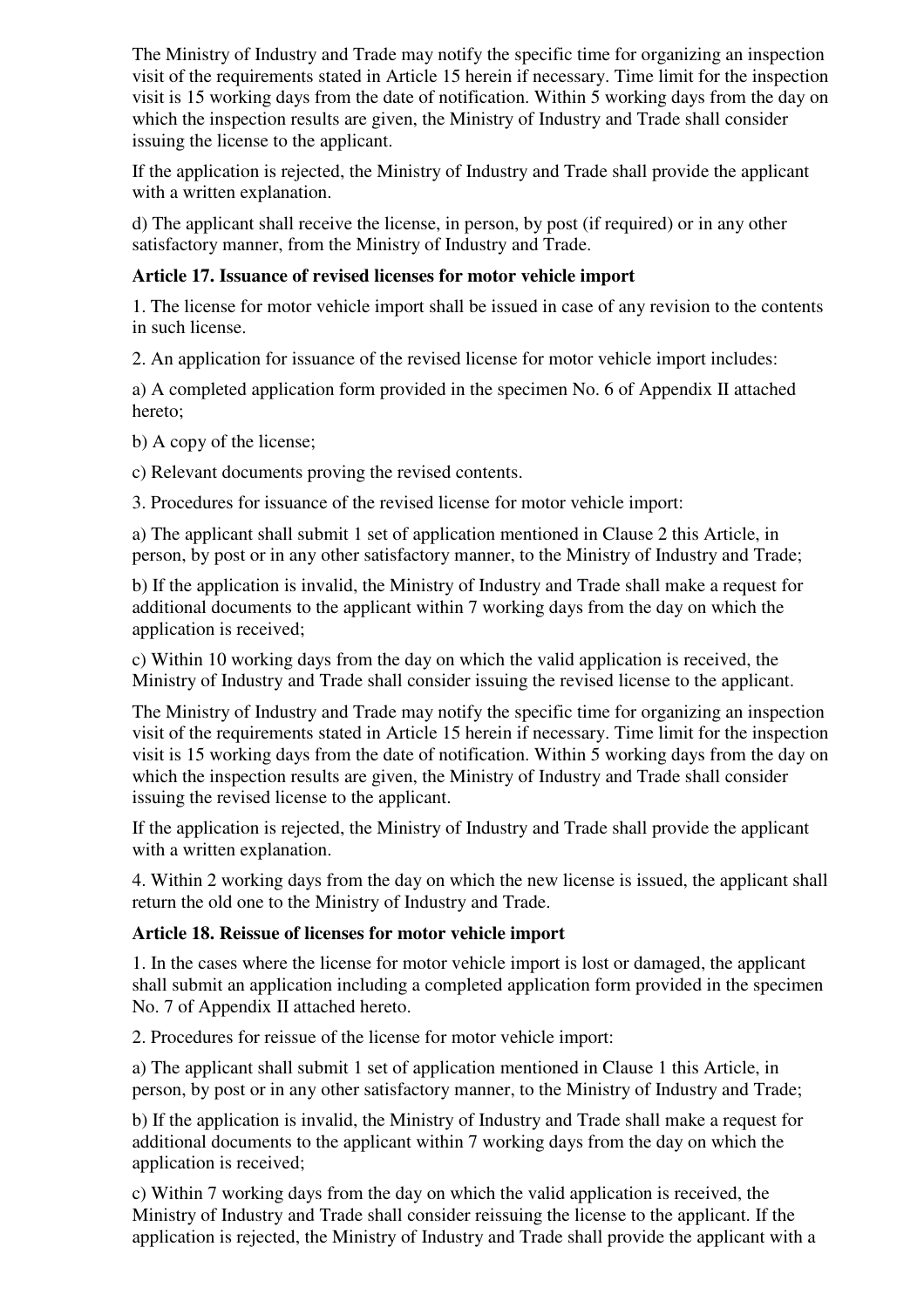The Ministry of Industry and Trade may notify the specific time for organizing an inspection visit of the requirements stated in Article 15 herein if necessary. Time limit for the inspection visit is 15 working days from the date of notification. Within 5 working days from the day on which the inspection results are given, the Ministry of Industry and Trade shall consider issuing the license to the applicant.

If the application is rejected, the Ministry of Industry and Trade shall provide the applicant with a written explanation.

d) The applicant shall receive the license, in person, by post (if required) or in any other satisfactory manner, from the Ministry of Industry and Trade.

# **Article 17. Issuance of revised licenses for motor vehicle import**

1. The license for motor vehicle import shall be issued in case of any revision to the contents in such license.

2. An application for issuance of the revised license for motor vehicle import includes:

a) A completed application form provided in the specimen No. 6 of Appendix II attached hereto;

b) A copy of the license;

c) Relevant documents proving the revised contents.

3. Procedures for issuance of the revised license for motor vehicle import:

a) The applicant shall submit 1 set of application mentioned in Clause 2 this Article, in person, by post or in any other satisfactory manner, to the Ministry of Industry and Trade;

b) If the application is invalid, the Ministry of Industry and Trade shall make a request for additional documents to the applicant within 7 working days from the day on which the application is received;

c) Within 10 working days from the day on which the valid application is received, the Ministry of Industry and Trade shall consider issuing the revised license to the applicant.

The Ministry of Industry and Trade may notify the specific time for organizing an inspection visit of the requirements stated in Article 15 herein if necessary. Time limit for the inspection visit is 15 working days from the date of notification. Within 5 working days from the day on which the inspection results are given, the Ministry of Industry and Trade shall consider issuing the revised license to the applicant.

If the application is rejected, the Ministry of Industry and Trade shall provide the applicant with a written explanation.

4. Within 2 working days from the day on which the new license is issued, the applicant shall return the old one to the Ministry of Industry and Trade.

# **Article 18. Reissue of licenses for motor vehicle import**

1. In the cases where the license for motor vehicle import is lost or damaged, the applicant shall submit an application including a completed application form provided in the specimen No. 7 of Appendix II attached hereto.

2. Procedures for reissue of the license for motor vehicle import:

a) The applicant shall submit 1 set of application mentioned in Clause 1 this Article, in person, by post or in any other satisfactory manner, to the Ministry of Industry and Trade;

b) If the application is invalid, the Ministry of Industry and Trade shall make a request for additional documents to the applicant within 7 working days from the day on which the application is received;

c) Within 7 working days from the day on which the valid application is received, the Ministry of Industry and Trade shall consider reissuing the license to the applicant. If the application is rejected, the Ministry of Industry and Trade shall provide the applicant with a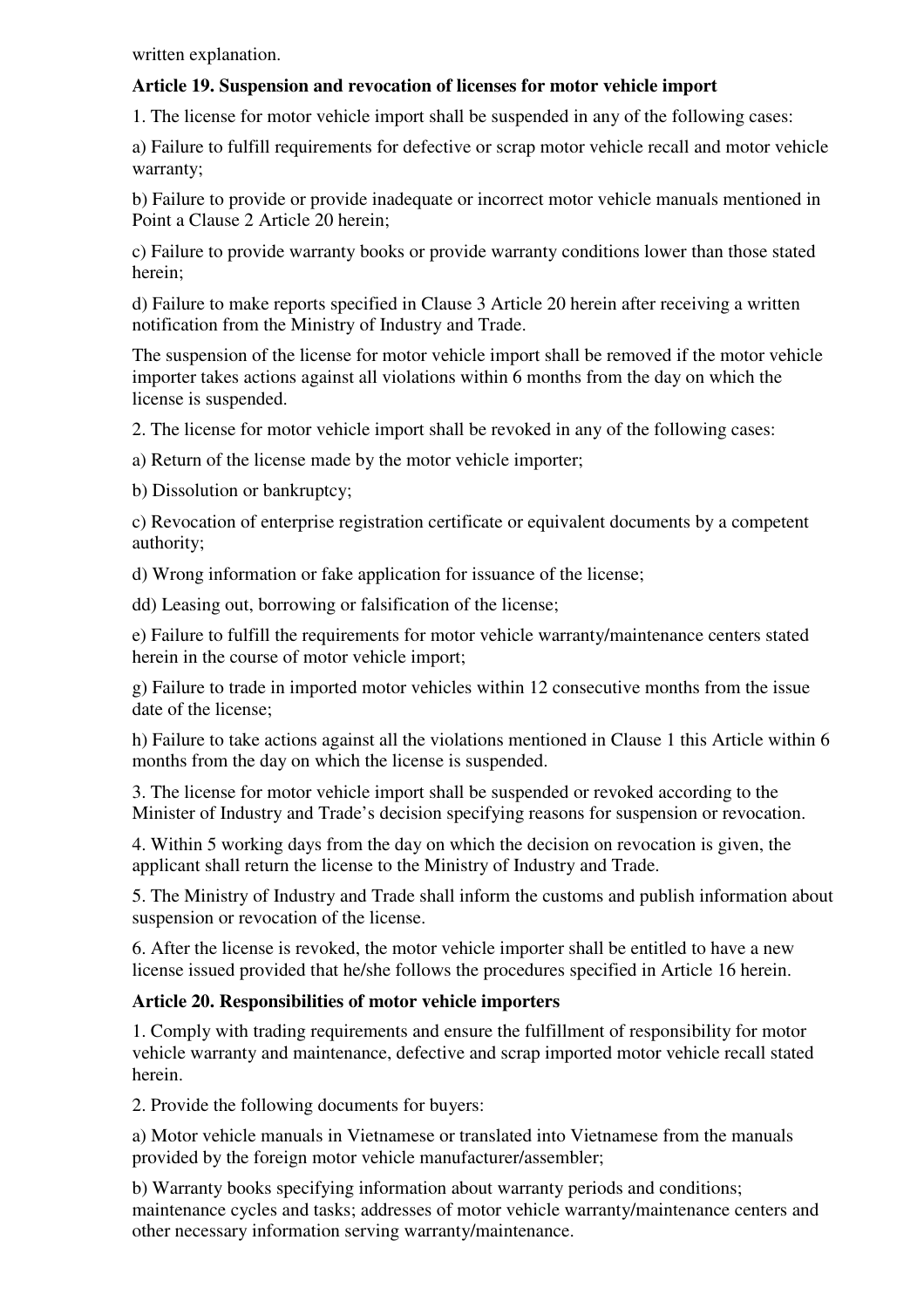written explanation.

# **Article 19. Suspension and revocation of licenses for motor vehicle import**

1. The license for motor vehicle import shall be suspended in any of the following cases:

a) Failure to fulfill requirements for defective or scrap motor vehicle recall and motor vehicle warranty;

b) Failure to provide or provide inadequate or incorrect motor vehicle manuals mentioned in Point a Clause 2 Article 20 herein;

c) Failure to provide warranty books or provide warranty conditions lower than those stated herein;

d) Failure to make reports specified in Clause 3 Article 20 herein after receiving a written notification from the Ministry of Industry and Trade.

The suspension of the license for motor vehicle import shall be removed if the motor vehicle importer takes actions against all violations within 6 months from the day on which the license is suspended.

2. The license for motor vehicle import shall be revoked in any of the following cases:

a) Return of the license made by the motor vehicle importer;

b) Dissolution or bankruptcy;

c) Revocation of enterprise registration certificate or equivalent documents by a competent authority;

d) Wrong information or fake application for issuance of the license;

dd) Leasing out, borrowing or falsification of the license;

e) Failure to fulfill the requirements for motor vehicle warranty/maintenance centers stated herein in the course of motor vehicle import;

g) Failure to trade in imported motor vehicles within 12 consecutive months from the issue date of the license;

h) Failure to take actions against all the violations mentioned in Clause 1 this Article within 6 months from the day on which the license is suspended.

3. The license for motor vehicle import shall be suspended or revoked according to the Minister of Industry and Trade's decision specifying reasons for suspension or revocation.

4. Within 5 working days from the day on which the decision on revocation is given, the applicant shall return the license to the Ministry of Industry and Trade.

5. The Ministry of Industry and Trade shall inform the customs and publish information about suspension or revocation of the license.

6. After the license is revoked, the motor vehicle importer shall be entitled to have a new license issued provided that he/she follows the procedures specified in Article 16 herein.

# **Article 20. Responsibilities of motor vehicle importers**

1. Comply with trading requirements and ensure the fulfillment of responsibility for motor vehicle warranty and maintenance, defective and scrap imported motor vehicle recall stated herein.

2. Provide the following documents for buyers:

a) Motor vehicle manuals in Vietnamese or translated into Vietnamese from the manuals provided by the foreign motor vehicle manufacturer/assembler;

b) Warranty books specifying information about warranty periods and conditions; maintenance cycles and tasks; addresses of motor vehicle warranty/maintenance centers and other necessary information serving warranty/maintenance.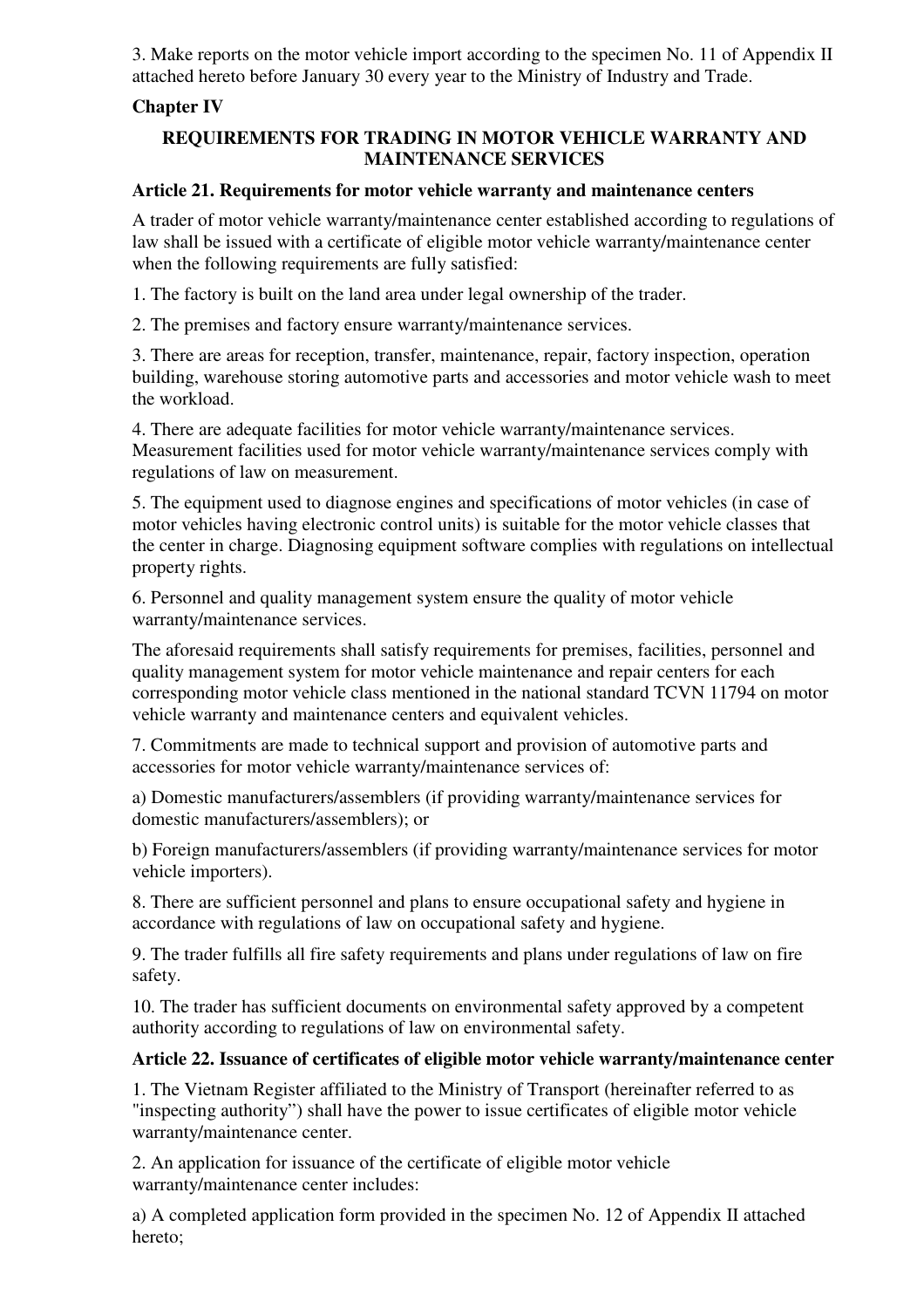3. Make reports on the motor vehicle import according to the specimen No. 11 of Appendix II attached hereto before January 30 every year to the Ministry of Industry and Trade.

# **Chapter IV**

# **REQUIREMENTS FOR TRADING IN MOTOR VEHICLE WARRANTY AND MAINTENANCE SERVICES**

### **Article 21. Requirements for motor vehicle warranty and maintenance centers**

A trader of motor vehicle warranty/maintenance center established according to regulations of law shall be issued with a certificate of eligible motor vehicle warranty/maintenance center when the following requirements are fully satisfied:

1. The factory is built on the land area under legal ownership of the trader.

2. The premises and factory ensure warranty/maintenance services.

3. There are areas for reception, transfer, maintenance, repair, factory inspection, operation building, warehouse storing automotive parts and accessories and motor vehicle wash to meet the workload.

4. There are adequate facilities for motor vehicle warranty/maintenance services. Measurement facilities used for motor vehicle warranty/maintenance services comply with regulations of law on measurement.

5. The equipment used to diagnose engines and specifications of motor vehicles (in case of motor vehicles having electronic control units) is suitable for the motor vehicle classes that the center in charge. Diagnosing equipment software complies with regulations on intellectual property rights.

6. Personnel and quality management system ensure the quality of motor vehicle warranty/maintenance services.

The aforesaid requirements shall satisfy requirements for premises, facilities, personnel and quality management system for motor vehicle maintenance and repair centers for each corresponding motor vehicle class mentioned in the national standard TCVN 11794 on motor vehicle warranty and maintenance centers and equivalent vehicles.

7. Commitments are made to technical support and provision of automotive parts and accessories for motor vehicle warranty/maintenance services of:

a) Domestic manufacturers/assemblers (if providing warranty/maintenance services for domestic manufacturers/assemblers); or

b) Foreign manufacturers/assemblers (if providing warranty/maintenance services for motor vehicle importers).

8. There are sufficient personnel and plans to ensure occupational safety and hygiene in accordance with regulations of law on occupational safety and hygiene.

9. The trader fulfills all fire safety requirements and plans under regulations of law on fire safety.

10. The trader has sufficient documents on environmental safety approved by a competent authority according to regulations of law on environmental safety.

#### **Article 22. Issuance of certificates of eligible motor vehicle warranty/maintenance center**

1. The Vietnam Register affiliated to the Ministry of Transport (hereinafter referred to as "inspecting authority") shall have the power to issue certificates of eligible motor vehicle warranty/maintenance center.

2. An application for issuance of the certificate of eligible motor vehicle warranty/maintenance center includes:

a) A completed application form provided in the specimen No. 12 of Appendix II attached hereto;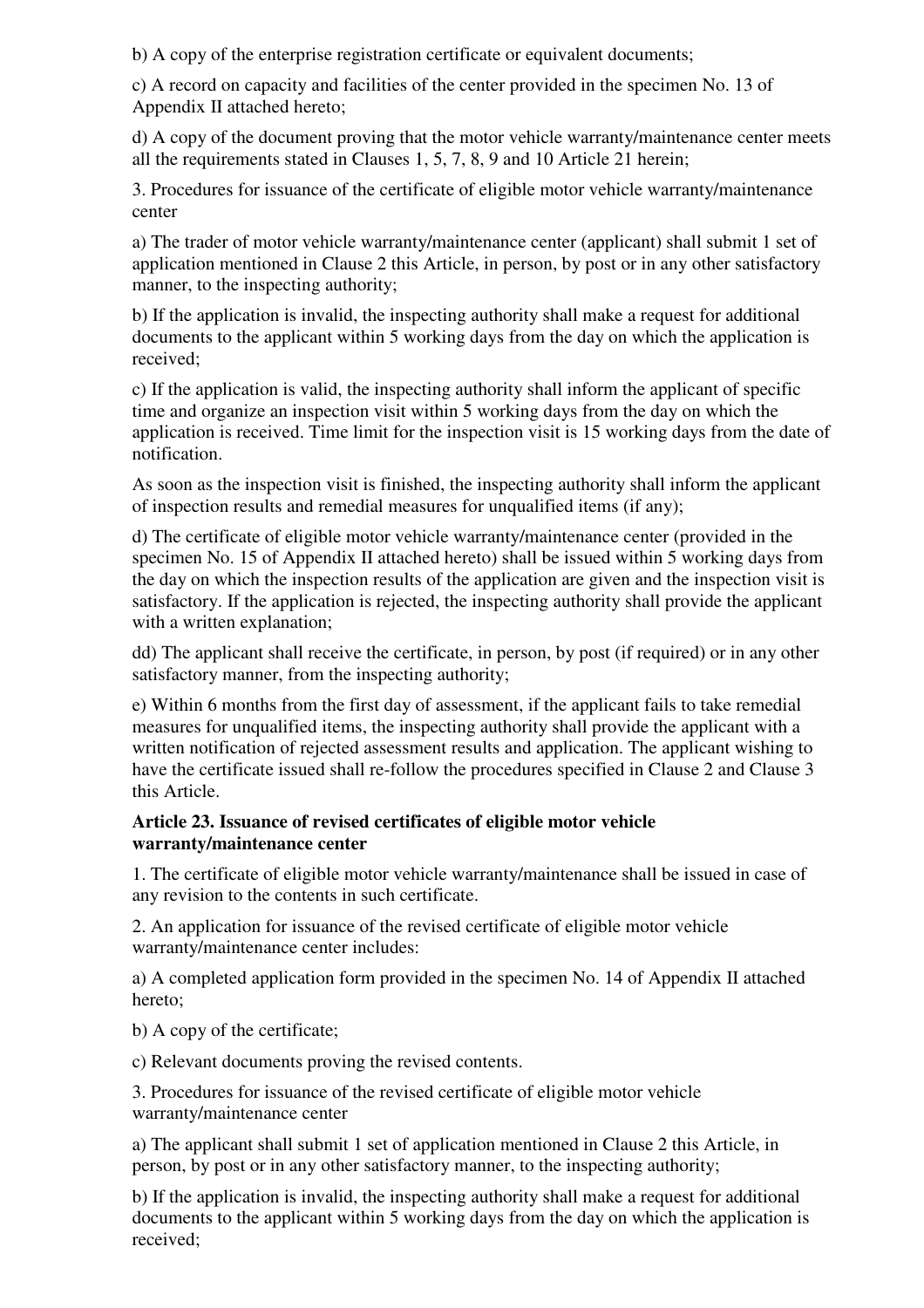b) A copy of the enterprise registration certificate or equivalent documents;

c) A record on capacity and facilities of the center provided in the specimen No. 13 of Appendix II attached hereto;

d) A copy of the document proving that the motor vehicle warranty/maintenance center meets all the requirements stated in Clauses 1, 5, 7, 8, 9 and 10 Article 21 herein;

3. Procedures for issuance of the certificate of eligible motor vehicle warranty/maintenance center

a) The trader of motor vehicle warranty/maintenance center (applicant) shall submit 1 set of application mentioned in Clause 2 this Article, in person, by post or in any other satisfactory manner, to the inspecting authority;

b) If the application is invalid, the inspecting authority shall make a request for additional documents to the applicant within 5 working days from the day on which the application is received;

c) If the application is valid, the inspecting authority shall inform the applicant of specific time and organize an inspection visit within 5 working days from the day on which the application is received. Time limit for the inspection visit is 15 working days from the date of notification.

As soon as the inspection visit is finished, the inspecting authority shall inform the applicant of inspection results and remedial measures for unqualified items (if any);

d) The certificate of eligible motor vehicle warranty/maintenance center (provided in the specimen No. 15 of Appendix II attached hereto) shall be issued within 5 working days from the day on which the inspection results of the application are given and the inspection visit is satisfactory. If the application is rejected, the inspecting authority shall provide the applicant with a written explanation;

dd) The applicant shall receive the certificate, in person, by post (if required) or in any other satisfactory manner, from the inspecting authority;

e) Within 6 months from the first day of assessment, if the applicant fails to take remedial measures for unqualified items, the inspecting authority shall provide the applicant with a written notification of rejected assessment results and application. The applicant wishing to have the certificate issued shall re-follow the procedures specified in Clause 2 and Clause 3 this Article.

#### **Article 23. Issuance of revised certificates of eligible motor vehicle warranty/maintenance center**

1. The certificate of eligible motor vehicle warranty/maintenance shall be issued in case of any revision to the contents in such certificate.

2. An application for issuance of the revised certificate of eligible motor vehicle warranty/maintenance center includes:

a) A completed application form provided in the specimen No. 14 of Appendix II attached hereto;

b) A copy of the certificate;

c) Relevant documents proving the revised contents.

3. Procedures for issuance of the revised certificate of eligible motor vehicle warranty/maintenance center

a) The applicant shall submit 1 set of application mentioned in Clause 2 this Article, in person, by post or in any other satisfactory manner, to the inspecting authority;

b) If the application is invalid, the inspecting authority shall make a request for additional documents to the applicant within 5 working days from the day on which the application is received;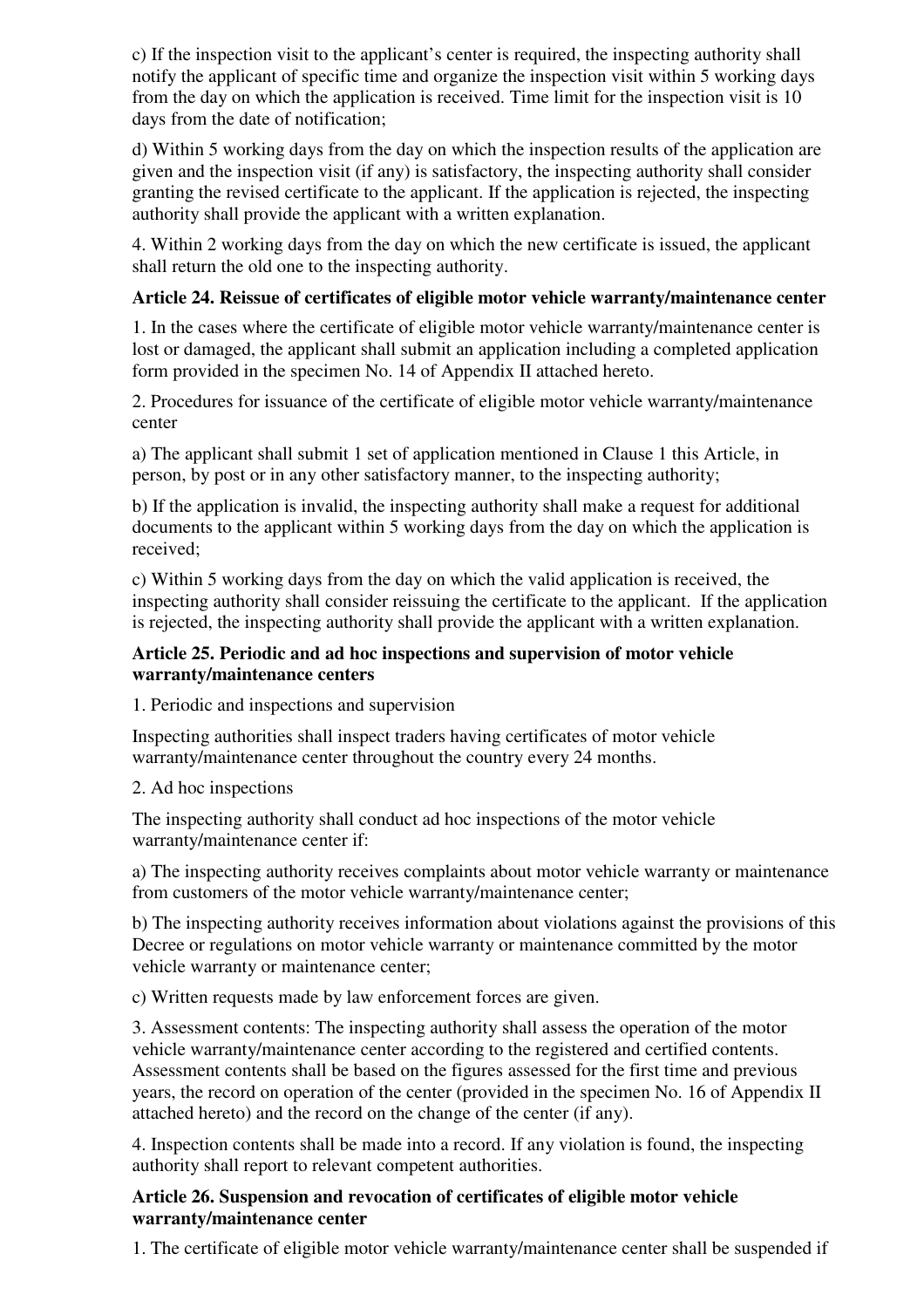c) If the inspection visit to the applicant's center is required, the inspecting authority shall notify the applicant of specific time and organize the inspection visit within 5 working days from the day on which the application is received. Time limit for the inspection visit is 10 days from the date of notification;

d) Within 5 working days from the day on which the inspection results of the application are given and the inspection visit (if any) is satisfactory, the inspecting authority shall consider granting the revised certificate to the applicant. If the application is rejected, the inspecting authority shall provide the applicant with a written explanation.

4. Within 2 working days from the day on which the new certificate is issued, the applicant shall return the old one to the inspecting authority.

# **Article 24. Reissue of certificates of eligible motor vehicle warranty/maintenance center**

1. In the cases where the certificate of eligible motor vehicle warranty/maintenance center is lost or damaged, the applicant shall submit an application including a completed application form provided in the specimen No. 14 of Appendix II attached hereto.

2. Procedures for issuance of the certificate of eligible motor vehicle warranty/maintenance center

a) The applicant shall submit 1 set of application mentioned in Clause 1 this Article, in person, by post or in any other satisfactory manner, to the inspecting authority;

b) If the application is invalid, the inspecting authority shall make a request for additional documents to the applicant within 5 working days from the day on which the application is received;

c) Within 5 working days from the day on which the valid application is received, the inspecting authority shall consider reissuing the certificate to the applicant. If the application is rejected, the inspecting authority shall provide the applicant with a written explanation.

### **Article 25. Periodic and ad hoc inspections and supervision of motor vehicle warranty/maintenance centers**

1. Periodic and inspections and supervision

Inspecting authorities shall inspect traders having certificates of motor vehicle warranty/maintenance center throughout the country every 24 months.

# 2. Ad hoc inspections

The inspecting authority shall conduct ad hoc inspections of the motor vehicle warranty/maintenance center if:

a) The inspecting authority receives complaints about motor vehicle warranty or maintenance from customers of the motor vehicle warranty/maintenance center;

b) The inspecting authority receives information about violations against the provisions of this Decree or regulations on motor vehicle warranty or maintenance committed by the motor vehicle warranty or maintenance center;

c) Written requests made by law enforcement forces are given.

3. Assessment contents: The inspecting authority shall assess the operation of the motor vehicle warranty/maintenance center according to the registered and certified contents. Assessment contents shall be based on the figures assessed for the first time and previous years, the record on operation of the center (provided in the specimen No. 16 of Appendix II attached hereto) and the record on the change of the center (if any).

4. Inspection contents shall be made into a record. If any violation is found, the inspecting authority shall report to relevant competent authorities.

### **Article 26. Suspension and revocation of certificates of eligible motor vehicle warranty/maintenance center**

1. The certificate of eligible motor vehicle warranty/maintenance center shall be suspended if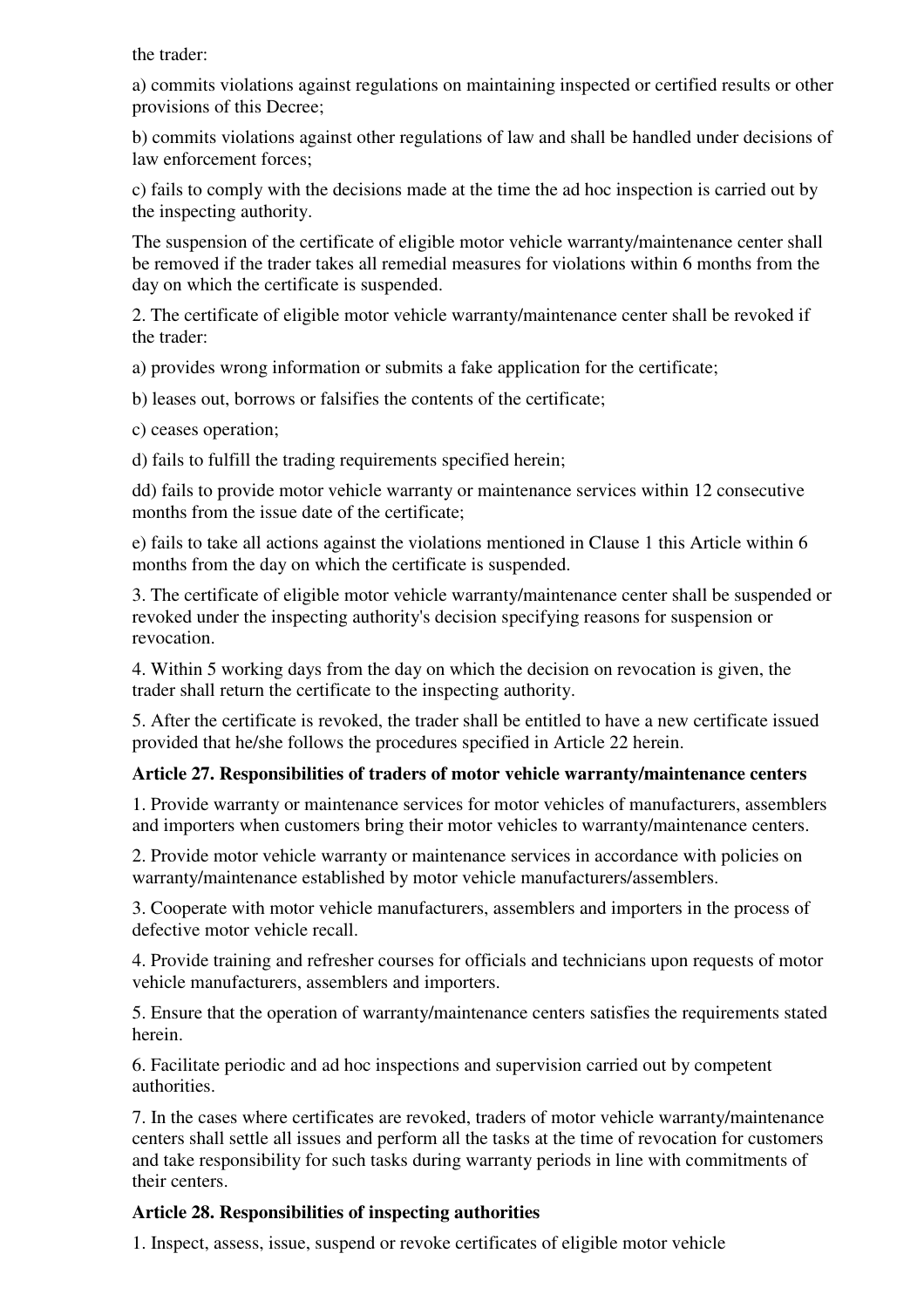the trader:

a) commits violations against regulations on maintaining inspected or certified results or other provisions of this Decree;

b) commits violations against other regulations of law and shall be handled under decisions of law enforcement forces;

c) fails to comply with the decisions made at the time the ad hoc inspection is carried out by the inspecting authority.

The suspension of the certificate of eligible motor vehicle warranty/maintenance center shall be removed if the trader takes all remedial measures for violations within 6 months from the day on which the certificate is suspended.

2. The certificate of eligible motor vehicle warranty/maintenance center shall be revoked if the trader:

a) provides wrong information or submits a fake application for the certificate;

b) leases out, borrows or falsifies the contents of the certificate;

c) ceases operation;

d) fails to fulfill the trading requirements specified herein;

dd) fails to provide motor vehicle warranty or maintenance services within 12 consecutive months from the issue date of the certificate;

e) fails to take all actions against the violations mentioned in Clause 1 this Article within 6 months from the day on which the certificate is suspended.

3. The certificate of eligible motor vehicle warranty/maintenance center shall be suspended or revoked under the inspecting authority's decision specifying reasons for suspension or revocation.

4. Within 5 working days from the day on which the decision on revocation is given, the trader shall return the certificate to the inspecting authority.

5. After the certificate is revoked, the trader shall be entitled to have a new certificate issued provided that he/she follows the procedures specified in Article 22 herein.

# **Article 27. Responsibilities of traders of motor vehicle warranty/maintenance centers**

1. Provide warranty or maintenance services for motor vehicles of manufacturers, assemblers and importers when customers bring their motor vehicles to warranty/maintenance centers.

2. Provide motor vehicle warranty or maintenance services in accordance with policies on warranty/maintenance established by motor vehicle manufacturers/assemblers.

3. Cooperate with motor vehicle manufacturers, assemblers and importers in the process of defective motor vehicle recall.

4. Provide training and refresher courses for officials and technicians upon requests of motor vehicle manufacturers, assemblers and importers.

5. Ensure that the operation of warranty/maintenance centers satisfies the requirements stated herein.

6. Facilitate periodic and ad hoc inspections and supervision carried out by competent authorities.

7. In the cases where certificates are revoked, traders of motor vehicle warranty/maintenance centers shall settle all issues and perform all the tasks at the time of revocation for customers and take responsibility for such tasks during warranty periods in line with commitments of their centers.

#### **Article 28. Responsibilities of inspecting authorities**

1. Inspect, assess, issue, suspend or revoke certificates of eligible motor vehicle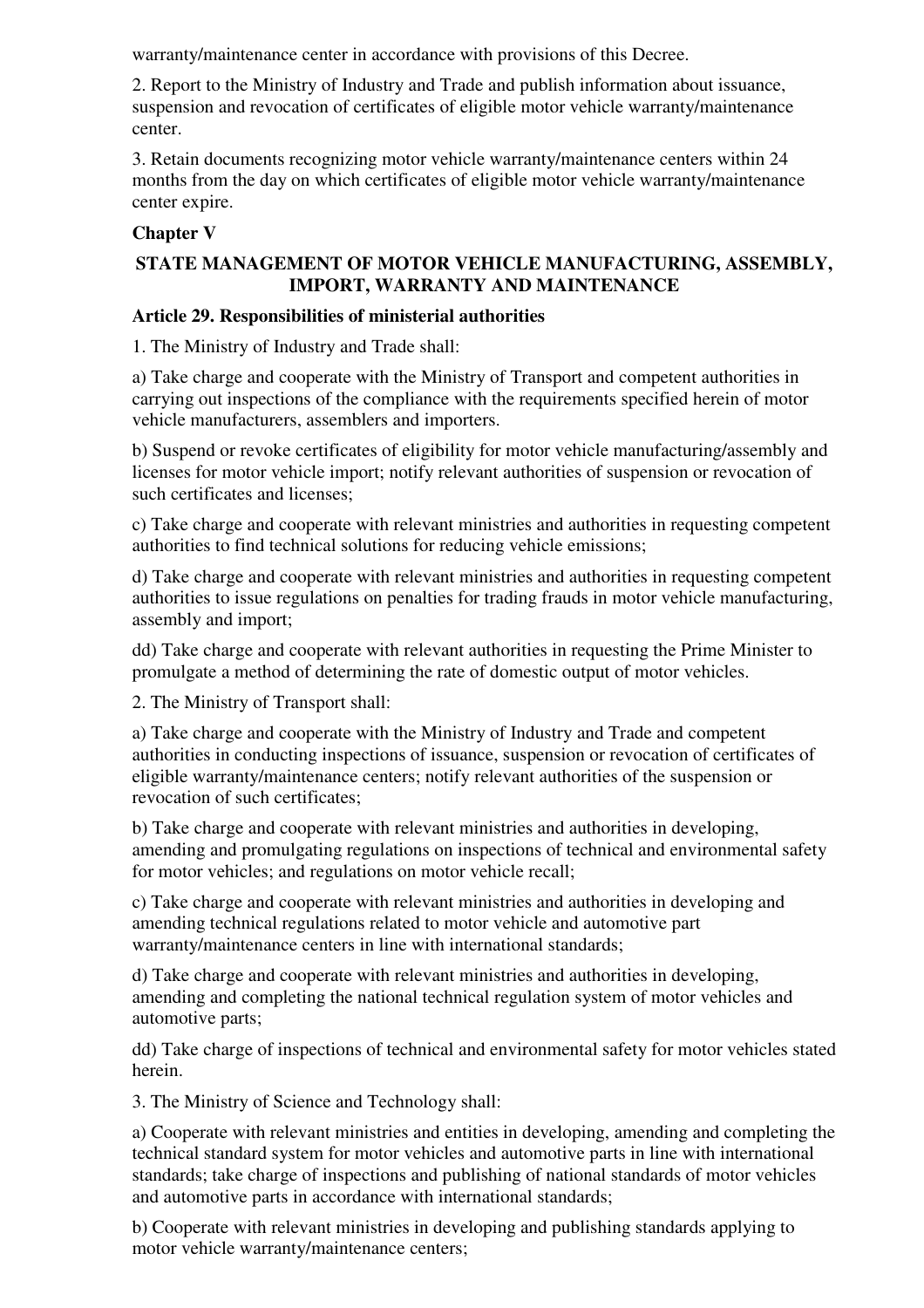warranty/maintenance center in accordance with provisions of this Decree.

2. Report to the Ministry of Industry and Trade and publish information about issuance, suspension and revocation of certificates of eligible motor vehicle warranty/maintenance center.

3. Retain documents recognizing motor vehicle warranty/maintenance centers within 24 months from the day on which certificates of eligible motor vehicle warranty/maintenance center expire.

# **Chapter V**

# **STATE MANAGEMENT OF MOTOR VEHICLE MANUFACTURING, ASSEMBLY, IMPORT, WARRANTY AND MAINTENANCE**

# **Article 29. Responsibilities of ministerial authorities**

1. The Ministry of Industry and Trade shall:

a) Take charge and cooperate with the Ministry of Transport and competent authorities in carrying out inspections of the compliance with the requirements specified herein of motor vehicle manufacturers, assemblers and importers.

b) Suspend or revoke certificates of eligibility for motor vehicle manufacturing/assembly and licenses for motor vehicle import; notify relevant authorities of suspension or revocation of such certificates and licenses;

c) Take charge and cooperate with relevant ministries and authorities in requesting competent authorities to find technical solutions for reducing vehicle emissions;

d) Take charge and cooperate with relevant ministries and authorities in requesting competent authorities to issue regulations on penalties for trading frauds in motor vehicle manufacturing, assembly and import;

dd) Take charge and cooperate with relevant authorities in requesting the Prime Minister to promulgate a method of determining the rate of domestic output of motor vehicles.

2. The Ministry of Transport shall:

a) Take charge and cooperate with the Ministry of Industry and Trade and competent authorities in conducting inspections of issuance, suspension or revocation of certificates of eligible warranty/maintenance centers; notify relevant authorities of the suspension or revocation of such certificates;

b) Take charge and cooperate with relevant ministries and authorities in developing, amending and promulgating regulations on inspections of technical and environmental safety for motor vehicles; and regulations on motor vehicle recall;

c) Take charge and cooperate with relevant ministries and authorities in developing and amending technical regulations related to motor vehicle and automotive part warranty/maintenance centers in line with international standards;

d) Take charge and cooperate with relevant ministries and authorities in developing, amending and completing the national technical regulation system of motor vehicles and automotive parts;

dd) Take charge of inspections of technical and environmental safety for motor vehicles stated herein.

3. The Ministry of Science and Technology shall:

a) Cooperate with relevant ministries and entities in developing, amending and completing the technical standard system for motor vehicles and automotive parts in line with international standards; take charge of inspections and publishing of national standards of motor vehicles and automotive parts in accordance with international standards;

b) Cooperate with relevant ministries in developing and publishing standards applying to motor vehicle warranty/maintenance centers;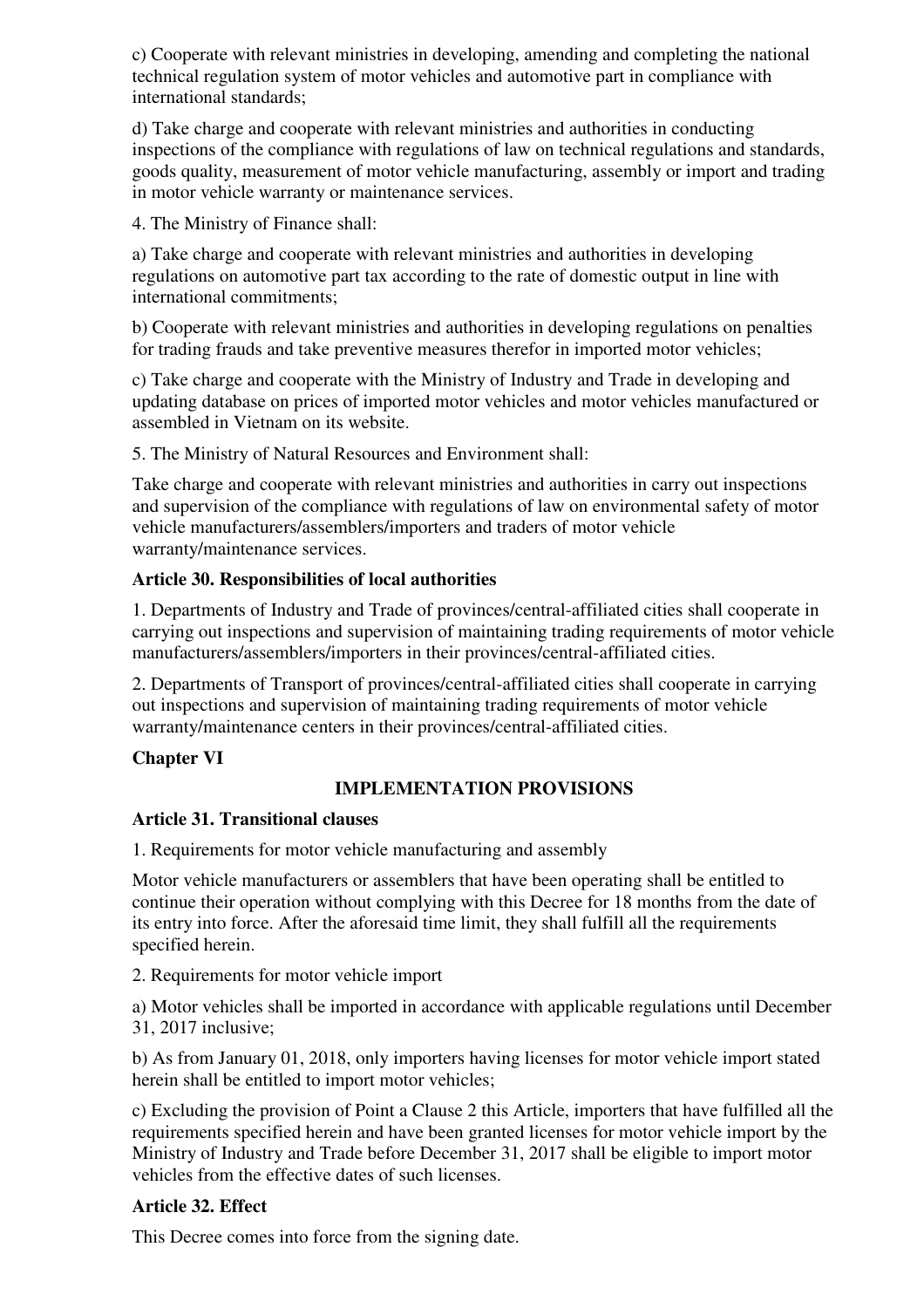c) Cooperate with relevant ministries in developing, amending and completing the national technical regulation system of motor vehicles and automotive part in compliance with international standards;

d) Take charge and cooperate with relevant ministries and authorities in conducting inspections of the compliance with regulations of law on technical regulations and standards, goods quality, measurement of motor vehicle manufacturing, assembly or import and trading in motor vehicle warranty or maintenance services.

4. The Ministry of Finance shall:

a) Take charge and cooperate with relevant ministries and authorities in developing regulations on automotive part tax according to the rate of domestic output in line with international commitments;

b) Cooperate with relevant ministries and authorities in developing regulations on penalties for trading frauds and take preventive measures therefor in imported motor vehicles;

c) Take charge and cooperate with the Ministry of Industry and Trade in developing and updating database on prices of imported motor vehicles and motor vehicles manufactured or assembled in Vietnam on its website.

5. The Ministry of Natural Resources and Environment shall:

Take charge and cooperate with relevant ministries and authorities in carry out inspections and supervision of the compliance with regulations of law on environmental safety of motor vehicle manufacturers/assemblers/importers and traders of motor vehicle warranty/maintenance services.

# **Article 30. Responsibilities of local authorities**

1. Departments of Industry and Trade of provinces/central-affiliated cities shall cooperate in carrying out inspections and supervision of maintaining trading requirements of motor vehicle manufacturers/assemblers/importers in their provinces/central-affiliated cities.

2. Departments of Transport of provinces/central-affiliated cities shall cooperate in carrying out inspections and supervision of maintaining trading requirements of motor vehicle warranty/maintenance centers in their provinces/central-affiliated cities.

# **Chapter VI**

# **IMPLEMENTATION PROVISIONS**

# **Article 31. Transitional clauses**

1. Requirements for motor vehicle manufacturing and assembly

Motor vehicle manufacturers or assemblers that have been operating shall be entitled to continue their operation without complying with this Decree for 18 months from the date of its entry into force. After the aforesaid time limit, they shall fulfill all the requirements specified herein.

2. Requirements for motor vehicle import

a) Motor vehicles shall be imported in accordance with applicable regulations until December 31, 2017 inclusive;

b) As from January 01, 2018, only importers having licenses for motor vehicle import stated herein shall be entitled to import motor vehicles;

c) Excluding the provision of Point a Clause 2 this Article, importers that have fulfilled all the requirements specified herein and have been granted licenses for motor vehicle import by the Ministry of Industry and Trade before December 31, 2017 shall be eligible to import motor vehicles from the effective dates of such licenses.

# **Article 32. Effect**

This Decree comes into force from the signing date.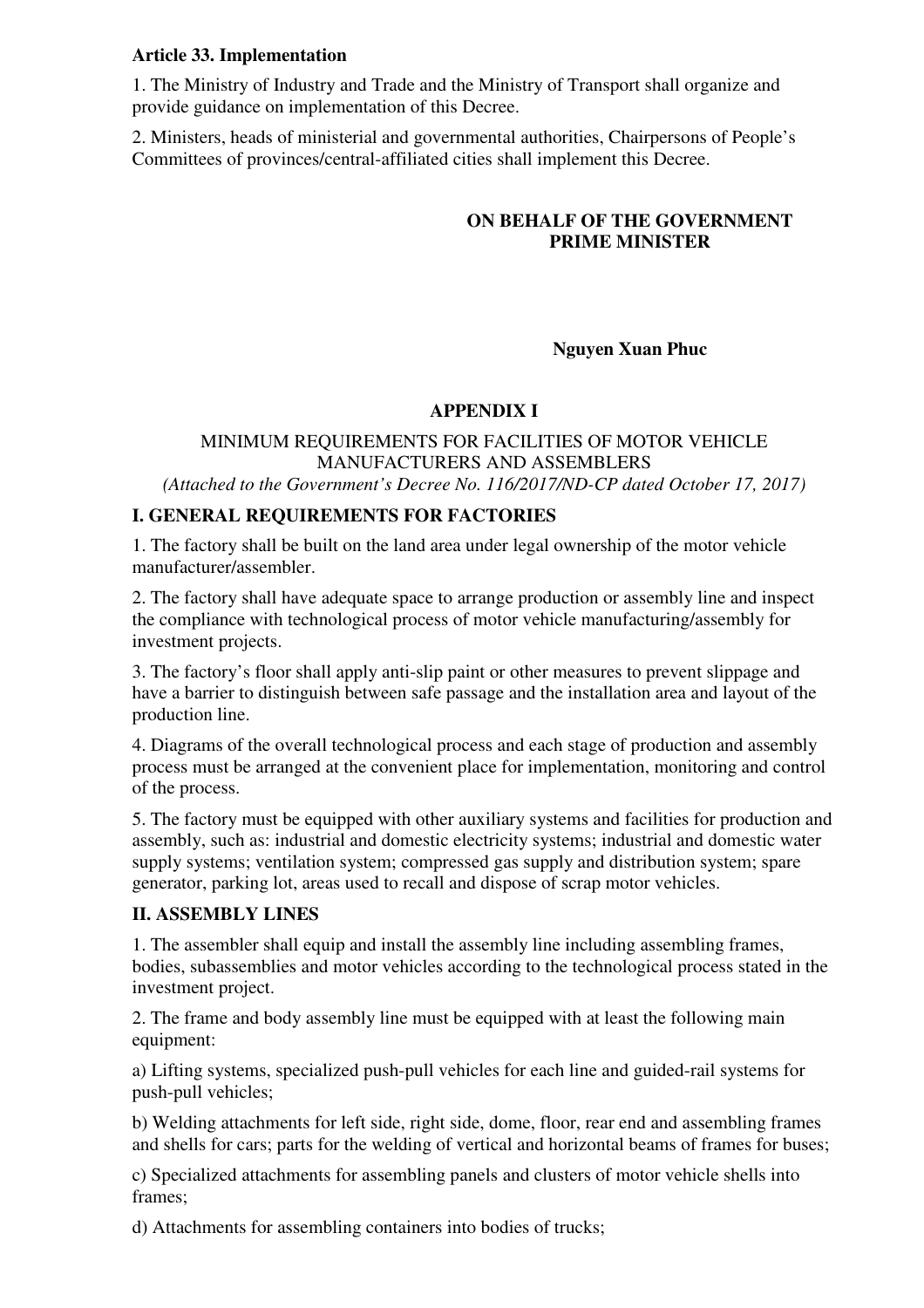# **Article 33. Implementation**

1. The Ministry of Industry and Trade and the Ministry of Transport shall organize and provide guidance on implementation of this Decree.

2. Ministers, heads of ministerial and governmental authorities, Chairpersons of People's Committees of provinces/central-affiliated cities shall implement this Decree.

# **ON BEHALF OF THE GOVERNMENT PRIME MINISTER**

# **Nguyen Xuan Phuc**

# **APPENDIX I**

# MINIMUM REQUIREMENTS FOR FACILITIES OF MOTOR VEHICLE MANUFACTURERS AND ASSEMBLERS

*(Attached to the Government's Decree No. 116/2017/ND-CP dated October 17, 2017)* 

# **I. GENERAL REQUIREMENTS FOR FACTORIES**

1. The factory shall be built on the land area under legal ownership of the motor vehicle manufacturer/assembler.

2. The factory shall have adequate space to arrange production or assembly line and inspect the compliance with technological process of motor vehicle manufacturing/assembly for investment projects.

3. The factory's floor shall apply anti-slip paint or other measures to prevent slippage and have a barrier to distinguish between safe passage and the installation area and layout of the production line.

4. Diagrams of the overall technological process and each stage of production and assembly process must be arranged at the convenient place for implementation, monitoring and control of the process.

5. The factory must be equipped with other auxiliary systems and facilities for production and assembly, such as: industrial and domestic electricity systems; industrial and domestic water supply systems; ventilation system; compressed gas supply and distribution system; spare generator, parking lot, areas used to recall and dispose of scrap motor vehicles.

# **II. ASSEMBLY LINES**

1. The assembler shall equip and install the assembly line including assembling frames, bodies, subassemblies and motor vehicles according to the technological process stated in the investment project.

2. The frame and body assembly line must be equipped with at least the following main equipment:

a) Lifting systems, specialized push-pull vehicles for each line and guided-rail systems for push-pull vehicles;

b) Welding attachments for left side, right side, dome, floor, rear end and assembling frames and shells for cars; parts for the welding of vertical and horizontal beams of frames for buses;

c) Specialized attachments for assembling panels and clusters of motor vehicle shells into frames;

d) Attachments for assembling containers into bodies of trucks;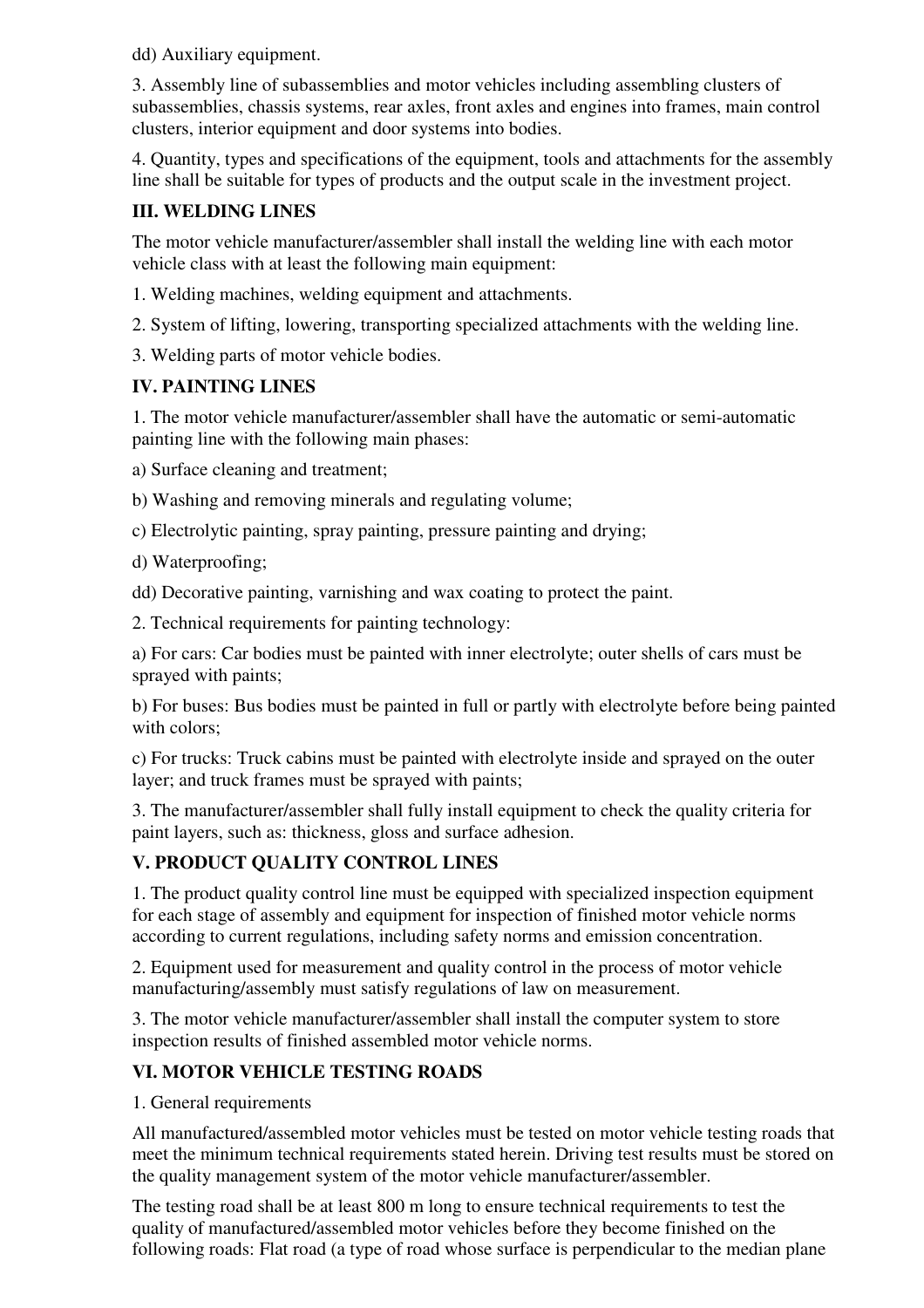dd) Auxiliary equipment.

3. Assembly line of subassemblies and motor vehicles including assembling clusters of subassemblies, chassis systems, rear axles, front axles and engines into frames, main control clusters, interior equipment and door systems into bodies.

4. Quantity, types and specifications of the equipment, tools and attachments for the assembly line shall be suitable for types of products and the output scale in the investment project.

# **III. WELDING LINES**

The motor vehicle manufacturer/assembler shall install the welding line with each motor vehicle class with at least the following main equipment:

1. Welding machines, welding equipment and attachments.

2. System of lifting, lowering, transporting specialized attachments with the welding line.

3. Welding parts of motor vehicle bodies.

# **IV. PAINTING LINES**

1. The motor vehicle manufacturer/assembler shall have the automatic or semi-automatic painting line with the following main phases:

a) Surface cleaning and treatment;

b) Washing and removing minerals and regulating volume;

c) Electrolytic painting, spray painting, pressure painting and drying;

d) Waterproofing;

dd) Decorative painting, varnishing and wax coating to protect the paint.

2. Technical requirements for painting technology:

a) For cars: Car bodies must be painted with inner electrolyte; outer shells of cars must be sprayed with paints;

b) For buses: Bus bodies must be painted in full or partly with electrolyte before being painted with colors:

c) For trucks: Truck cabins must be painted with electrolyte inside and sprayed on the outer layer; and truck frames must be sprayed with paints;

3. The manufacturer/assembler shall fully install equipment to check the quality criteria for paint layers, such as: thickness, gloss and surface adhesion.

# **V. PRODUCT QUALITY CONTROL LINES**

1. The product quality control line must be equipped with specialized inspection equipment for each stage of assembly and equipment for inspection of finished motor vehicle norms according to current regulations, including safety norms and emission concentration.

2. Equipment used for measurement and quality control in the process of motor vehicle manufacturing/assembly must satisfy regulations of law on measurement.

3. The motor vehicle manufacturer/assembler shall install the computer system to store inspection results of finished assembled motor vehicle norms.

# **VI. MOTOR VEHICLE TESTING ROADS**

1. General requirements

All manufactured/assembled motor vehicles must be tested on motor vehicle testing roads that meet the minimum technical requirements stated herein. Driving test results must be stored on the quality management system of the motor vehicle manufacturer/assembler.

The testing road shall be at least 800 m long to ensure technical requirements to test the quality of manufactured/assembled motor vehicles before they become finished on the following roads: Flat road (a type of road whose surface is perpendicular to the median plane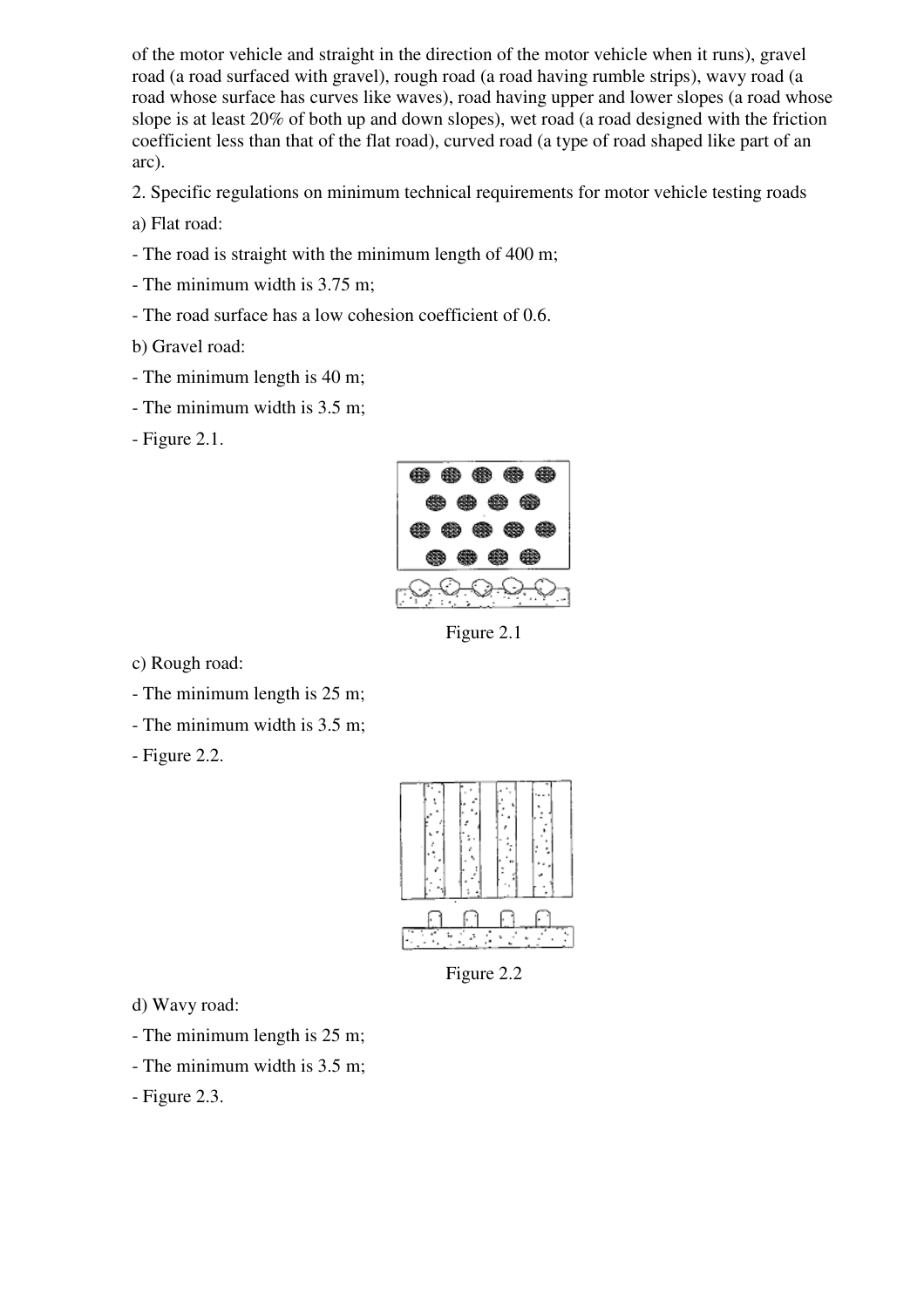of the motor vehicle and straight in the direction of the motor vehicle when it runs), gravel road (a road surfaced with gravel), rough road (a road having rumble strips), wavy road (a road whose surface has curves like waves), road having upper and lower slopes (a road whose slope is at least 20% of both up and down slopes), wet road (a road designed with the friction coefficient less than that of the flat road), curved road (a type of road shaped like part of an arc).

2. Specific regulations on minimum technical requirements for motor vehicle testing roads

a) Flat road:

- The road is straight with the minimum length of 400 m;
- The minimum width is 3.75 m;
- The road surface has a low cohesion coefficient of 0.6.

b) Gravel road:

- The minimum length is 40 m;
- The minimum width is 3.5 m;

- Figure 2.1.



Figure 2.1

c) Rough road:

- The minimum length is 25 m;
- The minimum width is 3.5 m;
- Figure 2.2.



Figure 2.2

- d) Wavy road:
- The minimum length is 25 m;
- The minimum width is 3.5 m;
- Figure 2.3.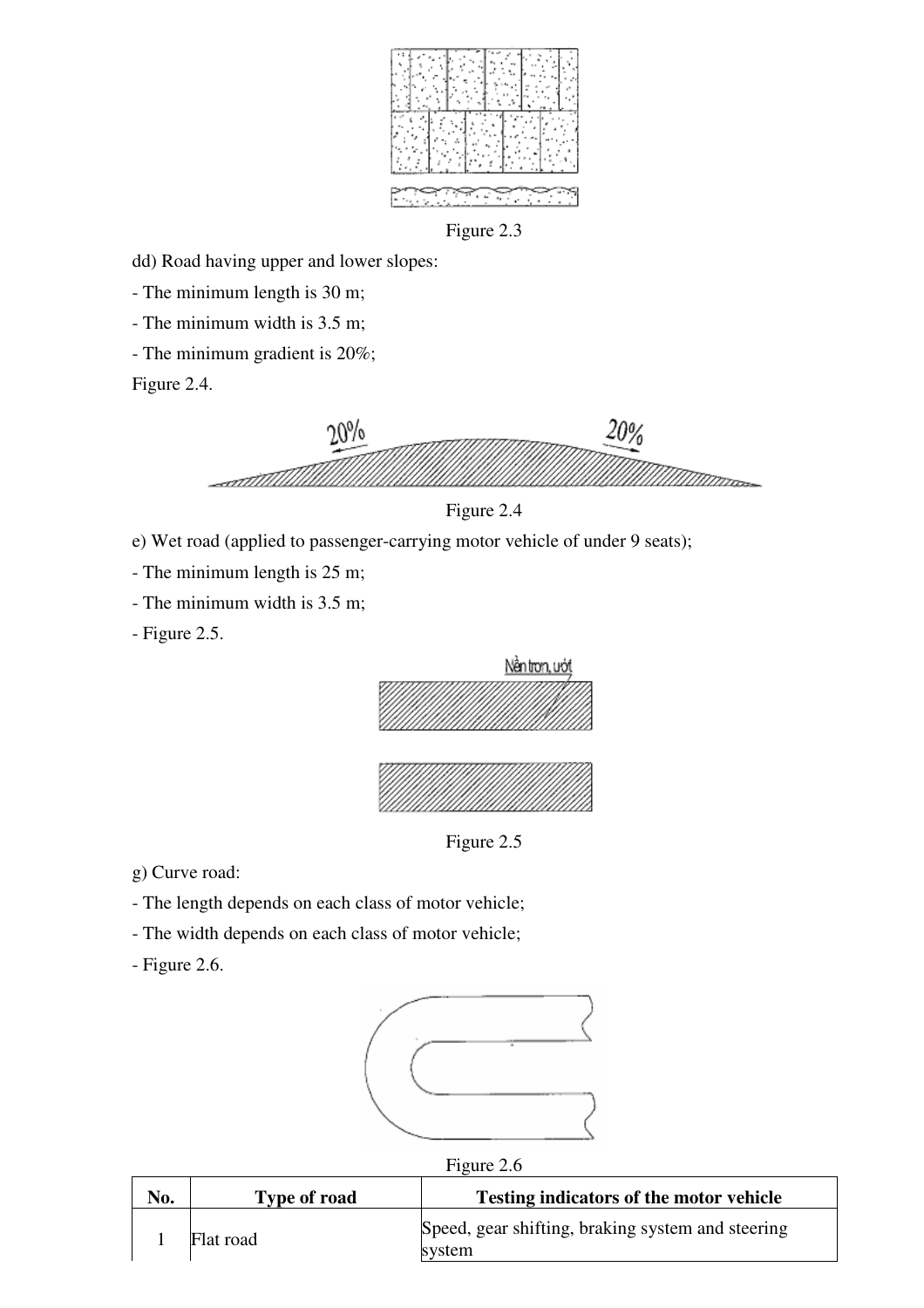

dd) Road having upper and lower slopes:

- The minimum length is 30 m;

- The minimum width is 3.5 m;

- The minimum gradient is 20%;

Figure 2.4.





e) Wet road (applied to passenger-carrying motor vehicle of under 9 seats);

- The minimum length is 25 m;

- The minimum width is 3.5 m;

- Figure 2.5.



Figure 2.5

g) Curve road:

- The length depends on each class of motor vehicle;

- The width depends on each class of motor vehicle;

- Figure 2.6.





| No. | <b>Type of road</b> | Testing indicators of the motor vehicle                     |
|-----|---------------------|-------------------------------------------------------------|
|     | Flat road           | Speed, gear shifting, braking system and steering<br>system |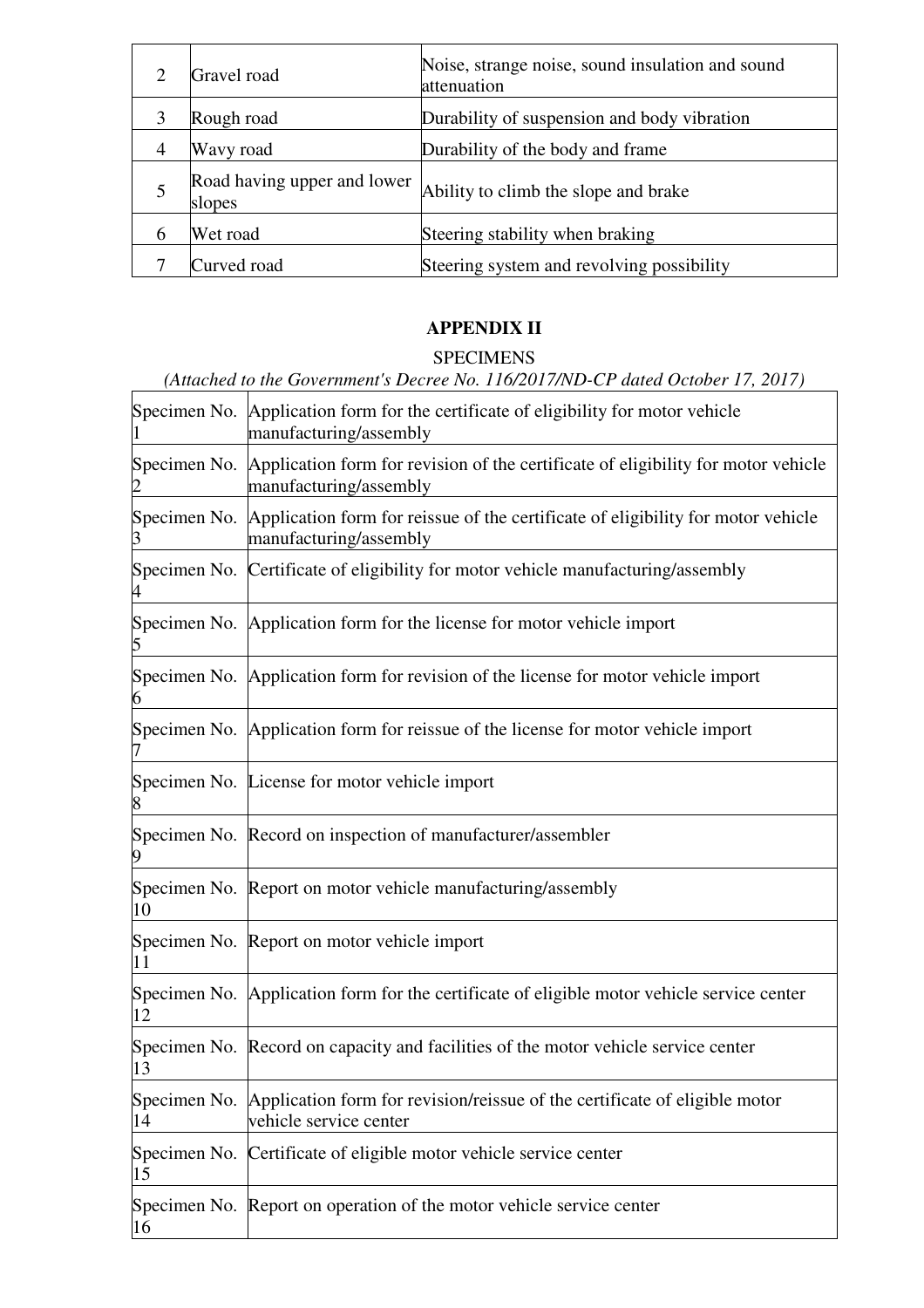|   | Gravel road                           | Noise, strange noise, sound insulation and sound<br>attenuation |
|---|---------------------------------------|-----------------------------------------------------------------|
| 3 | Rough road                            | Durability of suspension and body vibration                     |
| 4 | Wavy road                             | Durability of the body and frame                                |
|   | Road having upper and lower<br>slopes | Ability to climb the slope and brake                            |
|   | Wet road                              | Steering stability when braking                                 |
|   | Curved road                           | Steering system and revolving possibility                       |

# **APPENDIX II**

# SPECIMENS

|                                | (Attached to the Government's Decree No. 116/2017/ND-CP dated October 17, 2017)                                          |
|--------------------------------|--------------------------------------------------------------------------------------------------------------------------|
| $\mathbf{1}$                   | Specimen No. Application form for the certificate of eligibility for motor vehicle<br>manufacturing/assembly             |
| $\overline{2}$                 | Specimen No. Application form for revision of the certificate of eligibility for motor vehicle<br>manufacturing/assembly |
| $3 \left( \frac{1}{2} \right)$ | Specimen No. Application form for reissue of the certificate of eligibility for motor vehicle<br>manufacturing/assembly  |
|                                | Specimen No. Certificate of eligibility for motor vehicle manufacturing/assembly                                         |
| 5                              | Specimen No. Application form for the license for motor vehicle import                                                   |
| 6                              | Specimen No. Application form for revision of the license for motor vehicle import                                       |
|                                | Specimen No. Application form for reissue of the license for motor vehicle import                                        |
| 8                              | Specimen No. License for motor vehicle import                                                                            |
|                                | Specimen No. Record on inspection of manufacturer/assembler                                                              |
| 10                             | Specimen No. Report on motor vehicle manufacturing/assembly                                                              |
| 11                             | Specimen No. Report on motor vehicle import                                                                              |
| 12                             | Specimen No. Application form for the certificate of eligible motor vehicle service center                               |
| 13                             | Specimen No. Record on capacity and facilities of the motor vehicle service center                                       |
| Specimen No.<br>14             | Application form for revision/reissue of the certificate of eligible motor<br>vehicle service center                     |
| 15                             | Specimen No. Certificate of eligible motor vehicle service center                                                        |
| 16                             | Specimen No. Report on operation of the motor vehicle service center                                                     |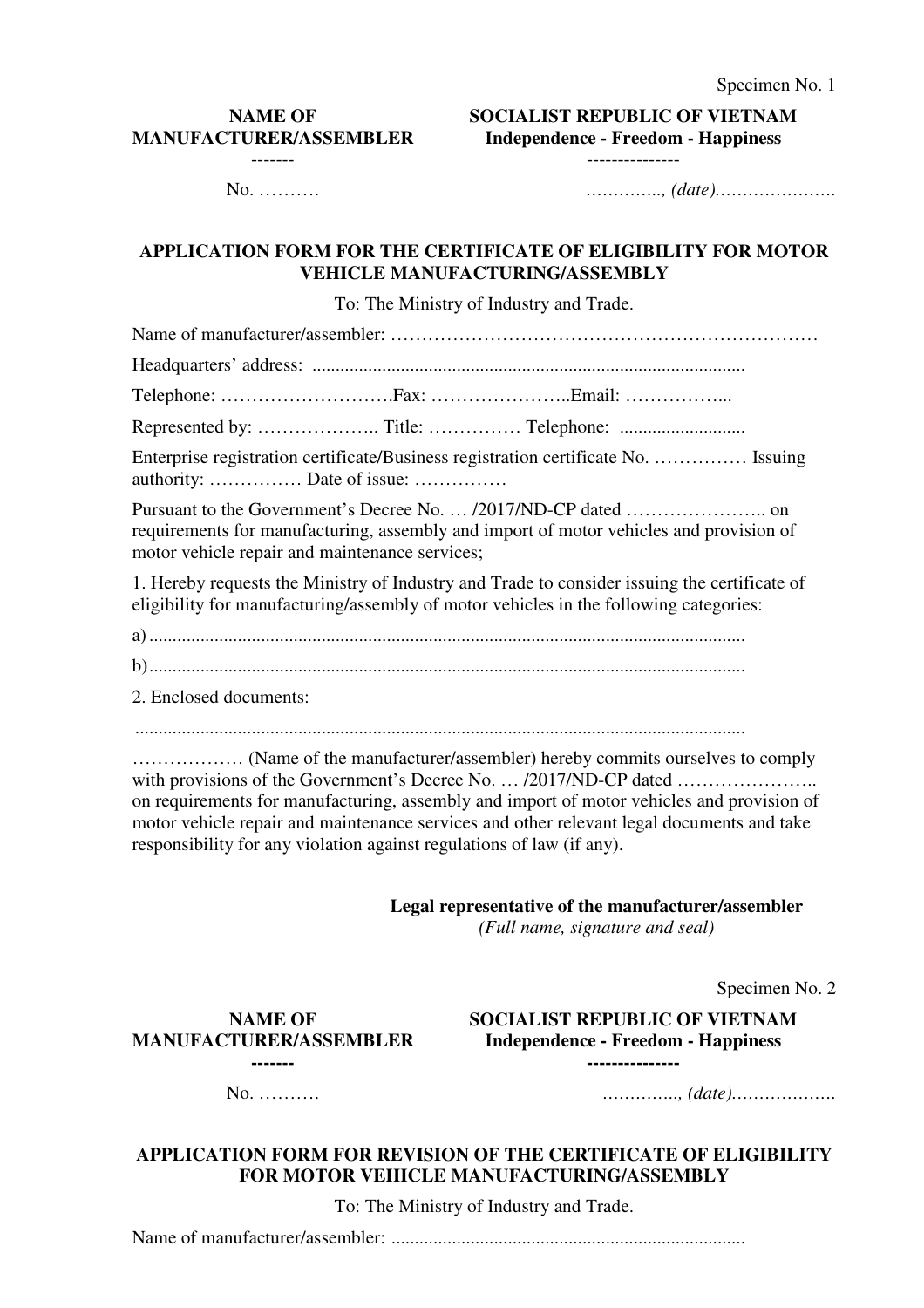#### **NAME OF MANUFACTURER/ASSEMBLER -------**

**SOCIALIST REPUBLIC OF VIETNAM Independence - Freedom - Happiness** 

**---------------**

No. ………. *………….., (date)………………….*

# **APPLICATION FORM FOR THE CERTIFICATE OF ELIGIBILITY FOR MOTOR VEHICLE MANUFACTURING/ASSEMBLY**

To: The Ministry of Industry and Trade.

Name of manufacturer/assembler: …………………………………………………………… Headquarters' address: ............................................................................................. Telephone: ……………………….Fax: …………………..Email: ……………... Represented by: ……………….. Title: …………… Telephone: ...........................

Enterprise registration certificate/Business registration certificate No. …………… Issuing authority: …………… Date of issue: ……………

Pursuant to the Government's Decree No. … /2017/ND-CP dated ………………….. on requirements for manufacturing, assembly and import of motor vehicles and provision of motor vehicle repair and maintenance services;

1. Hereby requests the Ministry of Industry and Trade to consider issuing the certificate of eligibility for manufacturing/assembly of motor vehicles in the following categories:

a) ................................................................................................................................

b) ................................................................................................................................

2. Enclosed documents:

……………… (Name of the manufacturer/assembler) hereby commits ourselves to comply with provisions of the Government's Decree No. … /2017/ND-CP dated ………………….. on requirements for manufacturing, assembly and import of motor vehicles and provision of motor vehicle repair and maintenance services and other relevant legal documents and take responsibility for any violation against regulations of law (if any).

**Legal representative of the manufacturer/assembler** 

*(Full name, signature and seal)*

Specimen No. 2

**NAME OF MANUFACTURER/ASSEMBLER -------** 

**SOCIALIST REPUBLIC OF VIETNAM Independence - Freedom - Happiness ---------------**

No. ………. *………….., (date)……………….*

### **APPLICATION FORM FOR REVISION OF THE CERTIFICATE OF ELIGIBILITY FOR MOTOR VEHICLE MANUFACTURING/ASSEMBLY**

To: The Ministry of Industry and Trade.

Name of manufacturer/assembler: ............................................................................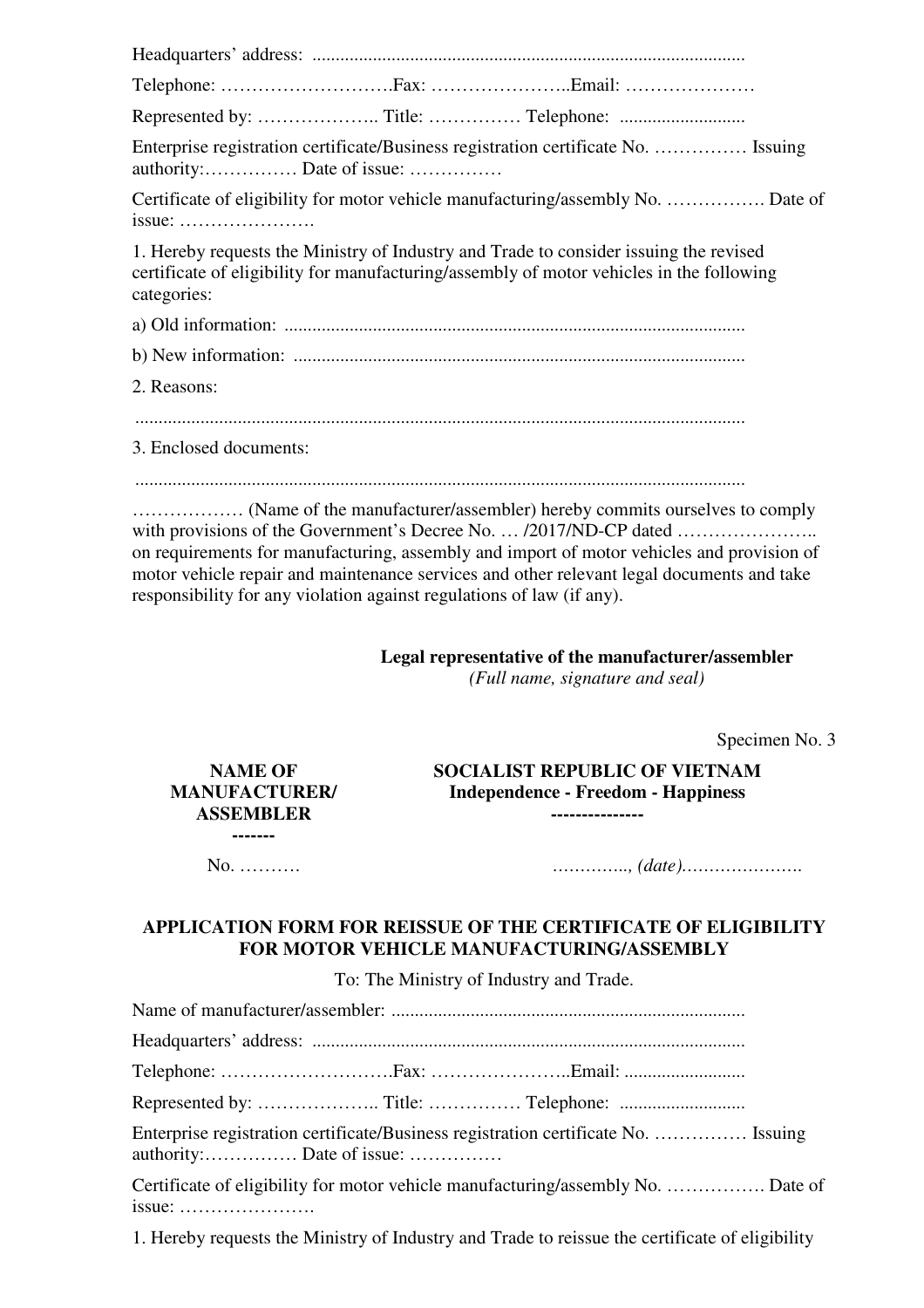Headquarters' address: ............................................................................................. Telephone: ……………………….Fax: …………………..Email: ………………… Represented by: ……………….. Title: …………… Telephone: ........................... Enterprise registration certificate/Business registration certificate No. …………… Issuing authority:…………… Date of issue: …………… Certificate of eligibility for motor vehicle manufacturing/assembly No. ……………. Date of issue: …………………. 1. Hereby requests the Ministry of Industry and Trade to consider issuing the revised certificate of eligibility for manufacturing/assembly of motor vehicles in the following categories: a) Old information: ................................................................................................... b) New information: ................................................................................................. 2. Reasons: ................................................................................................................................... 3. Enclosed documents:

...................................................................................................................................

……………… (Name of the manufacturer/assembler) hereby commits ourselves to comply with provisions of the Government's Decree No. … /2017/ND-CP dated ………………….. on requirements for manufacturing, assembly and import of motor vehicles and provision of motor vehicle repair and maintenance services and other relevant legal documents and take responsibility for any violation against regulations of law (if any).

> **Legal representative of the manufacturer/assembler**  *(Full name, signature and seal)*

> > Specimen No. 3

**SOCIALIST REPUBLIC OF VIETNAM Independence - Freedom - Happiness ---------------**

**NAME OF MANUFACTURER/ ASSEMBLER -------** 

No. ………. *………….., (date)………………….*

# **APPLICATION FORM FOR REISSUE OF THE CERTIFICATE OF ELIGIBILITY FOR MOTOR VEHICLE MANUFACTURING/ASSEMBLY**

To: The Ministry of Industry and Trade.

Name of manufacturer/assembler: ............................................................................

Headquarters' address: .............................................................................................

Telephone: ……………………….Fax: …………………..Email: ..........................

Represented by: ……………….. Title: …………… Telephone: ...........................

Enterprise registration certificate/Business registration certificate No. …………… Issuing authority:…………… Date of issue: ……………

Certificate of eligibility for motor vehicle manufacturing/assembly No. ……………. Date of issue: ………………….

1. Hereby requests the Ministry of Industry and Trade to reissue the certificate of eligibility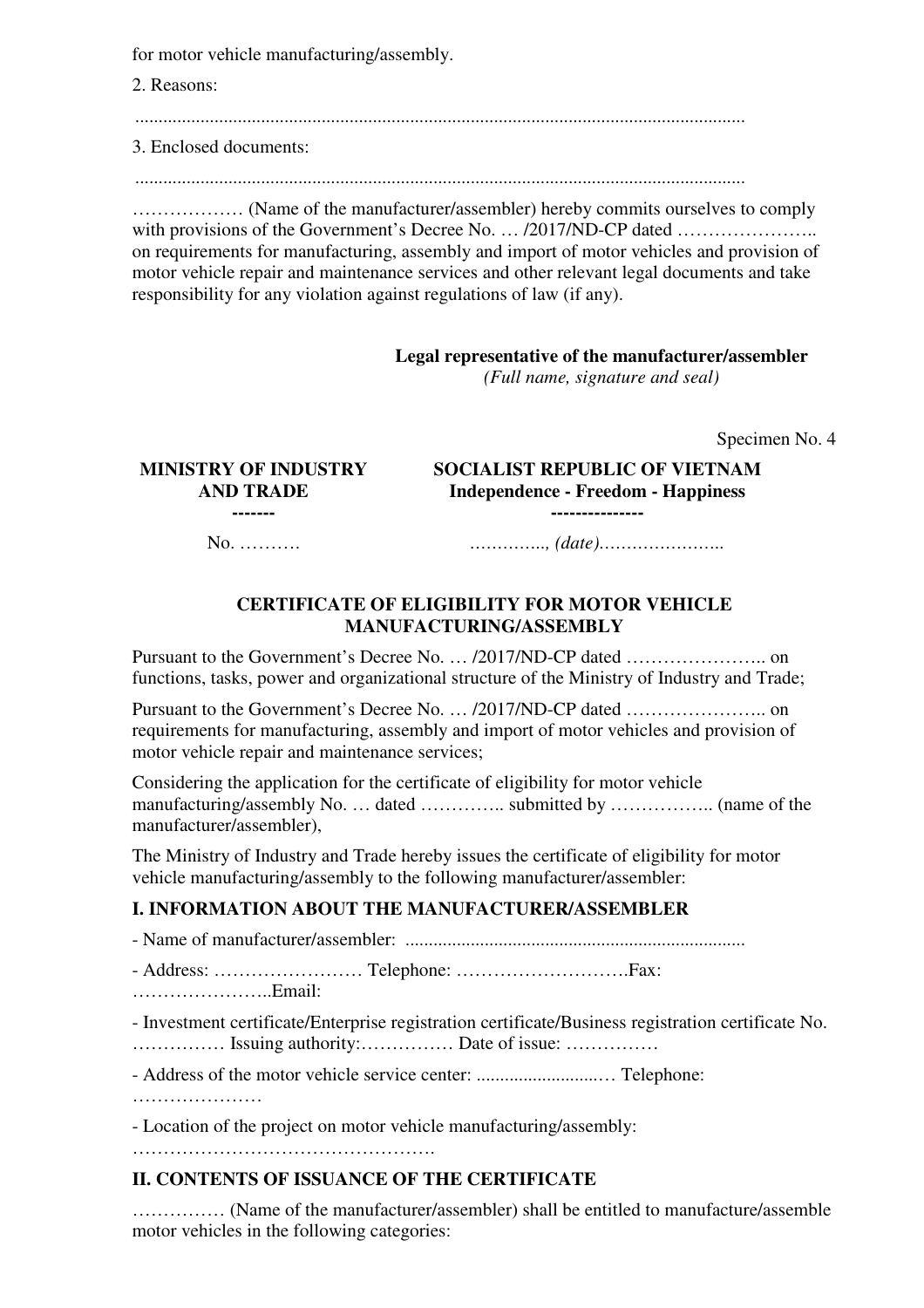for motor vehicle manufacturing/assembly.

2. Reasons:

...................................................................................................................................

3. Enclosed documents:

...................................................................................................................................

……………… (Name of the manufacturer/assembler) hereby commits ourselves to comply with provisions of the Government's Decree No. … /2017/ND-CP dated ………………….. on requirements for manufacturing, assembly and import of motor vehicles and provision of motor vehicle repair and maintenance services and other relevant legal documents and take responsibility for any violation against regulations of law (if any).

#### **Legal representative of the manufacturer/assembler**

*(Full name, signature and seal)*

Specimen No. 4

#### **MINISTRY OF INDUSTRY AND TRADE -------**

**SOCIALIST REPUBLIC OF VIETNAM Independence - Freedom - Happiness** 

**---------------**

No. ………. *………….., (date)…………………..* 

#### **CERTIFICATE OF ELIGIBILITY FOR MOTOR VEHICLE MANUFACTURING/ASSEMBLY**

Pursuant to the Government's Decree No. … /2017/ND-CP dated ………………….. on functions, tasks, power and organizational structure of the Ministry of Industry and Trade;

Pursuant to the Government's Decree No. … /2017/ND-CP dated ………………….. on requirements for manufacturing, assembly and import of motor vehicles and provision of motor vehicle repair and maintenance services;

Considering the application for the certificate of eligibility for motor vehicle manufacturing/assembly No. … dated ………….. submitted by …………….. (name of the manufacturer/assembler),

The Ministry of Industry and Trade hereby issues the certificate of eligibility for motor vehicle manufacturing/assembly to the following manufacturer/assembler:

# **I. INFORMATION ABOUT THE MANUFACTURER/ASSEMBLER**

- Name of manufacturer/assembler: ......................................................................... - Address: …………………… Telephone: ……………………….Fax: …………………..Email: - Investment certificate/Enterprise registration certificate/Business registration certificate No. …………… Issuing authority:…………… Date of issue: …………… - Address of the motor vehicle service center: ..........................… Telephone: ……………………

- Location of the project on motor vehicle manufacturing/assembly:

………………………………………….

# **II. CONTENTS OF ISSUANCE OF THE CERTIFICATE**

…………… (Name of the manufacturer/assembler) shall be entitled to manufacture/assemble motor vehicles in the following categories: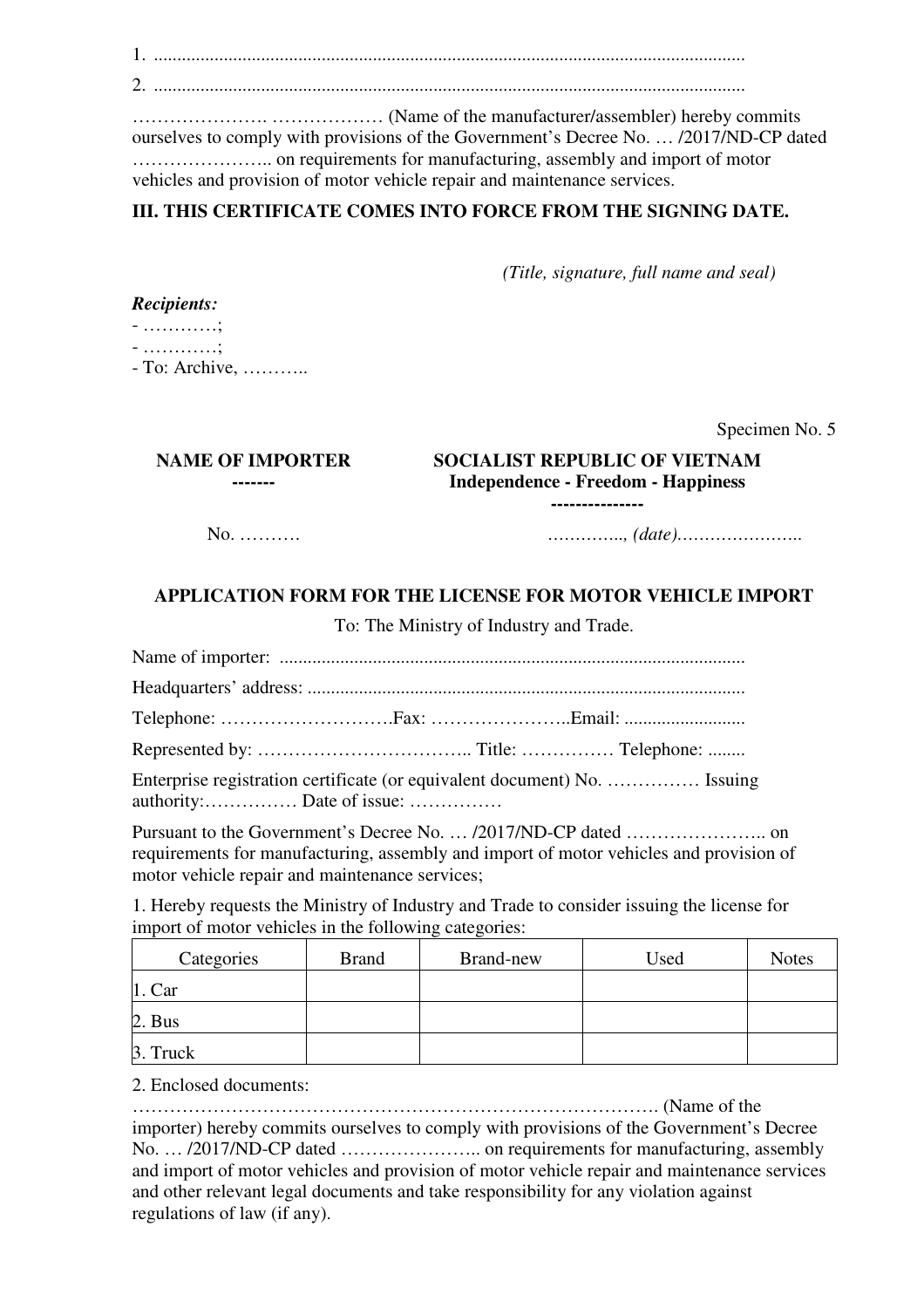1. ............................................................................................................................... 2. ...............................................................................................................................

…………………. ……………… (Name of the manufacturer/assembler) hereby commits ourselves to comply with provisions of the Government's Decree No. … /2017/ND-CP dated ………………….. on requirements for manufacturing, assembly and import of motor vehicles and provision of motor vehicle repair and maintenance services.

# **III. THIS CERTIFICATE COMES INTO FORCE FROM THE SIGNING DATE.**

*(Title, signature, full name and seal)*

- …………; - …………;

- To: Archive, ………..

Specimen No. 5

#### **NAME OF IMPORTER ------- SOCIALIST REPUBLIC OF VIETNAM Independence - Freedom - Happiness ---------------**

No. ………. *………….., (date)…………………..*

# **APPLICATION FORM FOR THE LICENSE FOR MOTOR VEHICLE IMPORT**

To: The Ministry of Industry and Trade.

Name of importer: .................................................................................................... Headquarters' address: .............................................................................................. Telephone: ……………………….Fax: …………………..Email: .......................... Represented by: …………………………….. Title: …………… Telephone: ........

Enterprise registration certificate (or equivalent document) No. …………… Issuing authority:…………… Date of issue: ……………

Pursuant to the Government's Decree No. … /2017/ND-CP dated ………………….. on requirements for manufacturing, assembly and import of motor vehicles and provision of motor vehicle repair and maintenance services;

1. Hereby requests the Ministry of Industry and Trade to consider issuing the license for import of motor vehicles in the following categories:

| Categories | <b>Brand</b> | Brand-new | Used | <b>Notes</b> |
|------------|--------------|-----------|------|--------------|
| $1$ . Car  |              |           |      |              |
| 2. Bus     |              |           |      |              |
| 3. Truck   |              |           |      |              |

2. Enclosed documents:

…………………………………………………………………………. (Name of the importer) hereby commits ourselves to comply with provisions of the Government's Decree No. … /2017/ND-CP dated ………………….. on requirements for manufacturing, assembly and import of motor vehicles and provision of motor vehicle repair and maintenance services and other relevant legal documents and take responsibility for any violation against regulations of law (if any).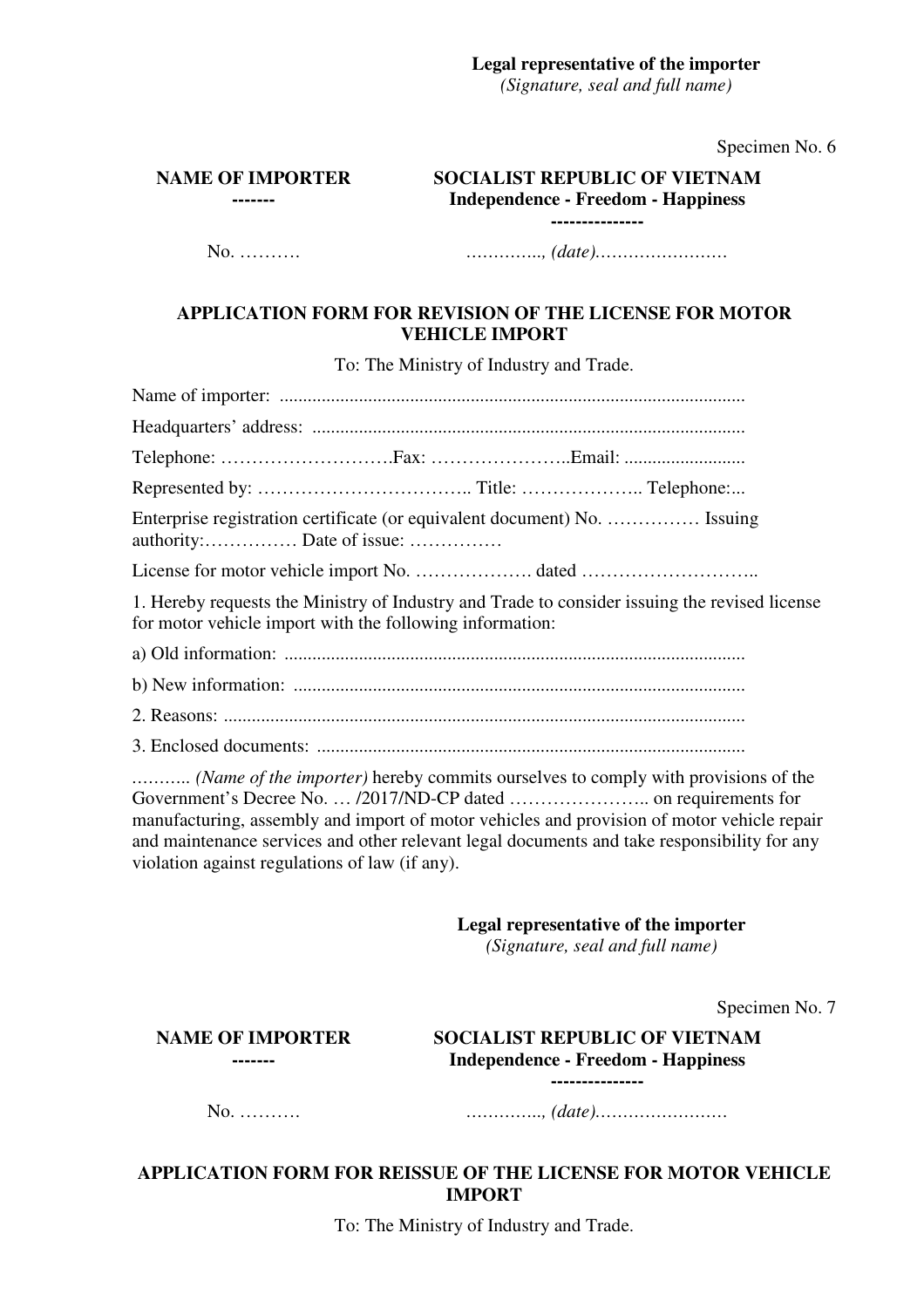#### **Legal representative of the importer**

*(Signature, seal and full name)*

Specimen No. 6

**NAME OF IMPORTER -------** 

**SOCIALIST REPUBLIC OF VIETNAM Independence - Freedom - Happiness** 

**---------------**

No. ………. *………….., (date)……………………* 

# **APPLICATION FORM FOR REVISION OF THE LICENSE FOR MOTOR VEHICLE IMPORT**

To: The Ministry of Industry and Trade.

Name of importer: .................................................................................................... Headquarters' address: ............................................................................................. Telephone: ……………………….Fax: …………………..Email: .......................... Represented by: …………………………….. Title: ……………….. Telephone: ... Enterprise registration certificate (or equivalent document) No. …………… Issuing authority:…………… Date of issue: …………… License for motor vehicle import No. ………………. dated ……………………….. 1. Hereby requests the Ministry of Industry and Trade to consider issuing the revised license for motor vehicle import with the following information: a) Old information: ................................................................................................... b) New information: ................................................................................................. 2. Reasons: ................................................................................................................

3. Enclosed documents: ............................................................................................

*……….. (Name of the importer)* hereby commits ourselves to comply with provisions of the Government's Decree No. … /2017/ND-CP dated ………………….. on requirements for manufacturing, assembly and import of motor vehicles and provision of motor vehicle repair and maintenance services and other relevant legal documents and take responsibility for any violation against regulations of law (if any).

**Legal representative of the importer** 

*(Signature, seal and full name)*

Specimen No. 7

**NAME OF IMPORTER -------** 

**SOCIALIST REPUBLIC OF VIETNAM Independence - Freedom - Happiness ---------------**

No. ………. *………….., (date)……………………* 

# **APPLICATION FORM FOR REISSUE OF THE LICENSE FOR MOTOR VEHICLE IMPORT**

To: The Ministry of Industry and Trade.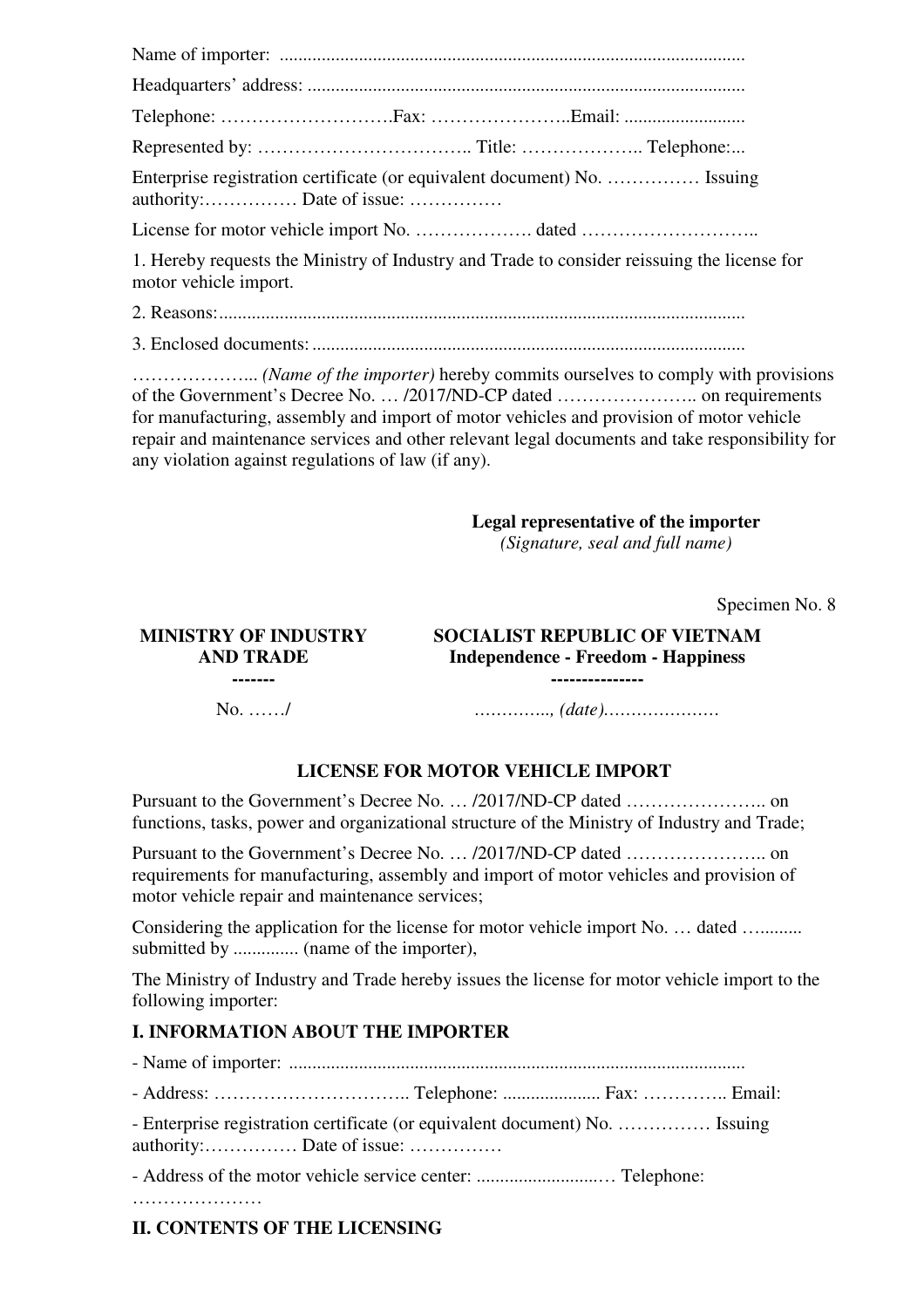| Enterprise registration certificate (or equivalent document) No.  Issuing<br>authority: Date of issue:               |  |
|----------------------------------------------------------------------------------------------------------------------|--|
|                                                                                                                      |  |
| 1. Hereby requests the Ministry of Industry and Trade to consider reissuing the license for<br>motor vehicle import. |  |

2. Reasons: .................................................................................................................

3. Enclosed documents: .............................................................................................

………………... *(Name of the importer)* hereby commits ourselves to comply with provisions of the Government's Decree No. … /2017/ND-CP dated ………………….. on requirements for manufacturing, assembly and import of motor vehicles and provision of motor vehicle repair and maintenance services and other relevant legal documents and take responsibility for any violation against regulations of law (if any).

# **Legal representative of the importer**

*(Signature, seal and full name)*

Specimen No. 8

#### **MINISTRY OF INDUSTRY AND TRADE ------- SOCIALIST REPUBLIC OF VIETNAM Independence - Freedom - Happiness ---------------** No. ……/ *………….., (date)…………………*

# **LICENSE FOR MOTOR VEHICLE IMPORT**

Pursuant to the Government's Decree No. … /2017/ND-CP dated ………………….. on functions, tasks, power and organizational structure of the Ministry of Industry and Trade;

Pursuant to the Government's Decree No. … /2017/ND-CP dated ………………….. on requirements for manufacturing, assembly and import of motor vehicles and provision of motor vehicle repair and maintenance services;

Considering the application for the license for motor vehicle import No. ... dated ........... submitted by .............. (name of the importer),

The Ministry of Industry and Trade hereby issues the license for motor vehicle import to the following importer:

# **I. INFORMATION ABOUT THE IMPORTER**

- Name of importer: ..................................................................................................

- Address: ………………………….. Telephone: ..................... Fax: ………….. Email:

- Enterprise registration certificate (or equivalent document) No. …………… Issuing authority:…………… Date of issue: ……………

- Address of the motor vehicle service center: ..........................… Telephone:

…………………

# **II. CONTENTS OF THE LICENSING**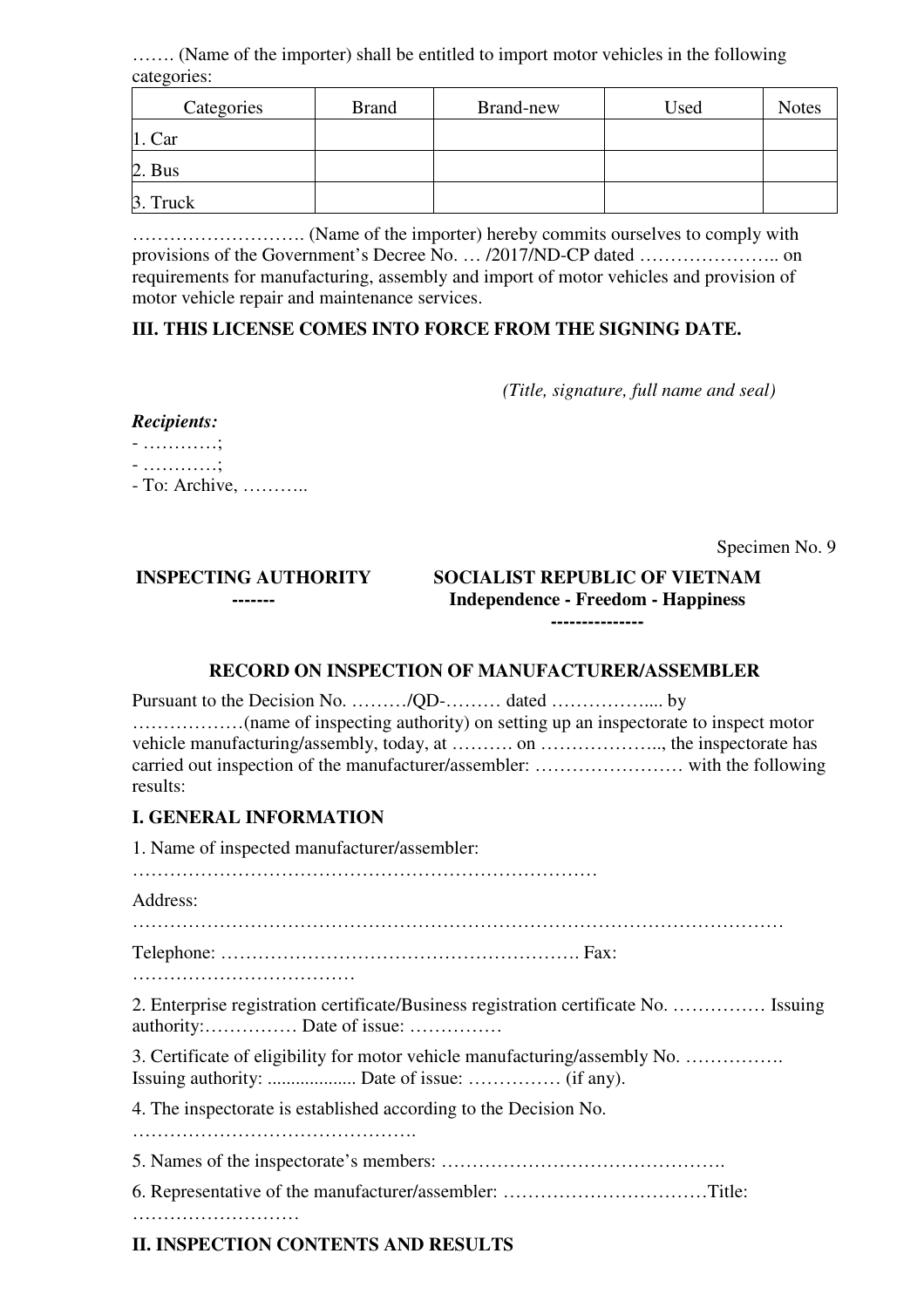……. (Name of the importer) shall be entitled to import motor vehicles in the following categories:

| Categories     | <b>Brand</b> | Brand-new | Used | <b>Notes</b> |
|----------------|--------------|-----------|------|--------------|
| $\vert$ 1. Car |              |           |      |              |
| $2. Bus$       |              |           |      |              |
| 3. Truck       |              |           |      |              |

………………………. (Name of the importer) hereby commits ourselves to comply with provisions of the Government's Decree No. … /2017/ND-CP dated ………………….. on requirements for manufacturing, assembly and import of motor vehicles and provision of motor vehicle repair and maintenance services.

# **III. THIS LICENSE COMES INTO FORCE FROM THE SIGNING DATE.**

*(Title, signature, full name and seal)*

#### *Recipients:*

- …………; - …………; - To: Archive, ………..

Specimen No. 9

#### **INSPECTING AUTHORITY ------- SOCIALIST REPUBLIC OF VIETNAM Independence - Freedom - Happiness ---------------**

# **RECORD ON INSPECTION OF MANUFACTURER/ASSEMBLER**

Pursuant to the Decision No. ………/QD-……… dated …………….... by ………………(name of inspecting authority) on setting up an inspectorate to inspect motor vehicle manufacturing/assembly, today, at ………. on ……………….., the inspectorate has carried out inspection of the manufacturer/assembler: …………………… with the following results:

# **I. GENERAL INFORMATION**

1. Name of inspected manufacturer/assembler:

…………………………………………………………………

#### Address:

……………………………………………………………………………………………

Telephone: …………………………………………………. Fax:

………………………………

2. Enterprise registration certificate/Business registration certificate No. …………… Issuing authority:…………… Date of issue: ……………

3. Certificate of eligibility for motor vehicle manufacturing/assembly No. ……………. Issuing authority: ................... Date of issue: …………… (if any).

4. The inspectorate is established according to the Decision No.

……………………………………….

5. Names of the inspectorate's members: ……………………………………….

6. Representative of the manufacturer/assembler: ……………………………Title:

………………………

# **II. INSPECTION CONTENTS AND RESULTS**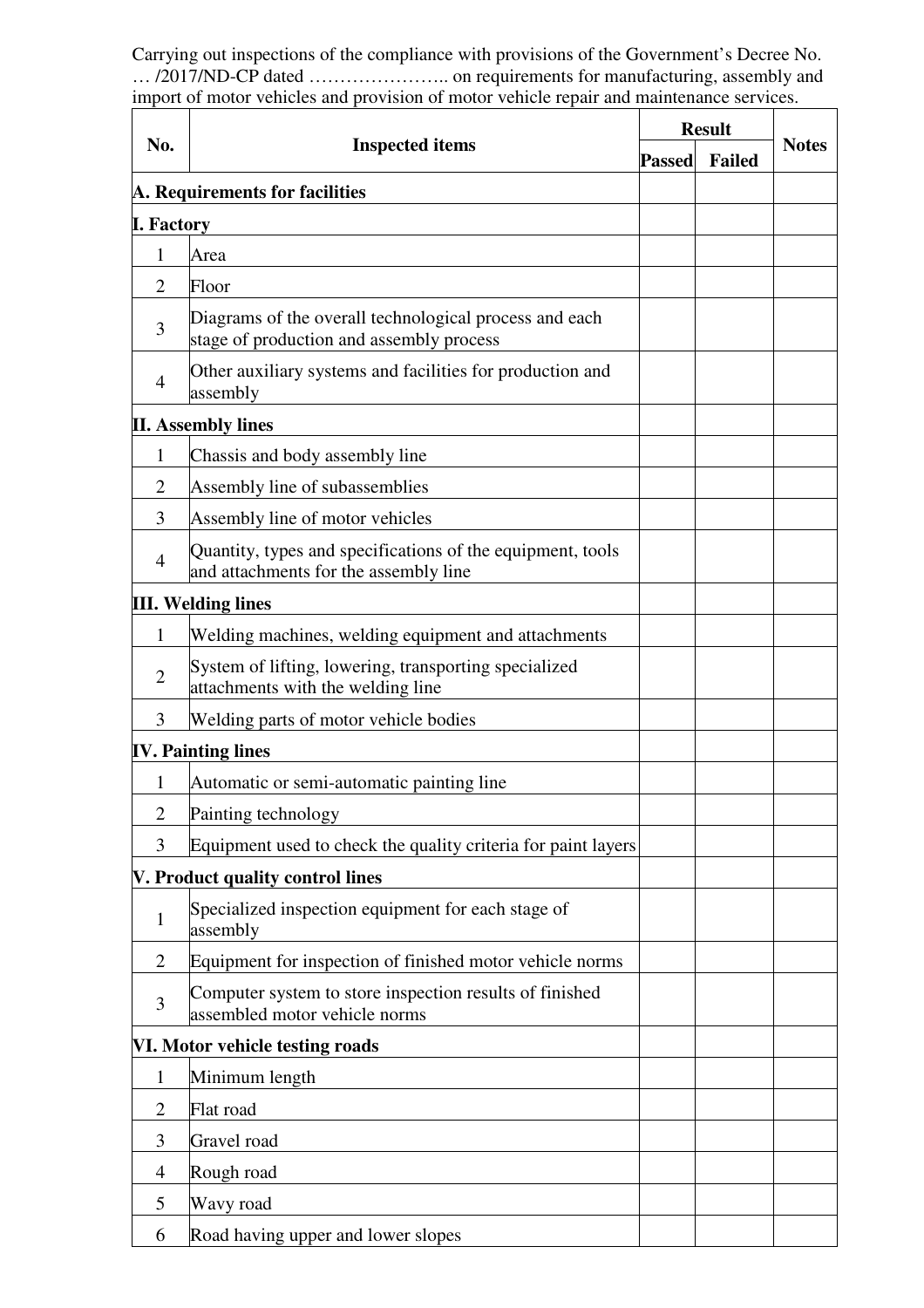Carrying out inspections of the compliance with provisions of the Government's Decree No. … /2017/ND-CP dated ………………….. on requirements for manufacturing, assembly and import of motor vehicles and provision of motor vehicle repair and maintenance services.

|                   |                                                                                                     | <b>Result</b> |               | <b>Notes</b> |
|-------------------|-----------------------------------------------------------------------------------------------------|---------------|---------------|--------------|
| No.               | <b>Inspected items</b>                                                                              |               | <b>Failed</b> |              |
|                   | A. Requirements for facilities                                                                      |               |               |              |
| <b>I. Factory</b> |                                                                                                     |               |               |              |
| 1                 | Area                                                                                                |               |               |              |
| $\overline{2}$    | Floor                                                                                               |               |               |              |
| 3                 | Diagrams of the overall technological process and each<br>stage of production and assembly process  |               |               |              |
| $\overline{4}$    | Other auxiliary systems and facilities for production and<br>assembly                               |               |               |              |
|                   | <b>II. Assembly lines</b>                                                                           |               |               |              |
| 1                 | Chassis and body assembly line                                                                      |               |               |              |
| $\overline{2}$    | Assembly line of subassemblies                                                                      |               |               |              |
| 3                 | Assembly line of motor vehicles                                                                     |               |               |              |
| $\overline{4}$    | Quantity, types and specifications of the equipment, tools<br>and attachments for the assembly line |               |               |              |
|                   | <b>III. Welding lines</b>                                                                           |               |               |              |
| 1                 | Welding machines, welding equipment and attachments                                                 |               |               |              |
| $\overline{2}$    | System of lifting, lowering, transporting specialized<br>attachments with the welding line          |               |               |              |
| 3                 | Welding parts of motor vehicle bodies                                                               |               |               |              |
|                   | <b>IV. Painting lines</b>                                                                           |               |               |              |
| 1                 | Automatic or semi-automatic painting line                                                           |               |               |              |
| $\mathbf{2}$      | Painting technology                                                                                 |               |               |              |
| 3                 | Equipment used to check the quality criteria for paint layers                                       |               |               |              |
|                   | V. Product quality control lines                                                                    |               |               |              |
| $\mathbf{1}$      | Specialized inspection equipment for each stage of<br>assembly                                      |               |               |              |
| $\overline{2}$    | Equipment for inspection of finished motor vehicle norms                                            |               |               |              |
| 3                 | Computer system to store inspection results of finished<br>assembled motor vehicle norms            |               |               |              |
|                   | VI. Motor vehicle testing roads                                                                     |               |               |              |
| 1                 | Minimum length                                                                                      |               |               |              |
| $\overline{2}$    | Flat road                                                                                           |               |               |              |
| 3                 | Gravel road                                                                                         |               |               |              |
| 4                 | Rough road                                                                                          |               |               |              |
| 5                 | Wavy road                                                                                           |               |               |              |
| 6                 | Road having upper and lower slopes                                                                  |               |               |              |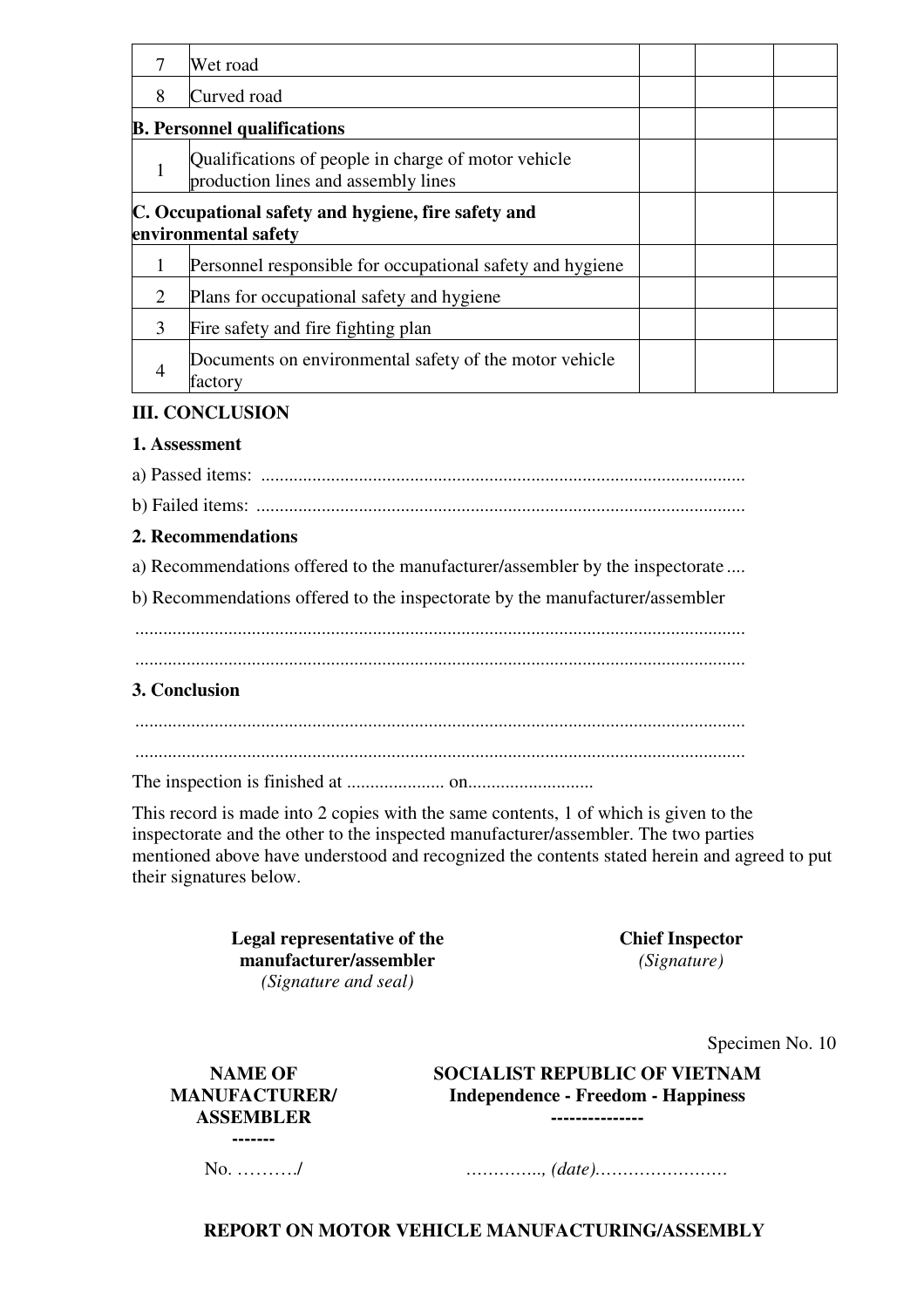|   | Wet road                                                                                   |  |  |
|---|--------------------------------------------------------------------------------------------|--|--|
| 8 | Curved road                                                                                |  |  |
|   | <b>B.</b> Personnel qualifications                                                         |  |  |
|   | Qualifications of people in charge of motor vehicle<br>production lines and assembly lines |  |  |
|   | C. Occupational safety and hygiene, fire safety and<br>environmental safety                |  |  |
|   | Personnel responsible for occupational safety and hygiene                                  |  |  |
| 2 | Plans for occupational safety and hygiene                                                  |  |  |
| 3 | Fire safety and fire fighting plan                                                         |  |  |
|   | Documents on environmental safety of the motor vehicle<br>factory                          |  |  |

#### **III. CONCLUSION**

#### **1. Assessment**

a) Passed items: ........................................................................................................

b) Failed items: .........................................................................................................

#### **2. Recommendations**

a) Recommendations offered to the manufacturer/assembler by the inspectorate ....

b) Recommendations offered to the inspectorate by the manufacturer/assembler

...................................................................................................................................

#### **3. Conclusion**

 ................................................................................................................................... ...................................................................................................................................

The inspection is finished at ..................... on...........................

This record is made into 2 copies with the same contents, 1 of which is given to the inspectorate and the other to the inspected manufacturer/assembler. The two parties mentioned above have understood and recognized the contents stated herein and agreed to put their signatures below.

> **Legal representative of the manufacturer/assembler**  *(Signature and seal)*

**Chief Inspector**  *(Signature)*

Specimen No. 10

**NAME OF MANUFACTURER/ ASSEMBLER -------** 

**SOCIALIST REPUBLIC OF VIETNAM Independence - Freedom - Happiness ---------------**

No. ………./ *………….., (date)……………………* 

**REPORT ON MOTOR VEHICLE MANUFACTURING/ASSEMBLY**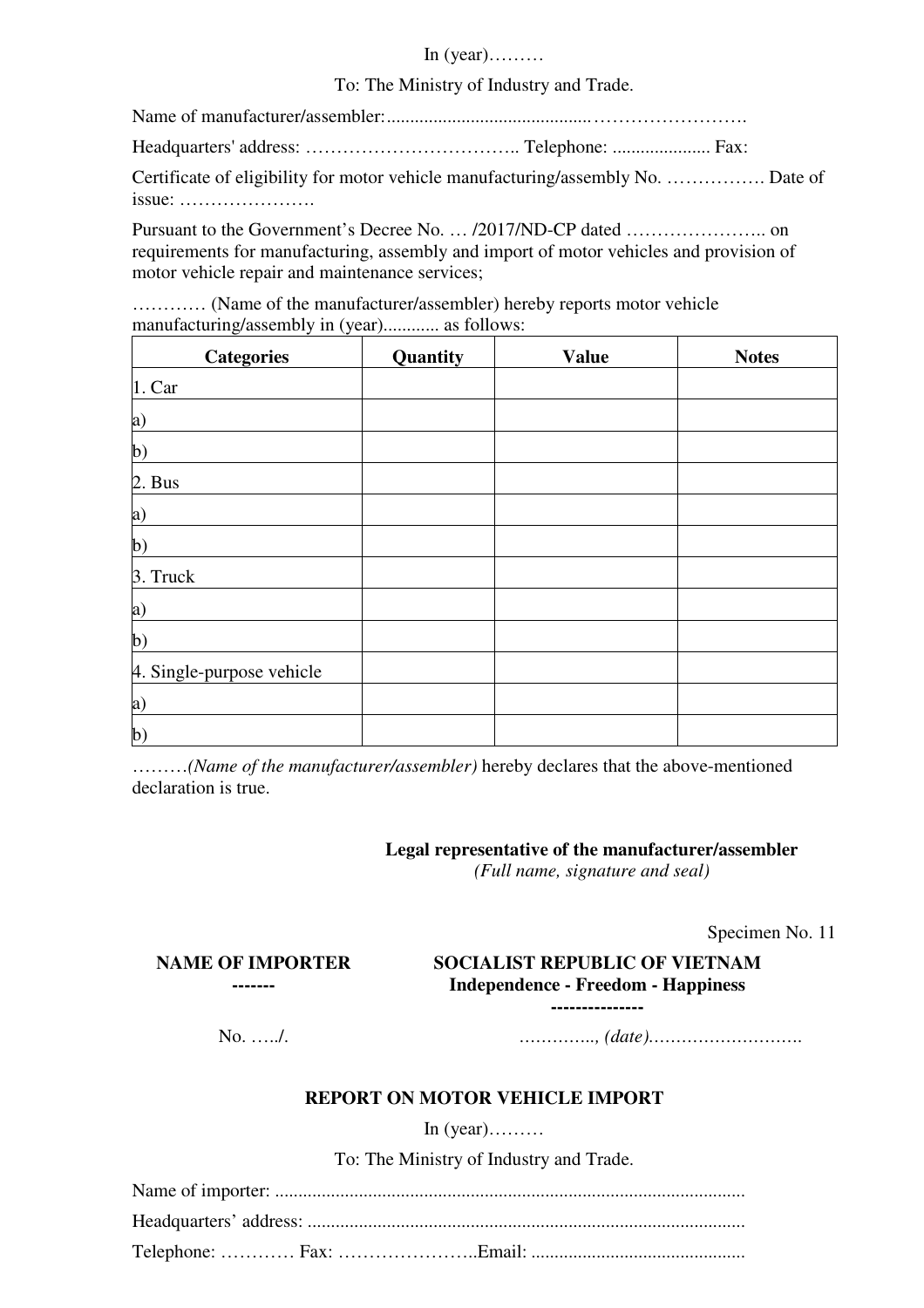#### In (year)………

#### To: The Ministry of Industry and Trade.

Name of manufacturer/assembler: ............................................ ……………………. Headquarters' address: …………………………….. Telephone: ..................... Fax: Certificate of eligibility for motor vehicle manufacturing/assembly No. ……………. Date of issue: ………………….

Pursuant to the Government's Decree No. … /2017/ND-CP dated ………………….. on requirements for manufacturing, assembly and import of motor vehicles and provision of motor vehicle repair and maintenance services;

………… (Name of the manufacturer/assembler) hereby reports motor vehicle manufacturing/assembly in (year)............ as follows:

| <b>Categories</b>         | Quantity | <b>Value</b> | <b>Notes</b> |
|---------------------------|----------|--------------|--------------|
| 1. Car                    |          |              |              |
| a)                        |          |              |              |
| $\mathbf{b}$              |          |              |              |
| 2. Bus                    |          |              |              |
| a)                        |          |              |              |
| $\mathbf{b}$              |          |              |              |
| 3. Truck                  |          |              |              |
| $\bf{a}$                  |          |              |              |
| $\mathbf{b}$              |          |              |              |
| 4. Single-purpose vehicle |          |              |              |
| a)                        |          |              |              |
| $\mathbf{b}$              |          |              |              |

………*(Name of the manufacturer/assembler)* hereby declares that the above-mentioned declaration is true.

# **Legal representative of the manufacturer/assembler**

*(Full name, signature and seal)*

Specimen No. 11

# **SOCIALIST REPUBLIC OF VIETNAM Independence - Freedom - Happiness**

**---------------**

**NAME OF IMPORTER -------** 

No. …../. *………….., (date)……………………….*

# **REPORT ON MOTOR VEHICLE IMPORT**

In  $(year)$ ………

To: The Ministry of Industry and Trade.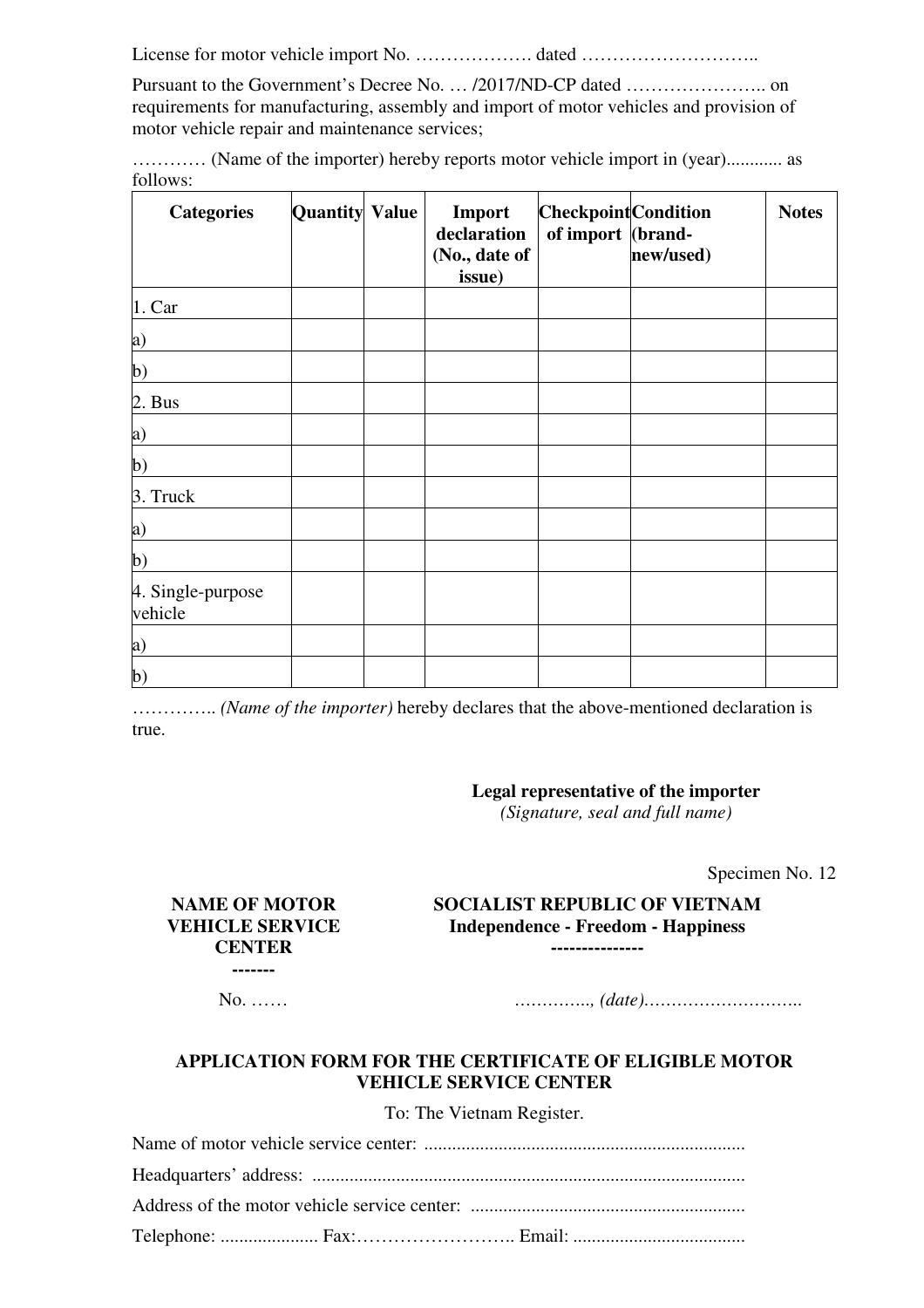License for motor vehicle import No. ………………. dated ………………………..

Pursuant to the Government's Decree No. … /2017/ND-CP dated ………………….. on requirements for manufacturing, assembly and import of motor vehicles and provision of motor vehicle repair and maintenance services;

|          | (Name of the importer) hereby reports motor vehicle import in (year) as |  |  |
|----------|-------------------------------------------------------------------------|--|--|
| follows: |                                                                         |  |  |

| <b>Categories</b>            | <b>Quantity Value</b> | Import<br>declaration<br>(No., date of<br>issue) | <b>Checkpoint</b> Condition<br>of import (brand- | new/used) | <b>Notes</b> |
|------------------------------|-----------------------|--------------------------------------------------|--------------------------------------------------|-----------|--------------|
| 1. Car                       |                       |                                                  |                                                  |           |              |
| a)                           |                       |                                                  |                                                  |           |              |
| $\mathbf{b}$                 |                       |                                                  |                                                  |           |              |
| 2. Bus                       |                       |                                                  |                                                  |           |              |
| a)                           |                       |                                                  |                                                  |           |              |
| $\mathbf{b}$                 |                       |                                                  |                                                  |           |              |
| 3. Truck                     |                       |                                                  |                                                  |           |              |
| a)                           |                       |                                                  |                                                  |           |              |
| $\mathbf{b}$                 |                       |                                                  |                                                  |           |              |
| 4. Single-purpose<br>vehicle |                       |                                                  |                                                  |           |              |
| a)                           |                       |                                                  |                                                  |           |              |
| $\mathbf{b}$                 |                       |                                                  |                                                  |           |              |

………….. *(Name of the importer)* hereby declares that the above-mentioned declaration is true.

### **Legal representative of the importer**

*(Signature, seal and full name)*

Specimen No. 12

#### **SOCIALIST REPUBLIC OF VIETNAM Independence - Freedom - Happiness ---------------**

**NAME OF MOTOR VEHICLE SERVICE CENTER -------** 

No. …… *………….., (date)………………………..*

# **APPLICATION FORM FOR THE CERTIFICATE OF ELIGIBLE MOTOR VEHICLE SERVICE CENTER**

To: The Vietnam Register.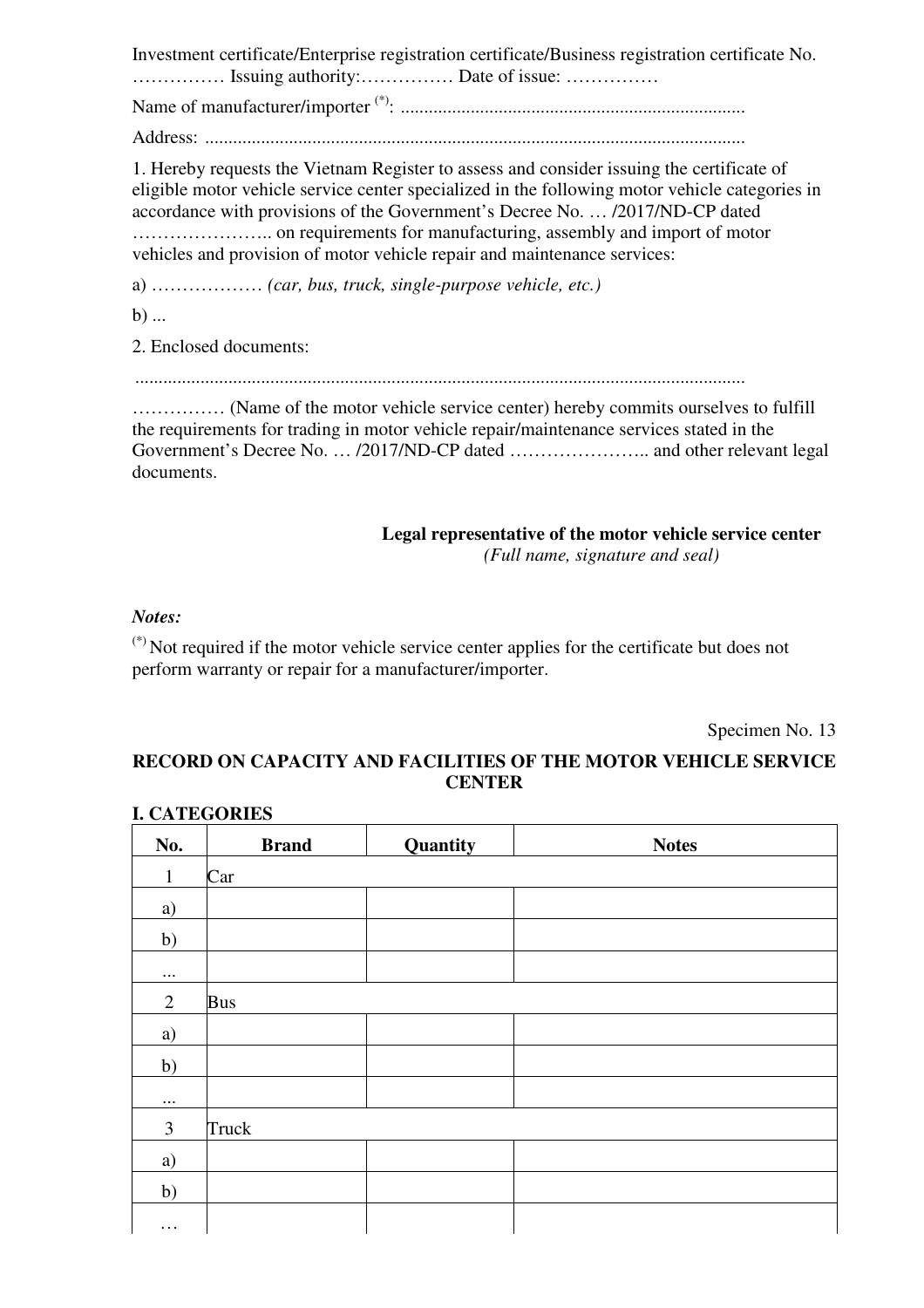Investment certificate/Enterprise registration certificate/Business registration certificate No. …………… Issuing authority:…………… Date of issue: ……………

Name of manufacturer/importer (\*) : ..........................................................................

Address: ....................................................................................................................

1. Hereby requests the Vietnam Register to assess and consider issuing the certificate of eligible motor vehicle service center specialized in the following motor vehicle categories in accordance with provisions of the Government's Decree No. … /2017/ND-CP dated ………………….. on requirements for manufacturing, assembly and import of motor vehicles and provision of motor vehicle repair and maintenance services:

a) ……………… *(car, bus, truck, single-purpose vehicle, etc.)*

b) ...

2. Enclosed documents:

...................................................................................................................................

…………… (Name of the motor vehicle service center) hereby commits ourselves to fulfill the requirements for trading in motor vehicle repair/maintenance services stated in the Government's Decree No. … /2017/ND-CP dated ………………….. and other relevant legal documents.

> **Legal representative of the motor vehicle service center**  *(Full name, signature and seal)*

# *Notes:*

 $(*)$  Not required if the motor vehicle service center applies for the certificate but does not perform warranty or repair for a manufacturer/importer.

Specimen No. 13

# **RECORD ON CAPACITY AND FACILITIES OF THE MOTOR VEHICLE SERVICE CENTER**

| No.            | <b>Brand</b> | Quantity | <b>Notes</b> |
|----------------|--------------|----------|--------------|
| $\mathbf{1}$   | Car          |          |              |
| a)             |              |          |              |
| b)             |              |          |              |
| $\cdots$       |              |          |              |
| $\overline{2}$ | <b>Bus</b>   |          |              |
| a)             |              |          |              |
| b)             |              |          |              |
| $\ldots$       |              |          |              |
| $\mathfrak{Z}$ | Truck        |          |              |
| a)             |              |          |              |
| b)             |              |          |              |
| $\cdots$       |              |          |              |

# **I. CATEGORIES**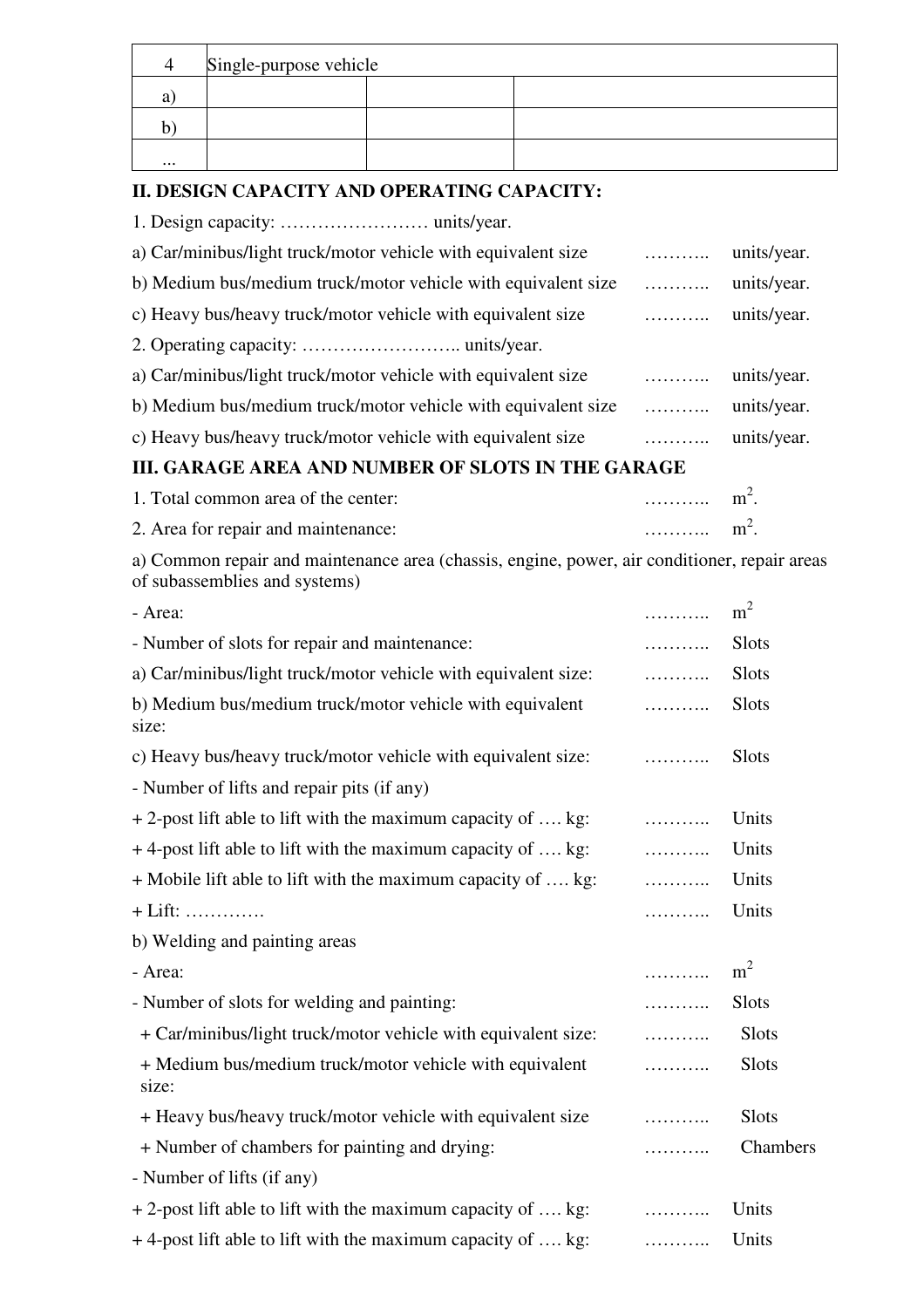|          | Single-purpose vehicle |  |  |  |  |  |  |  |  |  |
|----------|------------------------|--|--|--|--|--|--|--|--|--|
|          |                        |  |  |  |  |  |  |  |  |  |
|          |                        |  |  |  |  |  |  |  |  |  |
| $\cdots$ |                        |  |  |  |  |  |  |  |  |  |

# **II. DESIGN CAPACITY AND OPERATING CAPACITY:**

1. Design capacity: …………………… units/year.

| a) Car/minibus/light truck/motor vehicle with equivalent size | . | units/year. |
|---------------------------------------------------------------|---|-------------|
| b) Medium bus/medium truck/motor vehicle with equivalent size | . | units/year. |
| c) Heavy bus/heavy truck/motor vehicle with equivalent size   | . | units/year. |
|                                                               |   |             |
| a) Car/minibus/light truck/motor vehicle with equivalent size | . | units/year. |
| b) Medium bus/medium truck/motor vehicle with equivalent size | . | units/year. |
| c) Heavy bus/heavy truck/motor vehicle with equivalent size   | . | units/year. |

# **III. GARAGE AREA AND NUMBER OF SLOTS IN THE GARAGE**

| 1. Total common area of the center: | $\dots\dots\dots\dots$ m <sup>2</sup> .        |  |
|-------------------------------------|------------------------------------------------|--|
| 2. Area for repair and maintenance: | $\ldots \ldots \ldots \ldots$ m <sup>2</sup> . |  |

a) Common repair and maintenance area (chassis, engine, power, air conditioner, repair areas of subassemblies and systems)

| - Area:                                                           | .        | m <sup>2</sup> |
|-------------------------------------------------------------------|----------|----------------|
| - Number of slots for repair and maintenance:                     | .        | <b>Slots</b>   |
| a) Car/minibus/light truck/motor vehicle with equivalent size:    | .        | <b>Slots</b>   |
| b) Medium bus/medium truck/motor vehicle with equivalent<br>size: | .        | <b>Slots</b>   |
| c) Heavy bus/heavy truck/motor vehicle with equivalent size:      | .        | <b>Slots</b>   |
| - Number of lifts and repair pits (if any)                        |          |                |
| $+ 2$ -post lift able to lift with the maximum capacity of  kg:   | $\cdots$ | Units          |
| +4-post lift able to lift with the maximum capacity of  kg:       | .        | Units          |
| + Mobile lift able to lift with the maximum capacity of  kg:      |          | Units          |
| $+$ Lift:                                                         | .        | Units          |
| b) Welding and painting areas                                     |          |                |
| - Area:                                                           | .        | m <sup>2</sup> |
| - Number of slots for welding and painting:                       | .        | <b>Slots</b>   |
| + Car/minibus/light truck/motor vehicle with equivalent size:     | .        | Slots          |
| + Medium bus/medium truck/motor vehicle with equivalent<br>size:  | .        | <b>Slots</b>   |
| + Heavy bus/heavy truck/motor vehicle with equivalent size        | .        | <b>Slots</b>   |
| + Number of chambers for painting and drying:                     |          | Chambers       |
| - Number of lifts (if any)                                        |          |                |
| $+ 2$ -post lift able to lift with the maximum capacity of  kg:   | .        | Units          |
| $+$ 4-post lift able to lift with the maximum capacity of , kg:   | .        | Units          |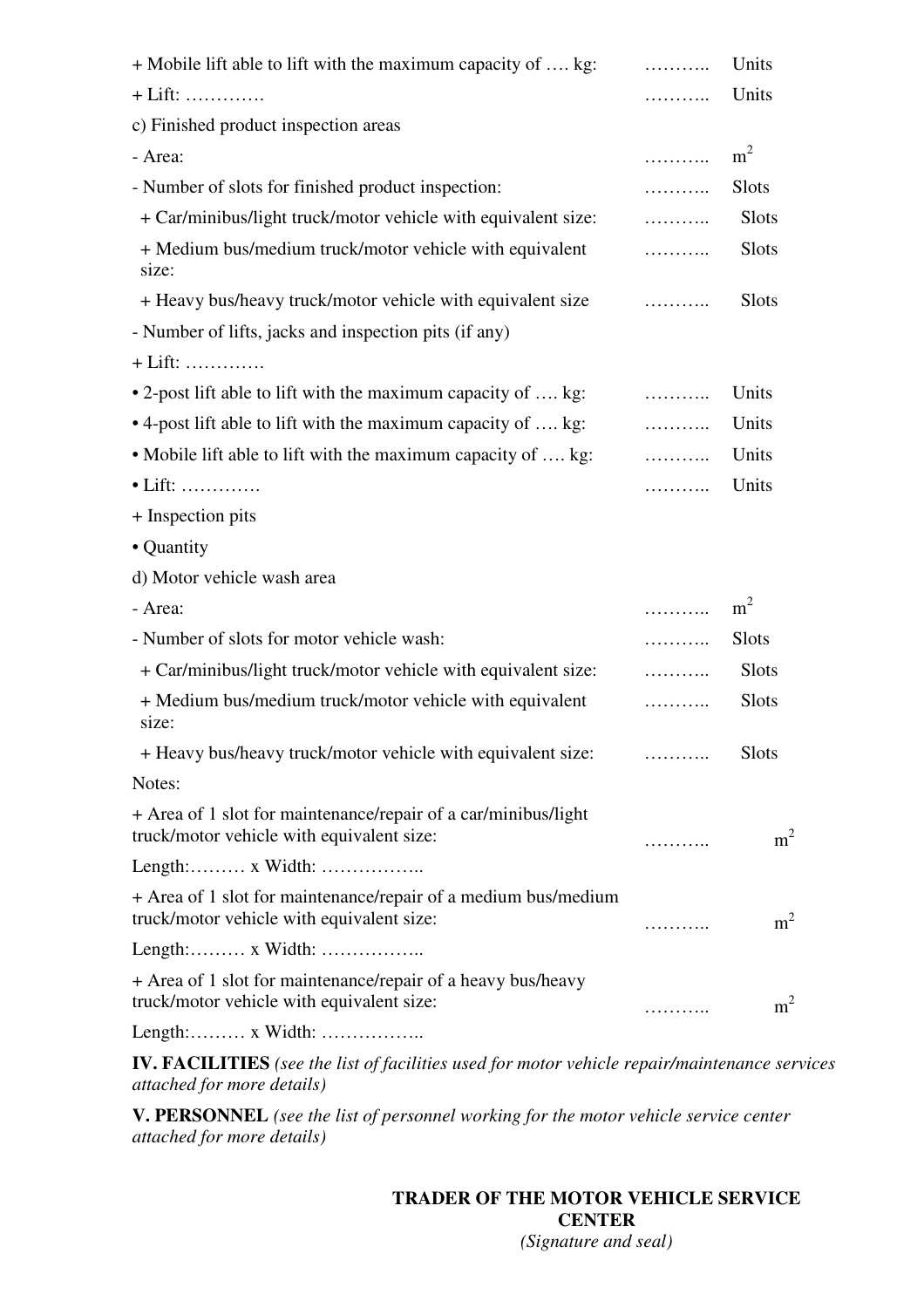| + Mobile lift able to lift with the maximum capacity of  kg:                                                | .        | Units          |
|-------------------------------------------------------------------------------------------------------------|----------|----------------|
| $+$ Lift:                                                                                                   | .        | Units          |
| c) Finished product inspection areas                                                                        |          |                |
| - Area:                                                                                                     | .        | m <sup>2</sup> |
| - Number of slots for finished product inspection:                                                          | .        | <b>Slots</b>   |
| + Car/minibus/light truck/motor vehicle with equivalent size:                                               | .        | Slots          |
| + Medium bus/medium truck/motor vehicle with equivalent<br>size:                                            | .        | Slots          |
| + Heavy bus/heavy truck/motor vehicle with equivalent size                                                  | .        | <b>Slots</b>   |
| - Number of lifts, jacks and inspection pits (if any)                                                       |          |                |
| $+$ Lift:                                                                                                   |          |                |
| • 2-post lift able to lift with the maximum capacity of  kg:                                                | $\cdots$ | Units          |
| • 4-post lift able to lift with the maximum capacity of  kg:                                                | .        | Units          |
| • Mobile lift able to lift with the maximum capacity of  kg:                                                | .        | Units          |
| $\bullet$ Lift:                                                                                             | .        | Units          |
| + Inspection pits                                                                                           |          |                |
| • Quantity                                                                                                  |          |                |
| d) Motor vehicle wash area                                                                                  |          |                |
| - Area:                                                                                                     | .        | m <sup>2</sup> |
| - Number of slots for motor vehicle wash:                                                                   | .        | <b>Slots</b>   |
| + Car/minibus/light truck/motor vehicle with equivalent size:                                               | .        | <b>Slots</b>   |
| + Medium bus/medium truck/motor vehicle with equivalent<br>size:                                            |          | Slots          |
| + Heavy bus/heavy truck/motor vehicle with equivalent size:                                                 | .        | <b>Slots</b>   |
| Notes:                                                                                                      |          |                |
| + Area of 1 slot for maintenance/repair of a car/minibus/light<br>truck/motor vehicle with equivalent size: |          | m <sup>2</sup> |
|                                                                                                             |          |                |
| + Area of 1 slot for maintenance/repair of a medium bus/medium<br>truck/motor vehicle with equivalent size: | .        | m <sup>2</sup> |
|                                                                                                             |          |                |
| + Area of 1 slot for maintenance/repair of a heavy bus/heavy<br>truck/motor vehicle with equivalent size:   |          | m <sup>2</sup> |
| Length: x Width:                                                                                            |          |                |

**IV. FACILITIES** *(see the list of facilities used for motor vehicle repair/maintenance services attached for more details)*

**V. PERSONNEL** *(see the list of personnel working for the motor vehicle service center attached for more details)*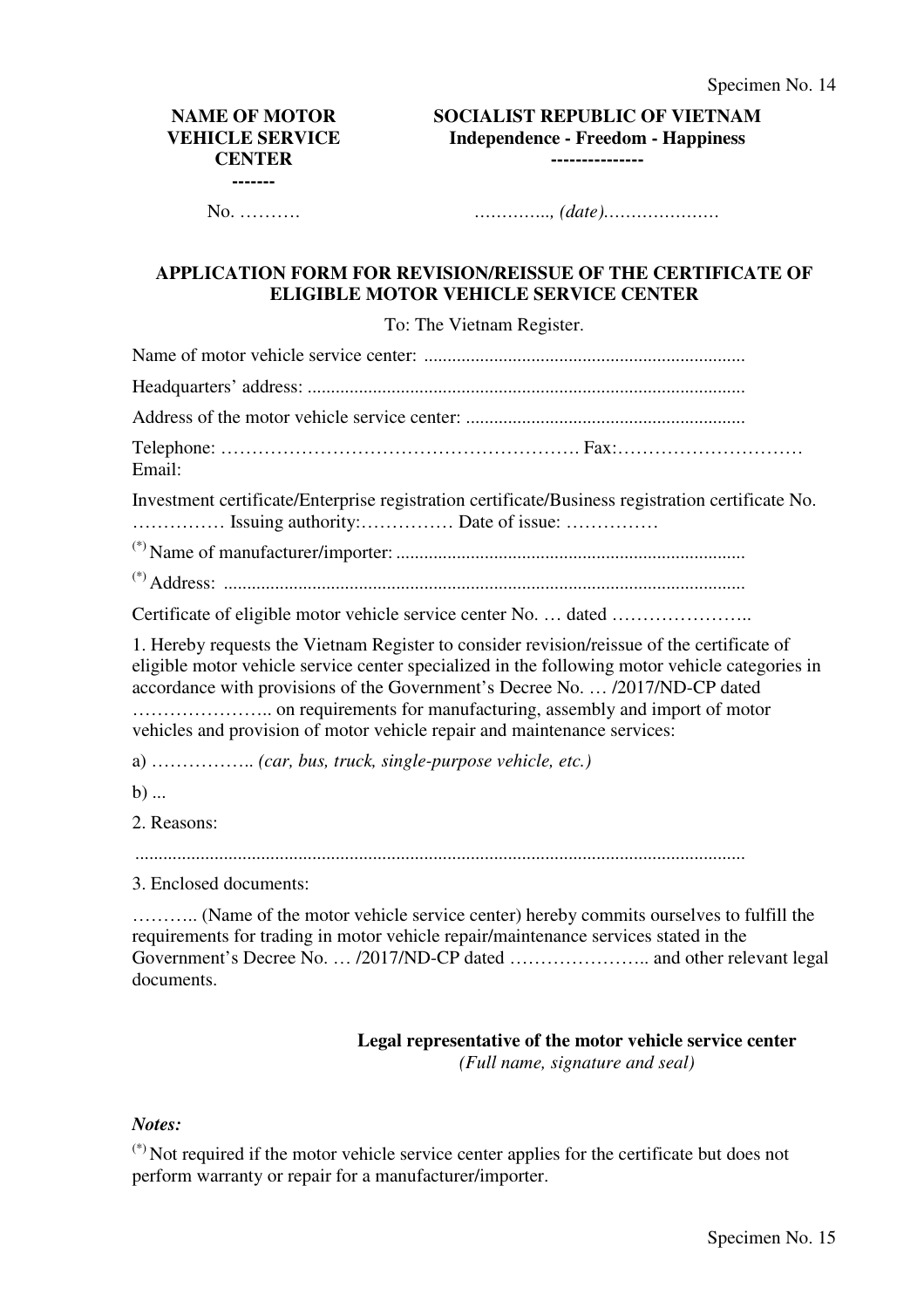#### **NAME OF MOTOR VEHICLE SERVICE CENTER -------**

**SOCIALIST REPUBLIC OF VIETNAM Independence - Freedom - Happiness ---------------**

No. ………. *………….., (date)…………………* 

#### **APPLICATION FORM FOR REVISION/REISSUE OF THE CERTIFICATE OF ELIGIBLE MOTOR VEHICLE SERVICE CENTER**

To: The Vietnam Register.

Name of motor vehicle service center: ..................................................................... Headquarters' address: .............................................................................................. Address of the motor vehicle service center: ............................................................ Telephone: …………………………………………………. Fax:………………………… Email: Investment certificate/Enterprise registration certificate/Business registration certificate No. …………… Issuing authority:…………… Date of issue: …………… (\*) Name of manufacturer/importer: ........................................................................... (\*) Address: ................................................................................................................ Certificate of eligible motor vehicle service center No. … dated ………………….. 1. Hereby requests the Vietnam Register to consider revision/reissue of the certificate of eligible motor vehicle service center specialized in the following motor vehicle categories in accordance with provisions of the Government's Decree No. … /2017/ND-CP dated ………………….. on requirements for manufacturing, assembly and import of motor vehicles and provision of motor vehicle repair and maintenance services: a) …………….. *(car, bus, truck, single-purpose vehicle, etc.)*  $b)$  ... 2. Reasons: ................................................................................................................................... 3. Enclosed documents:

……….. (Name of the motor vehicle service center) hereby commits ourselves to fulfill the requirements for trading in motor vehicle repair/maintenance services stated in the Government's Decree No. … /2017/ND-CP dated ………………….. and other relevant legal documents.

# **Legal representative of the motor vehicle service center**

*(Full name, signature and seal)*

#### *Notes:*

(\*) Not required if the motor vehicle service center applies for the certificate but does not perform warranty or repair for a manufacturer/importer.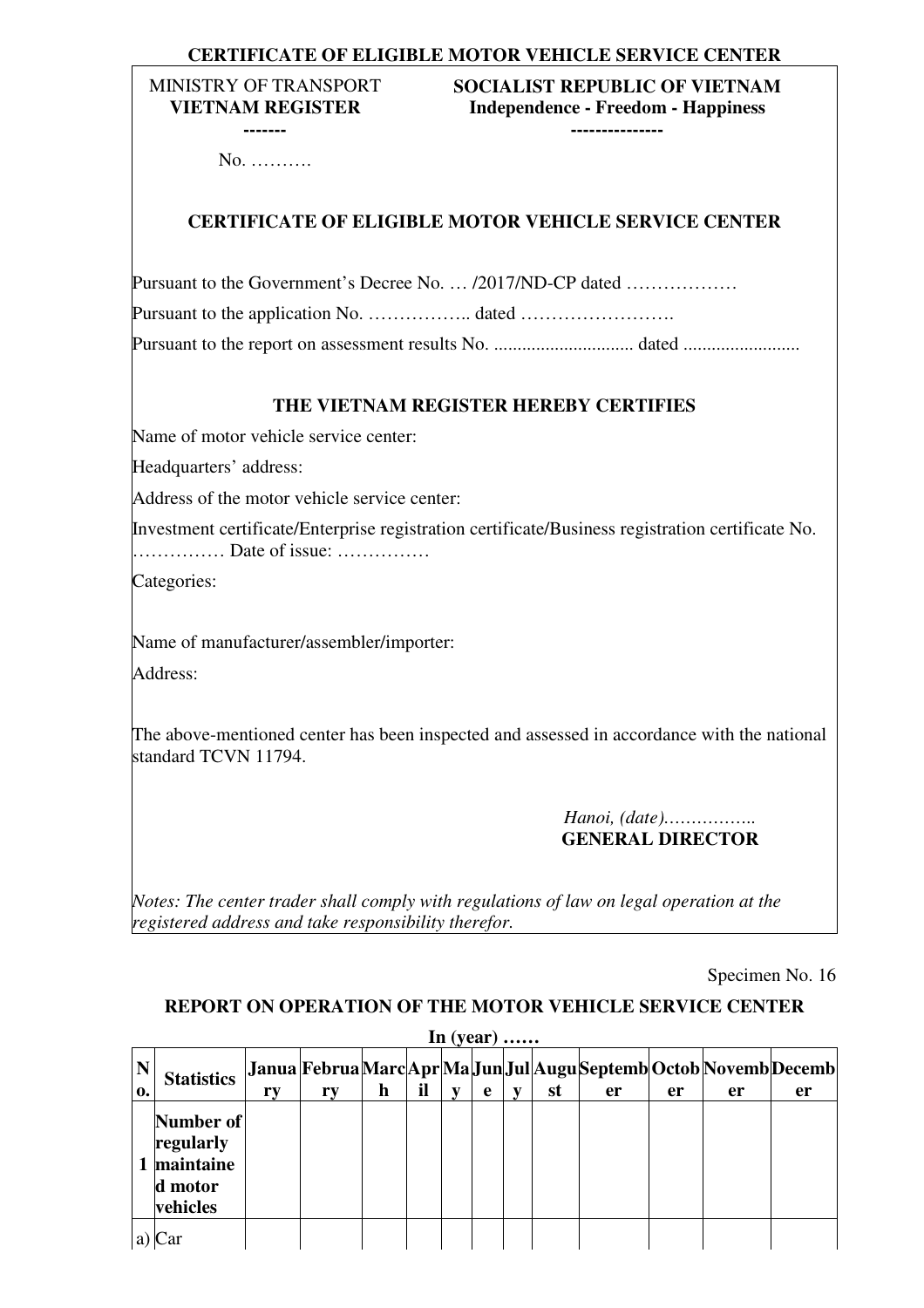# **CERTIFICATE OF ELIGIBLE MOTOR VEHICLE SERVICE CENTER**

#### MINISTRY OF TRANSPORT **VIETNAM REGISTER -------**

# **SOCIALIST REPUBLIC OF VIETNAM Independence - Freedom - Happiness**

**---------------**

No. ……….

# **CERTIFICATE OF ELIGIBLE MOTOR VEHICLE SERVICE CENTER**

| Pursuant to the Government's Decree No.  /2017/ND-CP dated |  |
|------------------------------------------------------------|--|
|                                                            |  |
|                                                            |  |

### **THE VIETNAM REGISTER HEREBY CERTIFIES**

Name of motor vehicle service center:

Headquarters' address:

Address of the motor vehicle service center:

Investment certificate/Enterprise registration certificate/Business registration certificate No. …………… Date of issue: ……………

Categories:

Name of manufacturer/assembler/importer: Address:

The above-mentioned center has been inspected and assessed in accordance with the national standard TCVN 11794.

> *Hanoi, (date)……………..*  **GENERAL DIRECTOR**

*Notes: The center trader shall comply with regulations of law on legal operation at the registered address and take responsibility therefor.*

Specimen No. 16

#### **REPORT ON OPERATION OF THE MOTOR VEHICLE SERVICE CENTER**

|                               | In $(year)$                                                |    |    |             |    |   |   |  |    |                                                                         |    |    |    |
|-------------------------------|------------------------------------------------------------|----|----|-------------|----|---|---|--|----|-------------------------------------------------------------------------|----|----|----|
| $\overline{\mathbf{N}}$<br>0. | <b>Statistics</b>                                          | ry | ry | $\mathbf h$ | il | V | e |  | st | Janua FebruaMarc Apr Ma Jun Jul Augu Septemb Octob Novemb Decemb <br>er | er | er | er |
|                               | Number of<br>regularly<br>maintaine<br>d motor<br>vehicles |    |    |             |    |   |   |  |    |                                                                         |    |    |    |
|                               |                                                            |    |    |             |    |   |   |  |    |                                                                         |    |    |    |